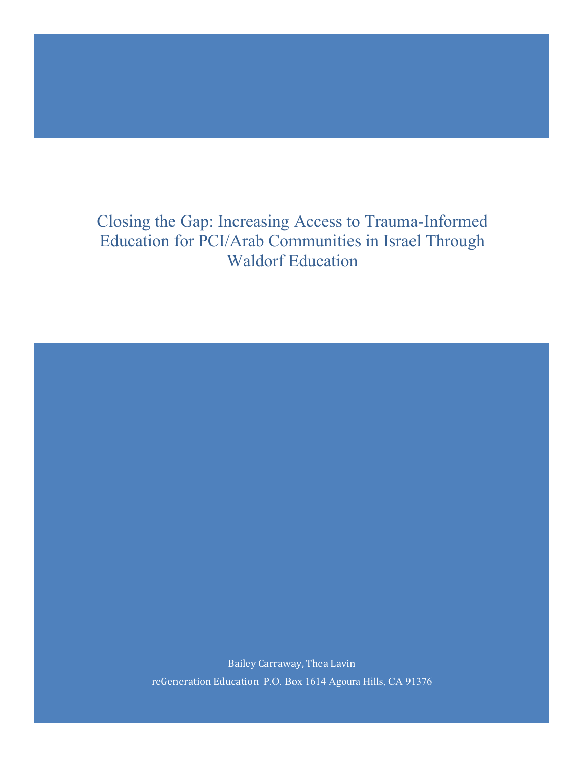# Closing the Gap: Increasing Access to Trauma-Informed Education for PCI/Arab Communities in Israel Through Waldorf Education

Bailey Carraway, Thea Lavin reGeneration Education P.O. Box 1614 Agoura Hills, CA 91376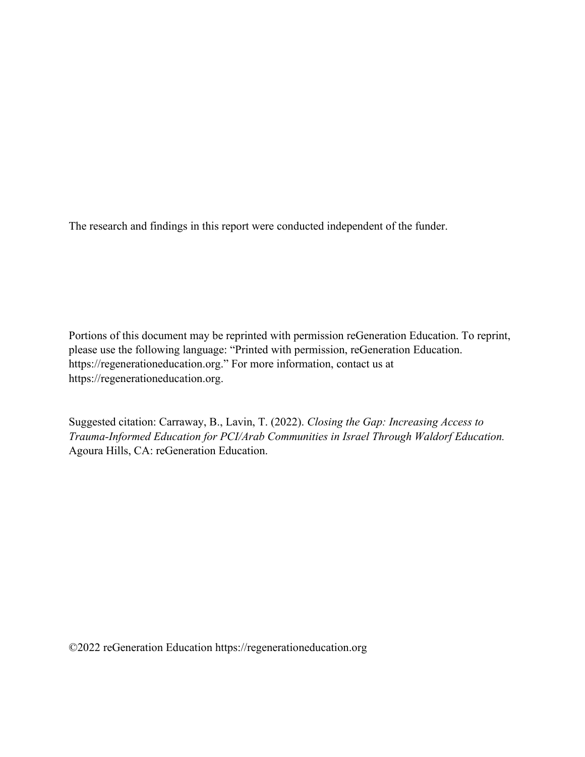The research and findings in this report were conducted independent of the funder.

Portions of this document may be reprinted with permission reGeneration Education. To reprint, please use the following language: "Printed with permission, reGeneration Education. https://regenerationeducation.org." For more information, contact us at https://regenerationeducation.org.

Suggested citation: Carraway, B., Lavin, T. (2022). *Closing the Gap: Increasing Access to Trauma-Informed Education for PCI/Arab Communities in Israel Through Waldorf Education.*  Agoura Hills, CA: reGeneration Education.

©2022 reGeneration Education https://regenerationeducation.org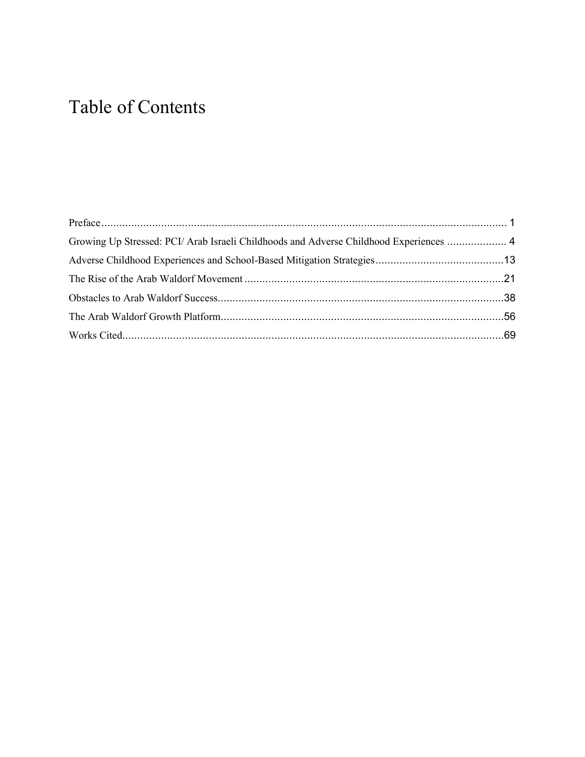# Table of Contents

| Growing Up Stressed: PCI/ Arab Israeli Childhoods and Adverse Childhood Experiences  4 |  |
|----------------------------------------------------------------------------------------|--|
|                                                                                        |  |
|                                                                                        |  |
|                                                                                        |  |
|                                                                                        |  |
|                                                                                        |  |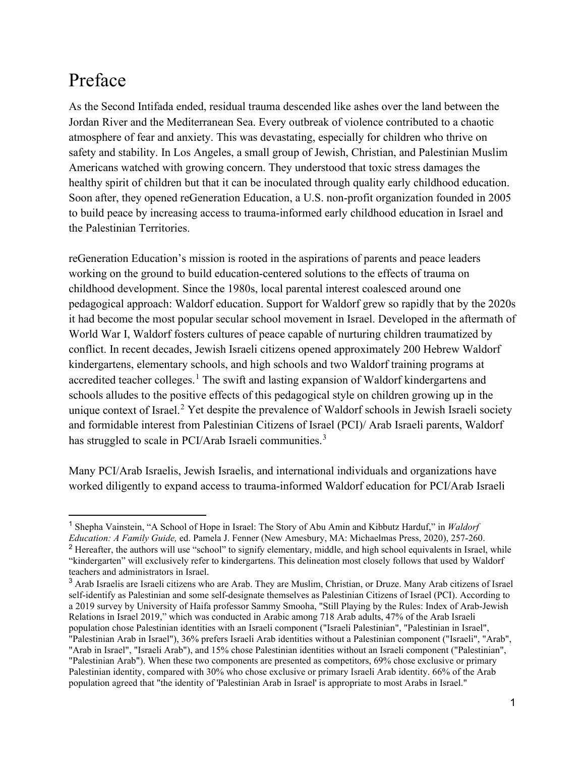# <span id="page-3-0"></span>Preface

As the Second Intifada ended, residual trauma descended like ashes over the land between the Jordan River and the Mediterranean Sea. Every outbreak of violence contributed to a chaotic atmosphere of fear and anxiety. This was devastating, especially for children who thrive on safety and stability. In Los Angeles, a small group of Jewish, Christian, and Palestinian Muslim Americans watched with growing concern. They understood that toxic stress damages the healthy spirit of children but that it can be inoculated through quality early childhood education. Soon after, they opened reGeneration Education, a U.S. non-profit organization founded in 2005 to build peace by increasing access to trauma-informed early childhood education in Israel and the Palestinian Territories.

reGeneration Education's mission is rooted in the aspirations of parents and peace leaders working on the ground to build education-centered solutions to the effects of trauma on childhood development. Since the 1980s, local parental interest coalesced around one pedagogical approach: Waldorf education. Support for Waldorf grew so rapidly that by the 2020s it had become the most popular secular school movement in Israel. Developed in the aftermath of World War I, Waldorf fosters cultures of peace capable of nurturing children traumatized by conflict. In recent decades, Jewish Israeli citizens opened approximately 200 Hebrew Waldorf kindergartens, elementary schools, and high schools and two Waldorf training programs at accredited teacher colleges.<sup>[1](#page-3-1)</sup> The swift and lasting expansion of Waldorf kindergartens and schools alludes to the positive effects of this pedagogical style on children growing up in the unique context of Israel.<sup>[2](#page-3-2)</sup> Yet despite the prevalence of Waldorf schools in Jewish Israeli society and formidable interest from Palestinian Citizens of Israel (PCI)/ Arab Israeli parents, Waldorf has struggled to scale in PCI/Arab Israeli communities.<sup>[3](#page-3-3)</sup>

Many PCI/Arab Israelis, Jewish Israelis, and international individuals and organizations have worked diligently to expand access to trauma-informed Waldorf education for PCI/Arab Israeli

<span id="page-3-2"></span><span id="page-3-1"></span><sup>1</sup> Shepha Vainstein, "A School of Hope in Israel: The Story of Abu Amin and Kibbutz Harduf," in *Waldorf Education: A Family Guide,* ed. Pamela J. Fenner (New Amesbury, MA: Michaelmas Press, 2020), 257-260. <sup>2</sup> Hereafter, the authors will use "school" to signify elementary, middle, and high school equivalents in Israel, while "kindergarten" will exclusively refer to kindergartens. This delineation most closely follows that used by Waldorf teachers and administrators in Israel.

<span id="page-3-3"></span><sup>&</sup>lt;sup>3</sup> Arab Israelis are Israeli citizens who are Arab. They are Muslim, Christian, or Druze. Many Arab citizens of Israel self-identify as Palestinian and some self-designate themselves as Palestinian Citizens of Israel (PCI). According to a 2019 survey by University of Haifa professor Sammy Smooha, "Still Playing by the Rules: Index of Arab-Jewish Relations in Israel 2019," which was conducted in Arabic among 718 Arab adults, 47% of the Arab Israeli population chose Palestinian identities with an Israeli component ("Israeli Palestinian", "Palestinian in Israel", "Palestinian Arab in Israel"), 36% prefers Israeli Arab identities without a Palestinian component ("Israeli", "Arab", "Arab in Israel", "Israeli Arab"), and 15% chose Palestinian identities without an Israeli component ("Palestinian", "Palestinian Arab"). When these two components are presented as competitors, 69% chose exclusive or primary

Palestinian identity, compared with 30% who chose exclusive or primary Israeli Arab identity. 66% of the Arab population agreed that "the identity of 'Palestinian Arab in Israel' is appropriate to most Arabs in Israel."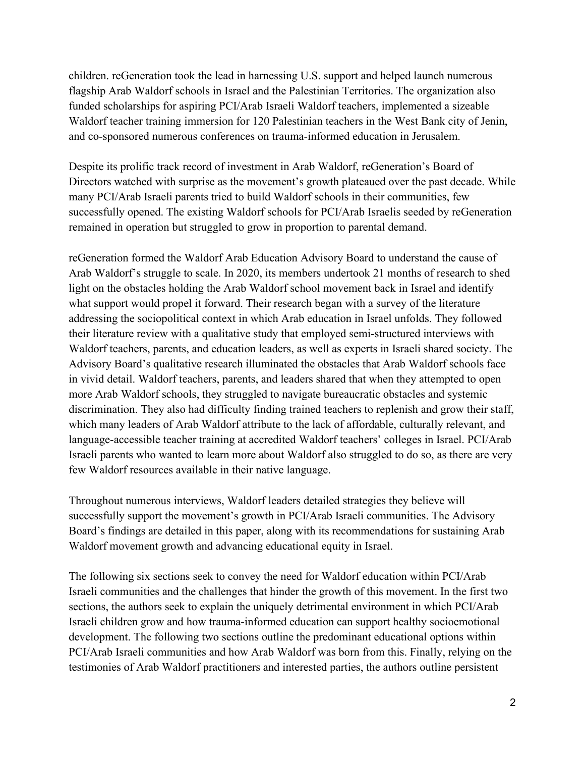children. reGeneration took the lead in harnessing U.S. support and helped launch numerous flagship Arab Waldorf schools in Israel and the Palestinian Territories. The organization also funded scholarships for aspiring PCI/Arab Israeli Waldorf teachers, implemented a sizeable Waldorf teacher training immersion for 120 Palestinian teachers in the West Bank city of Jenin, and co-sponsored numerous conferences on trauma-informed education in Jerusalem.

Despite its prolific track record of investment in Arab Waldorf, reGeneration's Board of Directors watched with surprise as the movement's growth plateaued over the past decade. While many PCI/Arab Israeli parents tried to build Waldorf schools in their communities, few successfully opened. The existing Waldorf schools for PCI/Arab Israelis seeded by reGeneration remained in operation but struggled to grow in proportion to parental demand.

reGeneration formed the Waldorf Arab Education Advisory Board to understand the cause of Arab Waldorf's struggle to scale. In 2020, its members undertook 21 months of research to shed light on the obstacles holding the Arab Waldorf school movement back in Israel and identify what support would propel it forward. Their research began with a survey of the literature addressing the sociopolitical context in which Arab education in Israel unfolds. They followed their literature review with a qualitative study that employed semi-structured interviews with Waldorf teachers, parents, and education leaders, as well as experts in Israeli shared society. The Advisory Board's qualitative research illuminated the obstacles that Arab Waldorf schools face in vivid detail. Waldorf teachers, parents, and leaders shared that when they attempted to open more Arab Waldorf schools, they struggled to navigate bureaucratic obstacles and systemic discrimination. They also had difficulty finding trained teachers to replenish and grow their staff, which many leaders of Arab Waldorf attribute to the lack of affordable, culturally relevant, and language-accessible teacher training at accredited Waldorf teachers' colleges in Israel. PCI/Arab Israeli parents who wanted to learn more about Waldorf also struggled to do so, as there are very few Waldorf resources available in their native language.

Throughout numerous interviews, Waldorf leaders detailed strategies they believe will successfully support the movement's growth in PCI/Arab Israeli communities. The Advisory Board's findings are detailed in this paper, along with its recommendations for sustaining Arab Waldorf movement growth and advancing educational equity in Israel.

The following six sections seek to convey the need for Waldorf education within PCI/Arab Israeli communities and the challenges that hinder the growth of this movement. In the first two sections, the authors seek to explain the uniquely detrimental environment in which PCI/Arab Israeli children grow and how trauma-informed education can support healthy socioemotional development. The following two sections outline the predominant educational options within PCI/Arab Israeli communities and how Arab Waldorf was born from this. Finally, relying on the testimonies of Arab Waldorf practitioners and interested parties, the authors outline persistent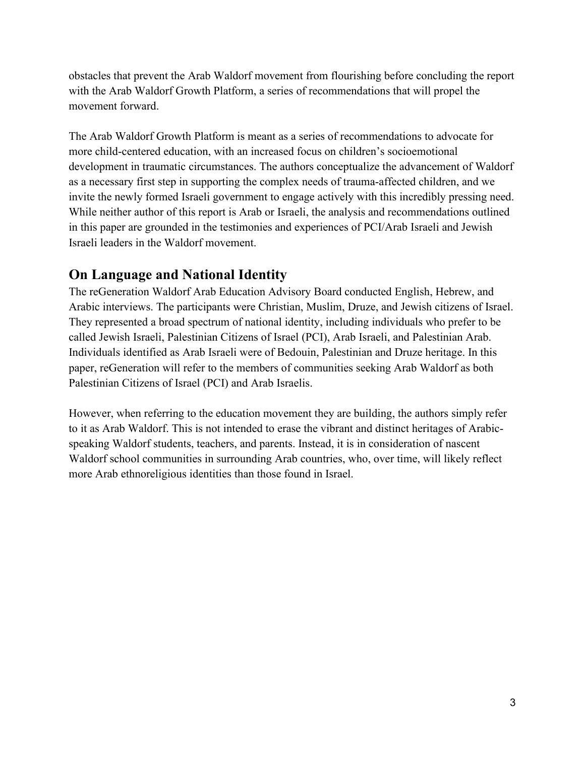obstacles that prevent the Arab Waldorf movement from flourishing before concluding the report with the Arab Waldorf Growth Platform, a series of recommendations that will propel the movement forward.

The Arab Waldorf Growth Platform is meant as a series of recommendations to advocate for more child-centered education, with an increased focus on children's socioemotional development in traumatic circumstances. The authors conceptualize the advancement of Waldorf as a necessary first step in supporting the complex needs of trauma-affected children, and we invite the newly formed Israeli government to engage actively with this incredibly pressing need. While neither author of this report is Arab or Israeli, the analysis and recommendations outlined in this paper are grounded in the testimonies and experiences of PCI/Arab Israeli and Jewish Israeli leaders in the Waldorf movement.

# **On Language and National Identity**

The reGeneration Waldorf Arab Education Advisory Board conducted English, Hebrew, and Arabic interviews. The participants were Christian, Muslim, Druze, and Jewish citizens of Israel. They represented a broad spectrum of national identity, including individuals who prefer to be called Jewish Israeli, Palestinian Citizens of Israel (PCI), Arab Israeli, and Palestinian Arab. Individuals identified as Arab Israeli were of Bedouin, Palestinian and Druze heritage. In this paper, reGeneration will refer to the members of communities seeking Arab Waldorf as both Palestinian Citizens of Israel (PCI) and Arab Israelis.

However, when referring to the education movement they are building, the authors simply refer to it as Arab Waldorf. This is not intended to erase the vibrant and distinct heritages of Arabicspeaking Waldorf students, teachers, and parents. Instead, it is in consideration of nascent Waldorf school communities in surrounding Arab countries, who, over time, will likely reflect more Arab ethnoreligious identities than those found in Israel.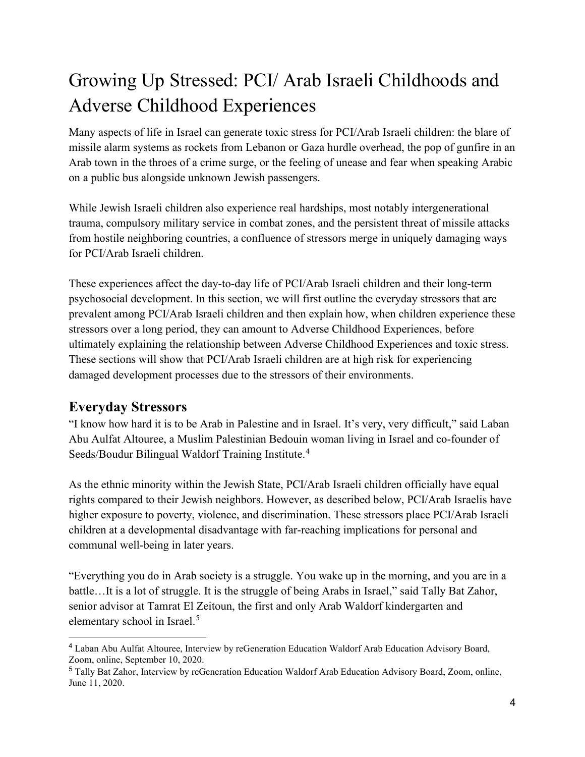# <span id="page-6-0"></span>Growing Up Stressed: PCI/ Arab Israeli Childhoods and [Adverse Childhood Experiences](#page-14-0)

Many aspects of life in Israel can generate toxic stress for PCI/Arab Israeli children: the blare of missile alarm systems as rockets from Lebanon or Gaza hurdle overhead, the pop of gunfire in an Arab town in the throes of a crime surge, or the feeling of unease and fear when speaking Arabic on a public bus alongside unknown Jewish passengers.

While Jewish Israeli children also experience real hardships, most notably intergenerational trauma, compulsory military service in combat zones, and the persistent threat of missile attacks from hostile neighboring countries, a confluence of stressors merge in uniquely damaging ways for PCI/Arab Israeli children.

These experiences affect the day-to-day life of PCI/Arab Israeli children and their long-term psychosocial development. In this section, we will first outline the everyday stressors that are prevalent among PCI/Arab Israeli children and then explain how, when children experience these stressors over a long period, they can amount to Adverse Childhood Experiences, before ultimately explaining the relationship between Adverse Childhood Experiences and toxic stress. These sections will show that PCI/Arab Israeli children are at high risk for experiencing damaged development processes due to the stressors of their environments.

# **Everyday Stressors**

"I know how hard it is to be Arab in Palestine and in Israel. It's very, very difficult," said Laban Abu Aulfat Altouree, a Muslim Palestinian Bedouin woman living in Israel and co-founder of Seeds/Boudur Bilingual Waldorf Training Institute.<sup>[4](#page-6-1)</sup>

As the ethnic minority within the Jewish State, PCI/Arab Israeli children officially have equal rights compared to their Jewish neighbors. However, as described below, PCI/Arab Israelis have higher exposure to poverty, violence, and discrimination. These stressors place PCI/Arab Israeli children at a developmental disadvantage with far-reaching implications for personal and communal well-being in later years.

"Everything you do in Arab society is a struggle. You wake up in the morning, and you are in a battle…It is a lot of struggle. It is the struggle of being Arabs in Israel," said Tally Bat Zahor, senior advisor at Tamrat El Zeitoun, the first and only Arab Waldorf kindergarten and elementary school in Israel.[5](#page-6-2)

<span id="page-6-1"></span><sup>4</sup> Laban Abu Aulfat Altouree, Interview by reGeneration Education Waldorf Arab Education Advisory Board, Zoom, online, September 10, 2020.

<span id="page-6-2"></span><sup>5</sup> Tally Bat Zahor, Interview by reGeneration Education Waldorf Arab Education Advisory Board, Zoom, online, June 11, 2020.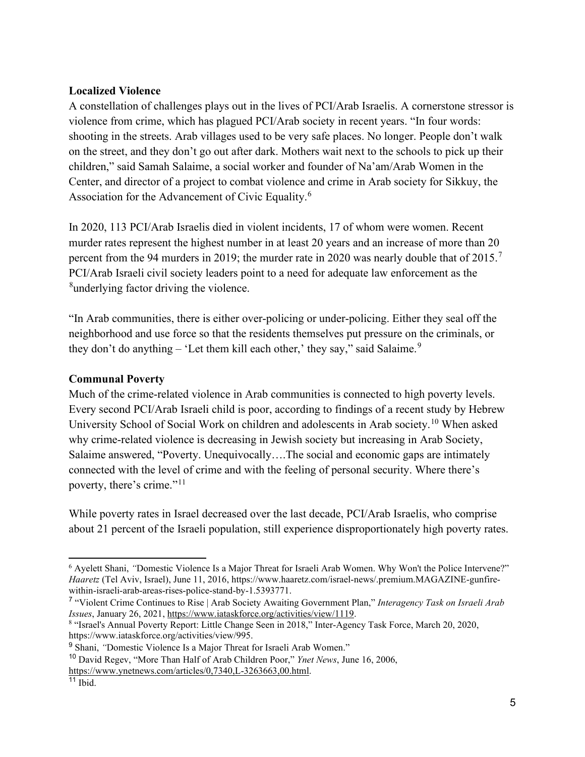### **Localized Violence**

A constellation of challenges plays out in the lives of PCI/Arab Israelis. A cornerstone stressor is violence from crime, which has plagued PCI/Arab society in recent years. "In four words: shooting in the streets. Arab villages used to be very safe places. No longer. People don't walk on the street, and they don't go out after dark. Mothers wait next to the schools to pick up their children," said Samah Salaime, a social worker and founder of Na'am/Arab Women in the Center, and director of a project to combat violence and crime in Arab society for Sikkuy, the Association for the Advancement of Civic Equality.[6](#page-7-0)

In 2020, 113 PCI/Arab Israelis died in violent incidents, 17 of whom were women. Recent murder rates represent the highest number in at least 20 years and an increase of more than 20 percent from the 94 murders in 2019; the murder rate in 2020 was nearly double that of  $2015$ .<sup>[7](#page-7-1)</sup> PCI/Arab Israeli civil society leaders point to a need for adequate law enforcement as the <sup>[8](#page-7-2)</sup>underlying factor driving the violence.

"In Arab communities, there is either over-policing or under-policing. Either they seal off the neighborhood and use force so that the residents themselves put pressure on the criminals, or they don't do anything  $-$  'Let them kill each other,' they say," said Salaime.<sup>[9](#page-7-3)</sup>

### **Communal Poverty**

Much of the crime-related violence in Arab communities is connected to high poverty levels. Every second PCI/Arab Israeli child is poor, according to findings of a recent study by Hebrew University School of Social Work on children and adolescents in Arab society.[10](#page-7-4) When asked why crime-related violence is decreasing in Jewish society but increasing in Arab Society, Salaime answered, "Poverty. Unequivocally….The social and economic gaps are intimately connected with the level of crime and with the feeling of personal security. Where there's poverty, there's crime."<sup>[11](#page-7-5)</sup>

While poverty rates in Israel decreased over the last decade, PCI/Arab Israelis, who comprise about 21 percent of the Israeli population, still experience disproportionately high poverty rates.

<span id="page-7-0"></span><sup>6</sup> Ayelett Shani, *"*Domestic Violence Is a Major Threat for Israeli Arab Women. Why Won't the Police Intervene?" *Haaretz* (Tel Aviv, Israel), June 11, 2016, https://www.haaretz.com/israel-news/.premium.MAGAZINE-gunfirewithin-israeli-arab-areas-rises-police-stand-by-1.5393771.

<span id="page-7-1"></span><sup>7</sup> "Violent Crime Continues to Rise | Arab Society Awaiting Government Plan," *Interagency Task on Israeli Arab Issues*, January 26, 2021, [https://www.iataskforce.org/activities/view/1119.](https://www.iataskforce.org/activities/view/1119)<br><sup>8</sup> "Israel's Annual Poverty Report: Little Change Seen in 2018," Inter-Agency Task Force, March 20, 2020,

<span id="page-7-2"></span>https://www.iataskforce.org/activities/view/995.

<span id="page-7-3"></span><sup>9</sup> Shani, *"*Domestic Violence Is a Major Threat for Israeli Arab Women."

<span id="page-7-4"></span><sup>10</sup> David Regev, "More Than Half of Arab Children Poor," *Ynet News*, June 16, 2006, [https://www.ynetnews.com/articles/0,7340,L-3263663,00.html.](https://www.ynetnews.com/articles/0,7340,L-3263663,00.html)

<span id="page-7-5"></span><sup>11</sup> Ibid.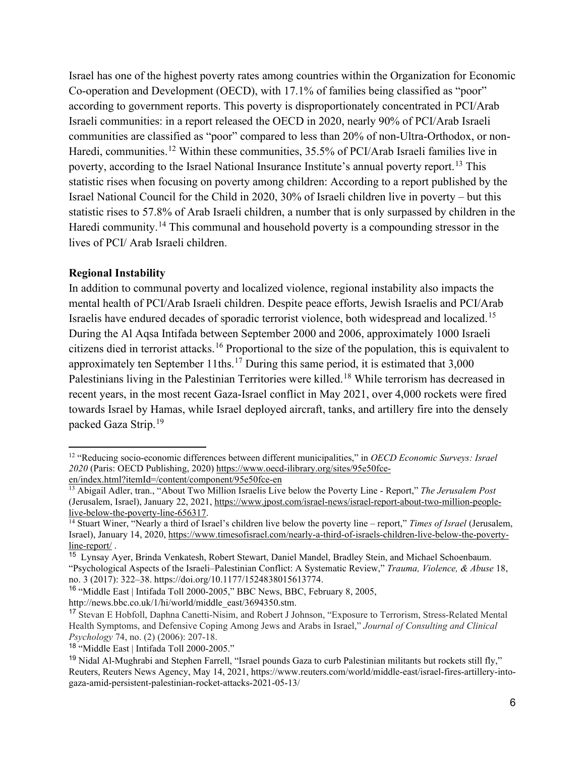Israel has one of the highest poverty rates among countries within the Organization for Economic Co-operation and Development (OECD), with 17.1% of families being classified as "poor" according to government reports. This poverty is disproportionately concentrated in PCI/Arab Israeli communities: in a report released the OECD in 2020, nearly 90% of PCI/Arab Israeli communities are classified as "poor" compared to less than 20% of non-Ultra-Orthodox, or non-Haredi, communities.<sup>[12](#page-8-0)</sup> Within these communities, 35.5% of PCI/Arab Israeli families live in poverty, according to the Israel National Insurance Institute's annual poverty report.<sup>[13](#page-8-1)</sup> This statistic rises when focusing on poverty among children: According to a report published by the Israel National Council for the Child in 2020, 30% of Israeli children live in poverty – but this statistic rises to 57.8% of Arab Israeli children, a number that is only surpassed by children in the Haredi community.<sup>[14](#page-8-2)</sup> This communal and household poverty is a compounding stressor in the lives of PCI/ Arab Israeli children.

### **Regional Instability**

In addition to communal poverty and localized violence, regional instability also impacts the mental health of PCI/Arab Israeli children. Despite peace efforts, Jewish Israelis and PCI/Arab Israelis have endured decades of sporadic terrorist violence, both widespread and localized.[15](#page-8-3) During the Al Aqsa Intifada between September 2000 and 2006, approximately 1000 Israeli citizens died in terrorist attacks.[16](#page-8-4) Proportional to the size of the population, this is equivalent to approximately ten September 11ths.<sup>17</sup> During this same period, it is estimated that  $3,000$ Palestinians living in the Palestinian Territories were killed.<sup>[18](#page-8-6)</sup> While terrorism has decreased in recent years, in the most recent Gaza-Israel conflict in May 2021, over 4,000 rockets were fired towards Israel by Hamas, while Israel deployed aircraft, tanks, and artillery fire into the densely packed Gaza Strip.[19](#page-8-7) 

<span id="page-8-0"></span><sup>12</sup> "Reducing socio-economic differences between different municipalities," in *OECD Economic Surveys: Israel 2020* (Paris: OECD Publishing, 2020[\) https://www.oecd-ilibrary.org/sites/95e50fce](https://www.oecd-ilibrary.org/sites/95e50fce-en/index.html?itemId=/content/component/95e50fce-en)[en/index.html?itemId=/content/component/95e50fce-en](https://www.oecd-ilibrary.org/sites/95e50fce-en/index.html?itemId=/content/component/95e50fce-en)

<span id="page-8-1"></span><sup>13</sup> Abigail Adler, tran., "About Two Million Israelis Live below the Poverty Line - Report," *The Jerusalem Post* (Jerusalem, Israel), January 22, 2021, https://www.jpost.com/israel-news/israel-report-about-two-million-people-<br>live-below-the-poverty-line-656317.

<span id="page-8-2"></span><sup>&</sup>lt;sup>14</sup> Stuart Winer, "Nearly a third of Israel's children live below the poverty line – report," *Times of Israel* (Jerusalem, Israel), January 14, 2020, [https://www.timesofisrael.com/nearly-a-third-of-israels-children-live-below-the-poverty](https://www.timesofisrael.com/nearly-a-third-of-israels-children-live-below-the-poverty-line-report/)[line-report/](https://www.timesofisrael.com/nearly-a-third-of-israels-children-live-below-the-poverty-line-report/) .

<span id="page-8-3"></span><sup>15</sup> Lynsay Ayer, Brinda Venkatesh, Robert Stewart, Daniel Mandel, Bradley Stein, and Michael Schoenbaum. "Psychological Aspects of the Israeli–Palestinian Conflict: A Systematic Review," *Trauma, Violence, & Abuse* 18, no. 3 (2017): 322–38. https://doi.org/10.1177/1524838015613774.

<span id="page-8-4"></span><sup>&</sup>lt;sup>16</sup> "Middle East | Intifada Toll 2000-2005," BBC News, BBC, February 8, 2005,

http://news.bbc.co.uk/1/hi/world/middle\_east/3694350.stm.

<span id="page-8-5"></span><sup>17</sup> Stevan E Hobfoll, Daphna Canetti-Nisim, and Robert J Johnson, "Exposure to Terrorism, Stress-Related Mental Health Symptoms, and Defensive Coping Among Jews and Arabs in Israel," *Journal of Consulting and Clinical Psychology* 74, no. (2) (2006): 207-18.

<span id="page-8-6"></span><sup>18</sup> "Middle East | Intifada Toll 2000-2005."

<span id="page-8-7"></span><sup>&</sup>lt;sup>19</sup> Nidal Al-Mughrabi and Stephen Farrell, "Israel pounds Gaza to curb Palestinian militants but rockets still fly," Reuters, Reuters News Agency, May 14, 2021, https://www.reuters.com/world/middle-east/israel-fires-artillery-intogaza-amid-persistent-palestinian-rocket-attacks-2021-05-13/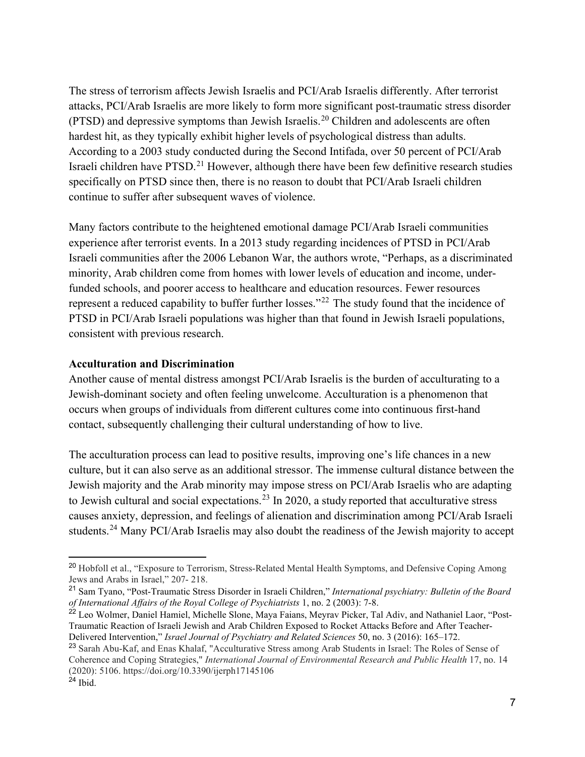The stress of terrorism affects Jewish Israelis and PCI/Arab Israelis differently. After terrorist attacks, PCI/Arab Israelis are more likely to form more significant post-traumatic stress disorder (PTSD) and depressive symptoms than Jewish Israelis.<sup>[20](#page-9-0)</sup> Children and adolescents are often hardest hit, as they typically exhibit higher levels of psychological distress than adults. According to a 2003 study conducted during the Second Intifada, over 50 percent of PCI/Arab Israeli children have PTSD.<sup>[21](#page-9-1)</sup> However, although there have been few definitive research studies specifically on PTSD since then, there is no reason to doubt that PCI/Arab Israeli children continue to suffer after subsequent waves of violence.

Many factors contribute to the heightened emotional damage PCI/Arab Israeli communities experience after terrorist events. In a 2013 study regarding incidences of PTSD in PCI/Arab Israeli communities after the 2006 Lebanon War, the authors wrote, "Perhaps, as a discriminated minority, Arab children come from homes with lower levels of education and income, underfunded schools, and poorer access to healthcare and education resources. Fewer resources represent a reduced capability to buffer further losses."[22](#page-9-2) The study found that the incidence of PTSD in PCI/Arab Israeli populations was higher than that found in Jewish Israeli populations, consistent with previous research.

#### **Acculturation and Discrimination**

Another cause of mental distress amongst PCI/Arab Israelis is the burden of acculturating to a Jewish-dominant society and often feeling unwelcome. Acculturation is a phenomenon that occurs when groups of individuals from different cultures come into continuous first-hand contact, subsequently challenging their cultural understanding of how to live.

The acculturation process can lead to positive results, improving one's life chances in a new culture, but it can also serve as an additional stressor. The immense cultural distance between the Jewish majority and the Arab minority may impose stress on PCI/Arab Israelis who are adapting to Jewish cultural and social expectations.<sup>23</sup> In 2020, a study reported that acculturative stress causes anxiety, depression, and feelings of alienation and discrimination among PCI/Arab Israeli students.[24](#page-9-4) Many PCI/Arab Israelis may also doubt the readiness of the Jewish majority to accept

<span id="page-9-0"></span><sup>&</sup>lt;sup>20</sup> Hobfoll et al., "Exposure to Terrorism, Stress-Related Mental Health Symptoms, and Defensive Coping Among Jews and Arabs in Israel," 207- 218.

<span id="page-9-1"></span><sup>21</sup> Sam Tyano, "Post-Traumatic Stress Disorder in Israeli Children," *International psychiatry: Bulletin of the Board of International Affairs of the Royal College of Psychiatrists* 1, no. 2 (2003): 7-8.

<span id="page-9-2"></span><sup>&</sup>lt;sup>22</sup> Leo Wolmer, Daniel Hamiel, Michelle Slone, Maya Faians, Meyrav Picker, Tal Adiv, and Nathaniel Laor, "Post-Traumatic Reaction of Israeli Jewish and Arab Children Exposed to Rocket Attacks Before and After Teacher-Delivered Intervention," *Israel Journal of Psychiatry and Related Sciences* 50, no. 3 (2016): 165–172.

<span id="page-9-4"></span><span id="page-9-3"></span><sup>&</sup>lt;sup>23</sup> Sarah Abu-Kaf, and Enas Khalaf, "Acculturative Stress among Arab Students in Israel: The Roles of Sense of Coherence and Coping Strategies," *International Journal of Environmental Research and Public Health* 17, no. 14 (2020): 5106. https://doi.org/10.3390/ijerph17145106  $^{24}$  Ibid.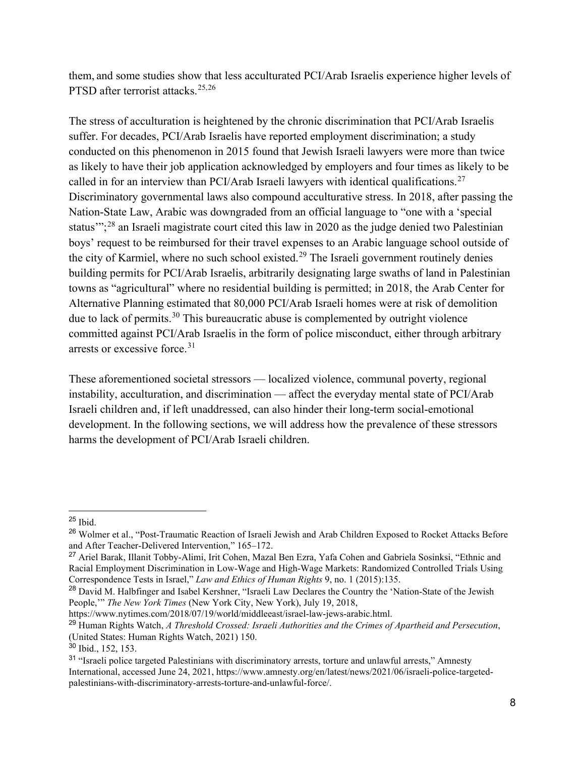them, and some studies show that less acculturated PCI/Arab Israelis experience higher levels of PTSD after terrorist attacks.<sup>[25](#page-10-0),[26](#page-10-1)</sup>

The stress of acculturation is heightened by the chronic discrimination that PCI/Arab Israelis suffer. For decades, PCI/Arab Israelis have reported employment discrimination; a study conducted on this phenomenon in 2015 found that Jewish Israeli lawyers were more than twice as likely to have their job application acknowledged by employers and four times as likely to be called in for an interview than PCI/Arab Israeli lawyers with identical qualifications.<sup>[27](#page-10-2)</sup> Discriminatory governmental laws also compound acculturative stress. In 2018, after passing the Nation-State Law, Arabic was downgraded from an official language to "one with a 'special status";<sup>[28](#page-10-3)</sup> an Israeli magistrate court cited this law in 2020 as the judge denied two Palestinian boys' request to be reimbursed for their travel expenses to an Arabic language school outside of the city of Karmiel, where no such school existed.<sup>[29](#page-10-4)</sup> The Israeli government routinely denies building permits for PCI/Arab Israelis, arbitrarily designating large swaths of land in Palestinian towns as "agricultural" where no residential building is permitted; in 2018, the Arab Center for Alternative Planning estimated that 80,000 PCI/Arab Israeli homes were at risk of demolition due to lack of permits.<sup>[30](#page-10-5)</sup> This bureaucratic abuse is complemented by outright violence committed against PCI/Arab Israelis in the form of police misconduct, either through arbitrary arrests or excessive force.<sup>[31](#page-10-6)</sup>

These aforementioned societal stressors — localized violence, communal poverty, regional instability, acculturation, and discrimination — affect the everyday mental state of PCI/Arab Israeli children and, if left unaddressed, can also hinder their long-term social-emotional development. In the following sections, we will address how the prevalence of these stressors harms the development of PCI/Arab Israeli children.

https://www.nytimes.com/2018/07/19/world/middleeast/israel-law-jews-arabic.html.

<span id="page-10-0"></span><sup>25</sup> Ibid.

<span id="page-10-1"></span><sup>&</sup>lt;sup>26</sup> Wolmer et al., "Post-Traumatic Reaction of Israeli Jewish and Arab Children Exposed to Rocket Attacks Before and After Teacher-Delivered Intervention," 165–172.

<span id="page-10-2"></span><sup>27</sup> Ariel Barak, Illanit Tobby-Alimi, Irit Cohen, Mazal Ben Ezra, Yafa Cohen and Gabriela Sosinksi, "Ethnic and Racial Employment Discrimination in Low-Wage and High-Wage Markets: Randomized Controlled Trials Using Correspondence Tests in Israel," *Law and Ethics of Human Rights* 9, no. 1 (2015):135.

<span id="page-10-3"></span><sup>&</sup>lt;sup>28</sup> David M. Halbfinger and Isabel Kershner, "Israeli Law Declares the Country the 'Nation-State of the Jewish People,'" *The New York Times* (New York City, New York), July 19, 2018,

<span id="page-10-4"></span><sup>29</sup> Human Rights Watch, *A Threshold Crossed: Israeli Authorities and the Crimes of Apartheid and Persecution*, (United States: Human Rights Watch, 2021) 150.

<span id="page-10-5"></span> $30$  Ibid., 152, 153.

<span id="page-10-6"></span><sup>&</sup>lt;sup>31</sup> "Israeli police targeted Palestinians with discriminatory arrests, torture and unlawful arrests," Amnesty International, accessed June 24, 2021, https://www.amnesty.org/en/latest/news/2021/06/israeli-police-targetedpalestinians-with-discriminatory-arrests-torture-and-unlawful-force/.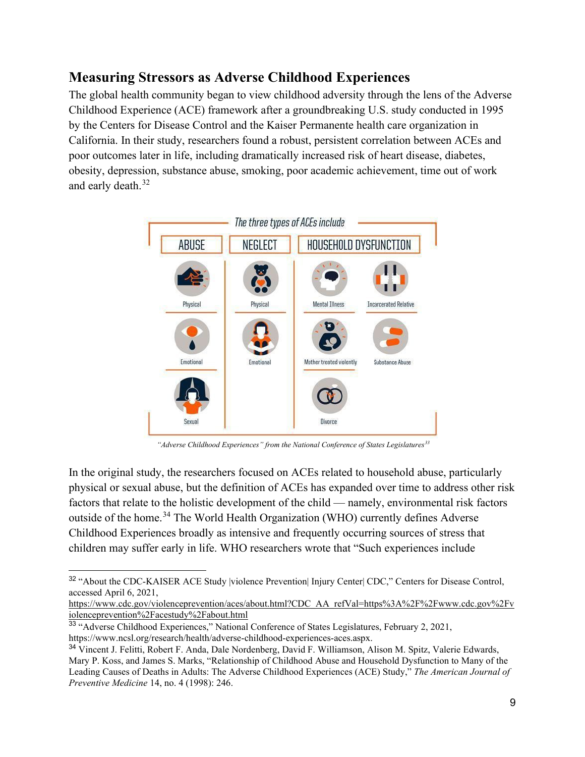# **Measuring Stressors as Adverse Childhood Experiences**

The global health community began to view childhood adversity through the lens of the Adverse Childhood Experience (ACE) framework after a groundbreaking U.S. study conducted in 1995 by the Centers for Disease Control and the Kaiser Permanente health care organization in California. In their study, researchers found a robust, persistent correlation between ACEs and poor outcomes later in life, including dramatically increased risk of heart disease, diabetes, obesity, depression, substance abuse, smoking, poor academic achievement, time out of work and early death.<sup>[32](#page-11-0)</sup>



*"Adverse Childhood Experiences" from the National Conference of States Legislatures[33](#page-11-1)*

In the original study, the researchers focused on ACEs related to household abuse, particularly physical or sexual abuse, but the definition of ACEs has expanded over time to address other risk factors that relate to the holistic development of the child — namely, environmental risk factors outside of the home.[34](#page-11-2) The World Health Organization (WHO) currently defines Adverse Childhood Experiences broadly as intensive and frequently occurring sources of stress that children may suffer early in life. WHO researchers wrote that "Such experiences include

[https://www.cdc.gov/violenceprevention/aces/about.html?CDC\\_AA\\_refVal=https%3A%2F%2Fwww.cdc.gov%2Fv](https://www.cdc.gov/violenceprevention/aces/about.html?CDC_AA_refVal=https%3A%2F%2Fwww.cdc.gov%2Fviolenceprevention%2Facestudy%2Fabout.html) [iolenceprevention%2Facestudy%2Fabout.html](https://www.cdc.gov/violenceprevention/aces/about.html?CDC_AA_refVal=https%3A%2F%2Fwww.cdc.gov%2Fviolenceprevention%2Facestudy%2Fabout.html) 

<span id="page-11-0"></span><sup>&</sup>lt;sup>32</sup> "About the CDC-KAISER ACE Study |violence Prevention| Injury Center| CDC," Centers for Disease Control, accessed April 6, 2021,

<span id="page-11-1"></span><sup>33</sup> "Adverse Childhood Experiences," National Conference of States Legislatures, February 2, 2021, https://www.ncsl.org/research/health/adverse-childhood-experiences-aces.aspx.

<span id="page-11-2"></span><sup>34</sup> Vincent J. Felitti, Robert F. Anda, Dale Nordenberg, David F. Williamson, Alison M. Spitz, Valerie Edwards, Mary P. Koss, and James S. Marks, "Relationship of Childhood Abuse and Household Dysfunction to Many of the Leading Causes of Deaths in Adults: The Adverse Childhood Experiences (ACE) Study," *The American Journal of Preventive Medicine* 14, no. 4 (1998): 246.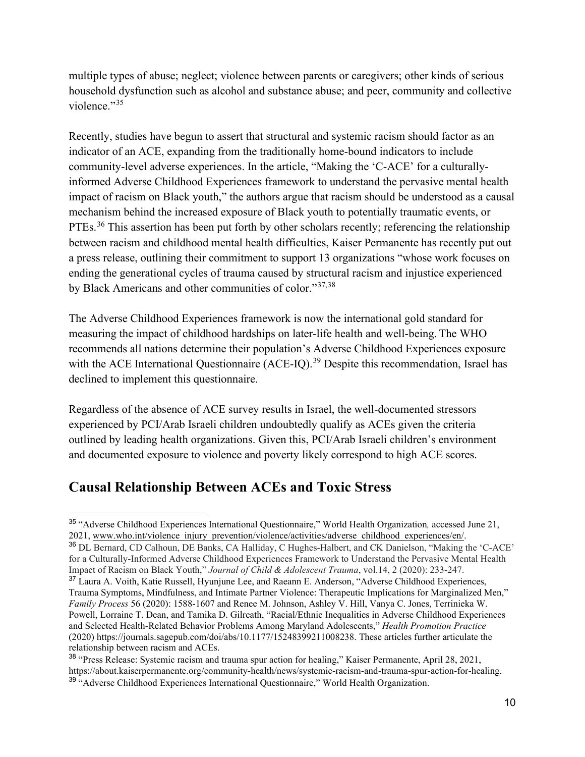multiple types of abuse; neglect; violence between parents or caregivers; other kinds of serious household dysfunction such as alcohol and substance abuse; and peer, community and collective violence."<sup>35</sup>

Recently, studies have begun to assert that structural and systemic racism should factor as an indicator of an ACE, expanding from the traditionally home-bound indicators to include community-level adverse experiences. In the article, "Making the 'C-ACE' for a culturallyinformed Adverse Childhood Experiences framework to understand the pervasive mental health impact of racism on Black youth," the authors argue that racism should be understood as a causal mechanism behind the increased exposure of Black youth to potentially traumatic events, or PTEs.<sup>36</sup> This assertion has been put forth by other scholars recently; referencing the relationship between racism and childhood mental health difficulties, Kaiser Permanente has recently put out a press release, outlining their commitment to support 13 organizations "whose work focuses on ending the generational cycles of trauma caused by structural racism and injustice experienced by Black Americans and other communities of color."[37,](#page-12-2)[38](#page-12-3)

The Adverse Childhood Experiences framework is now the international gold standard for measuring the impact of childhood hardships on later-life health and well-being. The WHO recommends all nations determine their population's Adverse Childhood Experiences exposure with the ACE International Questionnaire (ACE-IQ).<sup>[39](#page-12-4)</sup> Despite this recommendation, Israel has declined to implement this questionnaire.

Regardless of the absence of ACE survey results in Israel, the well-documented stressors experienced by PCI/Arab Israeli children undoubtedly qualify as ACEs given the criteria outlined by leading health organizations. Given this, PCI/Arab Israeli children's environment and documented exposure to violence and poverty likely correspond to high ACE scores.

# **Causal Relationship Between ACEs and Toxic Stress**

<span id="page-12-0"></span><sup>35</sup> "Adverse Childhood Experiences International Questionnaire," World Health Organization*,* accessed June 21, 2021, [www.who.int/violence\\_injury\\_prevention/violence/activities/adverse\\_childhood\\_experiences/en/.](http://www.who.int/violence_injury_prevention/violence/activities/adverse_childhood_experiences/en/)

<span id="page-12-1"></span><sup>36</sup> DL Bernard, CD Calhoun, DE Banks, CA Halliday, C Hughes-Halbert, and CK Danielson, "Making the 'C-ACE' for a Culturally-Informed Adverse Childhood Experiences Framework to Understand the Pervasive Mental Health Impact of Racism on Black Youth," *Journal of Child & Adolescent Trauma*, vol.14, 2 (2020): 233-247.

<span id="page-12-2"></span><sup>&</sup>lt;sup>37</sup> Laura A. Voith, Katie Russell, Hyunjune Lee, and Raeann E. Anderson, "Adverse Childhood Experiences, Trauma Symptoms, Mindfulness, and Intimate Partner Violence: Therapeutic Implications for Marginalized Men," *Family Process* 56 (2020): 1588-1607 and Renee M. Johnson, Ashley V. Hill, Vanya C. Jones, Terrinieka W. Powell, Lorraine T. Dean, and Tamika D. Gilreath, "Racial/Ethnic Inequalities in Adverse Childhood Experiences and Selected Health-Related Behavior Problems Among Maryland Adolescents," *Health Promotion Practice* (2020) https://journals.sagepub.com/doi/abs/10.1177/15248399211008238. These articles further articulate the relationship between racism and ACEs.

<span id="page-12-4"></span><span id="page-12-3"></span><sup>38</sup> "Press Release: Systemic racism and trauma spur action for healing," Kaiser Permanente, April 28, 2021, https://about.kaiserpermanente.org/community-health/news/systemic-racism-and-trauma-spur-action-for-healing. <sup>39</sup> "Adverse Childhood Experiences International Questionnaire," World Health Organization.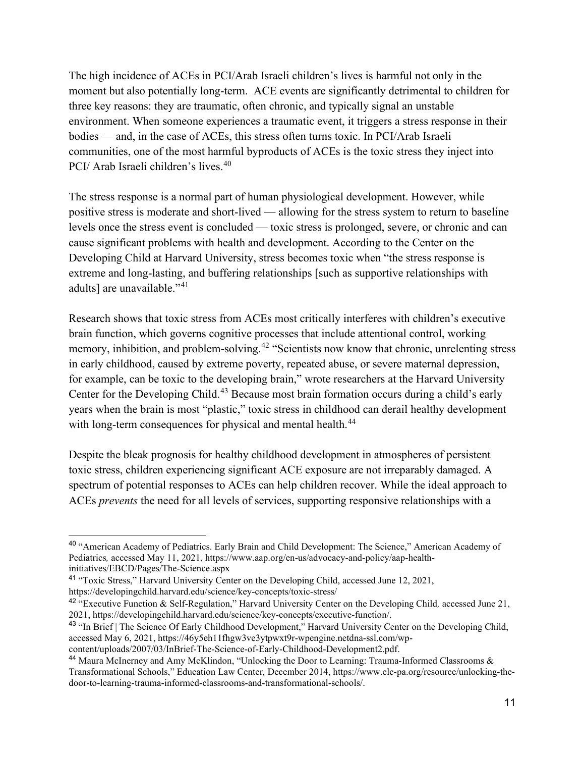The high incidence of ACEs in PCI/Arab Israeli children's lives is harmful not only in the moment but also potentially long-term. ACE events are significantly detrimental to children for three key reasons: they are traumatic, often chronic, and typically signal an unstable environment. When someone experiences a traumatic event, it triggers a stress response in their bodies — and, in the case of ACEs, this stress often turns toxic. In PCI/Arab Israeli communities, one of the most harmful byproducts of ACEs is the toxic stress they inject into PCI/ Arab Israeli children's lives.<sup>[40](#page-13-0)</sup>

The stress response is a normal part of human physiological development. However, while positive stress is moderate and short-lived — allowing for the stress system to return to baseline levels once the stress event is concluded — toxic stress is prolonged, severe, or chronic and can cause significant problems with health and development. According to the Center on the Developing Child at Harvard University, stress becomes toxic when "the stress response is extreme and long-lasting, and buffering relationships [such as supportive relationships with adults] are unavailable."<sup>41</sup>

Research shows that toxic stress from ACEs most critically interferes with children's executive brain function, which governs cognitive processes that include attentional control, working memory, inhibition, and problem-solving.<sup>[42](#page-13-2)</sup> "Scientists now know that chronic, unrelenting stress in early childhood, caused by extreme poverty, repeated abuse, or severe maternal depression, for example, can be toxic to the developing brain," wrote researchers at the Harvard University Center for the Developing Child.<sup>[43](#page-13-3)</sup> Because most brain formation occurs during a child's early years when the brain is most "plastic," toxic stress in childhood can derail healthy development with long-term consequences for physical and mental health.<sup>[44](#page-13-4)</sup>

Despite the bleak prognosis for healthy childhood development in atmospheres of persistent toxic stress, children experiencing significant ACE exposure are not irreparably damaged. A spectrum of potential responses to ACEs can help children recover. While the ideal approach to ACEs *prevents* the need for all levels of services, supporting responsive relationships with a

<span id="page-13-0"></span><sup>40 &</sup>quot;American Academy of Pediatrics. Early Brain and Child Development: The Science," American Academy of Pediatrics*,* accessed May 11, 2021, https://www.aap.org/en-us/advocacy-and-policy/aap-healthinitiatives/EBCD/Pages/The-Science.aspx

<span id="page-13-1"></span><sup>41</sup> "Toxic Stress," Harvard University Center on the Developing Child, accessed June 12, 2021, https://developingchild.harvard.edu/science/key-concepts/toxic-stress/

<span id="page-13-2"></span><sup>42</sup> "Executive Function & Self-Regulation," Harvard University Center on the Developing Child*,* accessed June 21, 2021, https://developingchild.harvard.edu/science/key-concepts/executive-function/.

<span id="page-13-3"></span><sup>43</sup> "In Brief | The Science Of Early Childhood Development," Harvard University Center on the Developing Child, accessed May 6, 2021, https://46y5eh11fhgw3ve3ytpwxt9r-wpengine.netdna-ssl.com/wp-

content/uploads/2007/03/InBrief-The-Science-of-Early-Childhood-Development2.pdf.

<span id="page-13-4"></span><sup>44</sup> Maura McInerney and Amy McKlindon, "Unlocking the Door to Learning: Trauma-Informed Classrooms & Transformational Schools," Education Law Center*,* December 2014, https://www.elc-pa.org/resource/unlocking-thedoor-to-learning-trauma-informed-classrooms-and-transformational-schools/.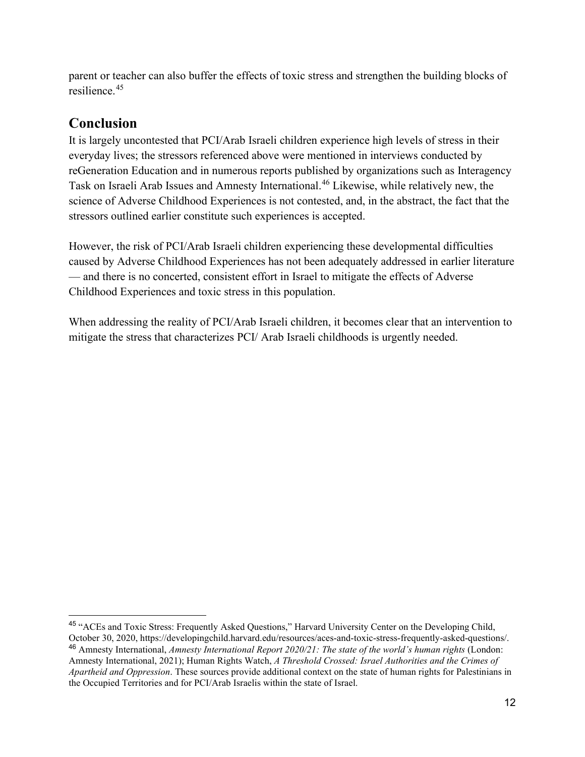parent or teacher can also buffer the effects of toxic stress and strengthen the building blocks of resilience.[45](#page-14-1)

# **Conclusion**

It is largely uncontested that PCI/Arab Israeli children experience high levels of stress in their everyday lives; the stressors referenced above were mentioned in interviews conducted by reGeneration Education and in numerous reports published by organizations such as Interagency Task on Israeli Arab Issues and Amnesty International.<sup>[46](#page-14-2)</sup> Likewise, while relatively new, the science of Adverse Childhood Experiences is not contested, and, in the abstract, the fact that the stressors outlined earlier constitute such experiences is accepted.

However, the risk of PCI/Arab Israeli children experiencing these developmental difficulties caused by Adverse Childhood Experiences has not been adequately addressed in earlier literature — and there is no concerted, consistent effort in Israel to mitigate the effects of Adverse Childhood Experiences and toxic stress in this population.

<span id="page-14-0"></span>When addressing the reality of PCI/Arab Israeli children, it becomes clear that an intervention to mitigate the stress that characterizes PCI/ Arab Israeli childhoods is urgently needed.

<span id="page-14-2"></span><span id="page-14-1"></span><sup>45</sup> "ACEs and Toxic Stress: Frequently Asked Questions," Harvard University Center on the Developing Child, October 30, 2020, https://developingchild.harvard.edu/resources/aces-and-toxic-stress-frequently-asked-questions/. <sup>46</sup> Amnesty International, *Amnesty International Report 2020/21: The state of the world's human rights* (London: Amnesty International, 2021); Human Rights Watch, *A Threshold Crossed: Israel Authorities and the Crimes of Apartheid and Oppression*. These sources provide additional context on the state of human rights for Palestinians in the Occupied Territories and for PCI/Arab Israelis within the state of Israel.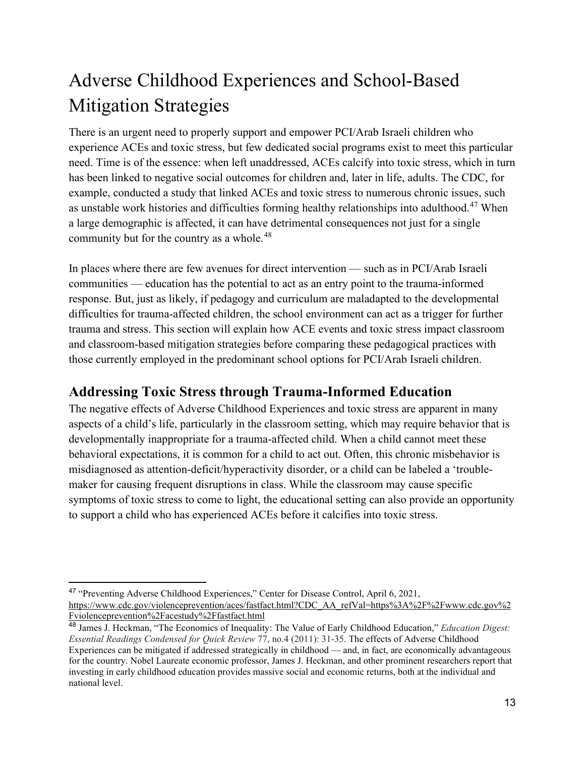# <span id="page-15-0"></span>Adverse Childhood Experiences and School-Based Mitigation Strategies

There is an urgent need to properly support and empower PCI/Arab Israeli children who experience ACEs and toxic stress, but few dedicated social programs exist to meet this particular need. Time is of the essence: when left unaddressed, ACEs calcify into toxic stress, which in turn has been linked to negative social outcomes for children and, later in life, adults. The CDC, for example, conducted a study that linked ACEs and toxic stress to numerous chronic issues, such as unstable work histories and difficulties forming healthy relationships into adulthood.[47](#page-15-1) When a large demographic is affected, it can have detrimental consequences not just for a single community but for the country as a whole.<sup>48</sup>

In places where there are few avenues for direct intervention — such as in PCI/Arab Israeli communities — education has the potential to act as an entry point to the trauma-informed response. But, just as likely, if pedagogy and curriculum are maladapted to the developmental difficulties for trauma-affected children, the school environment can act as a trigger for further trauma and stress. This section will explain how ACE events and toxic stress impact classroom and classroom-based mitigation strategies before comparing these pedagogical practices with those currently employed in the predominant school options for PCI/Arab Israeli children.

# **Addressing Toxic Stress through Trauma-Informed Education**

The negative effects of Adverse Childhood Experiences and toxic stress are apparent in many aspects of a child's life, particularly in the classroom setting, which may require behavior that is developmentally inappropriate for a trauma-affected child. When a child cannot meet these behavioral expectations, it is common for a child to act out. Often, this chronic misbehavior is misdiagnosed as attention-deficit/hyperactivity disorder, or a child can be labeled a 'troublemaker for causing frequent disruptions in class. While the classroom may cause specific symptoms of toxic stress to come to light, the educational setting can also provide an opportunity to support a child who has experienced ACEs before it calcifies into toxic stress.

<span id="page-15-1"></span><sup>47</sup> "Preventing Adverse Childhood Experiences," Center for Disease Control, April 6, 2021, [https://www.cdc.gov/violenceprevention/aces/fastfact.html?CDC\\_AA\\_refVal=https%3A%2F%2Fwww.cdc.gov%2](https://www.cdc.gov/violenceprevention/aces/fastfact.html?CDC_AA_refVal=https%3A%2F%2Fwww.cdc.gov%2Fviolenceprevention%2Facestudy%2Ffastfact.html) [Fviolenceprevention%2Facestudy%2Ffastfact.html](https://www.cdc.gov/violenceprevention/aces/fastfact.html?CDC_AA_refVal=https%3A%2F%2Fwww.cdc.gov%2Fviolenceprevention%2Facestudy%2Ffastfact.html) 

<span id="page-15-2"></span><sup>48</sup> James J. Heckman, "The Economics of Inequality: The Value of Early Childhood Education," *Education Digest: Essential Readings Condensed for Quick Review* 77, no.4 (2011): 31-35. The effects of Adverse Childhood Experiences can be mitigated if addressed strategically in childhood — and, in fact, are economically advantageous for the country. Nobel Laureate economic professor, James J. Heckman, and other prominent researchers report that investing in early childhood education provides massive social and economic returns, both at the individual and national level.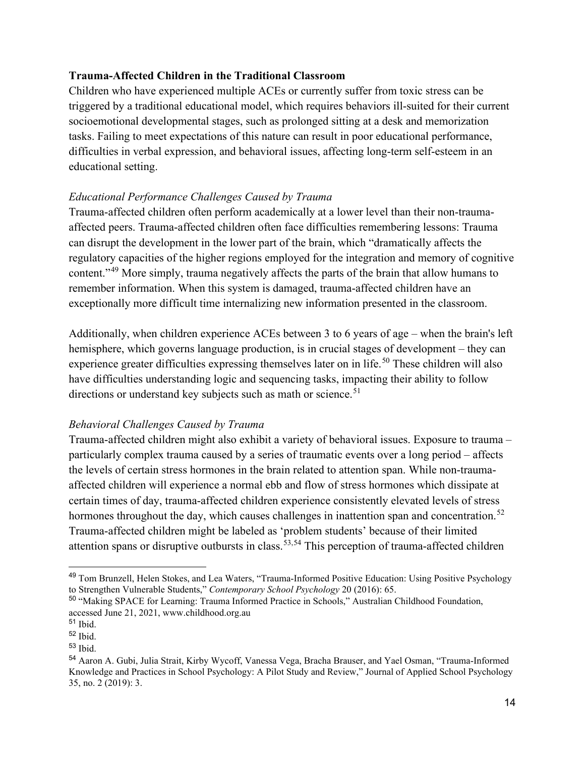### **Trauma-Affected Children in the Traditional Classroom**

Children who have experienced multiple ACEs or currently suffer from toxic stress can be triggered by a traditional educational model, which requires behaviors ill-suited for their current socioemotional developmental stages, such as prolonged sitting at a desk and memorization tasks. Failing to meet expectations of this nature can result in poor educational performance, difficulties in verbal expression, and behavioral issues, affecting long-term self-esteem in an educational setting.

### *Educational Performance Challenges Caused by Trauma*

Trauma-affected children often perform academically at a lower level than their non-traumaaffected peers. Trauma-affected children often face difficulties remembering lessons: Trauma can disrupt the development in the lower part of the brain, which "dramatically affects the regulatory capacities of the higher regions employed for the integration and memory of cognitive content."[49](#page-16-0) More simply, trauma negatively affects the parts of the brain that allow humans to remember information. When this system is damaged, trauma-affected children have an exceptionally more difficult time internalizing new information presented in the classroom.

Additionally, when children experience ACEs between 3 to 6 years of age – when the brain's left hemisphere, which governs language production, is in crucial stages of development – they can experience greater difficulties expressing themselves later on in life.<sup>[50](#page-16-1)</sup> These children will also have difficulties understanding logic and sequencing tasks, impacting their ability to follow directions or understand key subjects such as math or science.<sup>51</sup>

## *Behavioral Challenges Caused by Trauma*

Trauma-affected children might also exhibit a variety of behavioral issues. Exposure to trauma – particularly complex trauma caused by a series of traumatic events over a long period – affects the levels of certain stress hormones in the brain related to attention span. While non-traumaaffected children will experience a normal ebb and flow of stress hormones which dissipate at certain times of day, trauma-affected children experience consistently elevated levels of stress hormones throughout the day, which causes challenges in inattention span and concentration.<sup>[52](#page-16-3)</sup> Trauma-affected children might be labeled as 'problem students' because of their limited attention spans or disruptive outbursts in class.<sup>[53,](#page-16-4)[54](#page-16-5)</sup> This perception of trauma-affected children

<span id="page-16-0"></span><sup>49</sup> Tom Brunzell, Helen Stokes, and Lea Waters, "Trauma-Informed Positive Education: Using Positive Psychology to Strengthen Vulnerable Students," *Contemporary School Psychology* 20 (2016): 65.

<span id="page-16-1"></span><sup>50</sup> "Making SPACE for Learning: Trauma Informed Practice in Schools," Australian Childhood Foundation, accessed June 21, 2021, www.childhood.org.au

<span id="page-16-2"></span><sup>51</sup> Ibid.

<span id="page-16-3"></span><sup>52</sup> Ibid.

<span id="page-16-4"></span><sup>53</sup> Ibid.

<span id="page-16-5"></span><sup>54</sup> Aaron A. Gubi, Julia Strait, Kirby Wycoff, Vanessa Vega, Bracha Brauser, and Yael Osman, "Trauma-Informed Knowledge and Practices in School Psychology: A Pilot Study and Review," Journal of Applied School Psychology 35, no. 2 (2019): 3.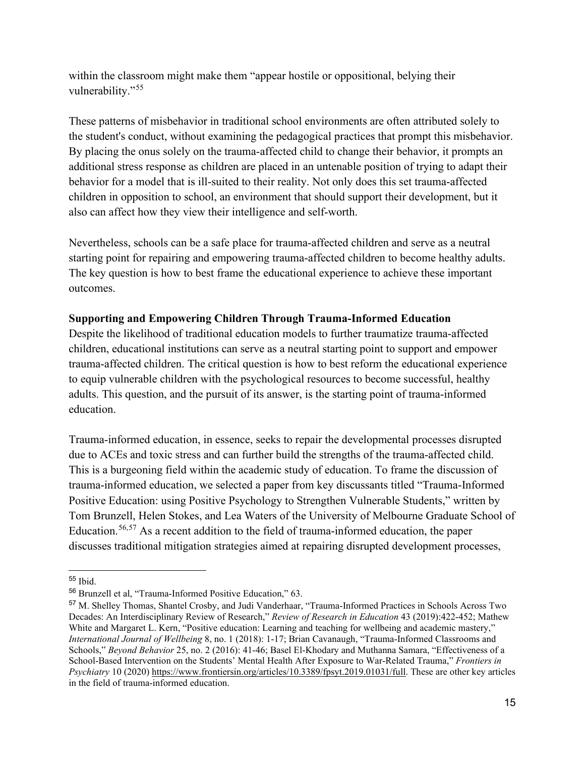within the classroom might make them "appear hostile or oppositional, belying their vulnerability."[55](#page-17-0)

These patterns of misbehavior in traditional school environments are often attributed solely to the student's conduct, without examining the pedagogical practices that prompt this misbehavior. By placing the onus solely on the trauma-affected child to change their behavior, it prompts an additional stress response as children are placed in an untenable position of trying to adapt their behavior for a model that is ill-suited to their reality. Not only does this set trauma-affected children in opposition to school, an environment that should support their development, but it also can affect how they view their intelligence and self-worth.

Nevertheless, schools can be a safe place for trauma-affected children and serve as a neutral starting point for repairing and empowering trauma-affected children to become healthy adults. The key question is how to best frame the educational experience to achieve these important outcomes.

## **Supporting and Empowering Children Through Trauma-Informed Education**

Despite the likelihood of traditional education models to further traumatize trauma-affected children, educational institutions can serve as a neutral starting point to support and empower trauma-affected children. The critical question is how to best reform the educational experience to equip vulnerable children with the psychological resources to become successful, healthy adults. This question, and the pursuit of its answer, is the starting point of trauma-informed education.

Trauma-informed education, in essence, seeks to repair the developmental processes disrupted due to ACEs and toxic stress and can further build the strengths of the trauma-affected child. This is a burgeoning field within the academic study of education. To frame the discussion of trauma-informed education, we selected a paper from key discussants titled "Trauma-Informed Positive Education: using Positive Psychology to Strengthen Vulnerable Students," written by Tom Brunzell, Helen Stokes, and Lea Waters of the University of Melbourne Graduate School of Education.[56](#page-17-1),[57](#page-17-2) As a recent addition to the field of trauma-informed education, the paper discusses traditional mitigation strategies aimed at repairing disrupted development processes,

<span id="page-17-0"></span><sup>55</sup> Ibid.

<span id="page-17-1"></span><sup>56</sup> Brunzell et al, "Trauma-Informed Positive Education," 63.

<span id="page-17-2"></span><sup>57</sup> M. Shelley Thomas, Shantel Crosby, and Judi Vanderhaar, "Trauma-Informed Practices in Schools Across Two Decades: An Interdisciplinary Review of Research," *Review of Research in Education* 43 (2019):422-452; Mathew White and Margaret L. Kern, "Positive education: Learning and teaching for wellbeing and academic mastery," *International Journal of Wellbeing* 8, no. 1 (2018): 1-17; Brian Cavanaugh, "Trauma-Informed Classrooms and Schools," *Beyond Behavior* 25, no. 2 (2016): 41-46; Basel El-Khodary and Muthanna Samara, "Effectiveness of a School-Based Intervention on the Students' Mental Health After Exposure to War-Related Trauma," *Frontiers in Psychiatry* 10 (2020) [https://www.frontiersin.org/articles/10.3389/fpsyt.2019.01031/full.](https://www.frontiersin.org/articles/10.3389/fpsyt.2019.01031/full) These are other key articles in the field of trauma-informed education.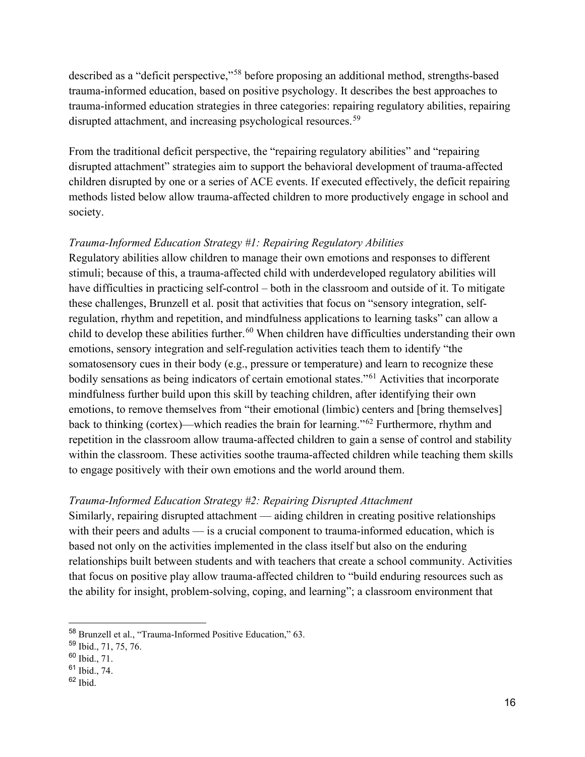described as a "deficit perspective,"[58](#page-18-0) before proposing an additional method, strengths-based trauma-informed education, based on positive psychology. It describes the best approaches to trauma-informed education strategies in three categories: repairing regulatory abilities, repairing disrupted attachment, and increasing psychological resources.<sup>[59](#page-18-1)</sup>

From the traditional deficit perspective, the "repairing regulatory abilities" and "repairing disrupted attachment" strategies aim to support the behavioral development of trauma-affected children disrupted by one or a series of ACE events. If executed effectively, the deficit repairing methods listed below allow trauma-affected children to more productively engage in school and society.

## *Trauma-Informed Education Strategy #1: Repairing Regulatory Abilities*

Regulatory abilities allow children to manage their own emotions and responses to different stimuli; because of this, a trauma-affected child with underdeveloped regulatory abilities will have difficulties in practicing self-control – both in the classroom and outside of it. To mitigate these challenges, Brunzell et al. posit that activities that focus on "sensory integration, selfregulation, rhythm and repetition, and mindfulness applications to learning tasks" can allow a child to develop these abilities further.<sup>[60](#page-18-2)</sup> When children have difficulties understanding their own emotions, sensory integration and self-regulation activities teach them to identify "the somatosensory cues in their body (e.g., pressure or temperature) and learn to recognize these bodily sensations as being indicators of certain emotional states."<sup>[61](#page-18-3)</sup> Activities that incorporate mindfulness further build upon this skill by teaching children, after identifying their own emotions, to remove themselves from "their emotional (limbic) centers and [bring themselves] back to thinking (cortex)—which readies the brain for learning."[62](#page-18-4) Furthermore, rhythm and repetition in the classroom allow trauma-affected children to gain a sense of control and stability within the classroom. These activities soothe trauma-affected children while teaching them skills to engage positively with their own emotions and the world around them.

## *Trauma-Informed Education Strategy #2: Repairing Disrupted Attachment*

Similarly, repairing disrupted attachment — aiding children in creating positive relationships with their peers and adults — is a crucial component to trauma-informed education, which is based not only on the activities implemented in the class itself but also on the enduring relationships built between students and with teachers that create a school community. Activities that focus on positive play allow trauma-affected children to "build enduring resources such as the ability for insight, problem-solving, coping, and learning"; a classroom environment that

<span id="page-18-0"></span><sup>58</sup> Brunzell et al., "Trauma-Informed Positive Education," 63.

<span id="page-18-1"></span><sup>59</sup> Ibid., 71, 75, 76.

<span id="page-18-2"></span><sup>60</sup> Ibid., 71.

<span id="page-18-3"></span> $61$  Ibid., 74.

<span id="page-18-4"></span> $62$  Ibid.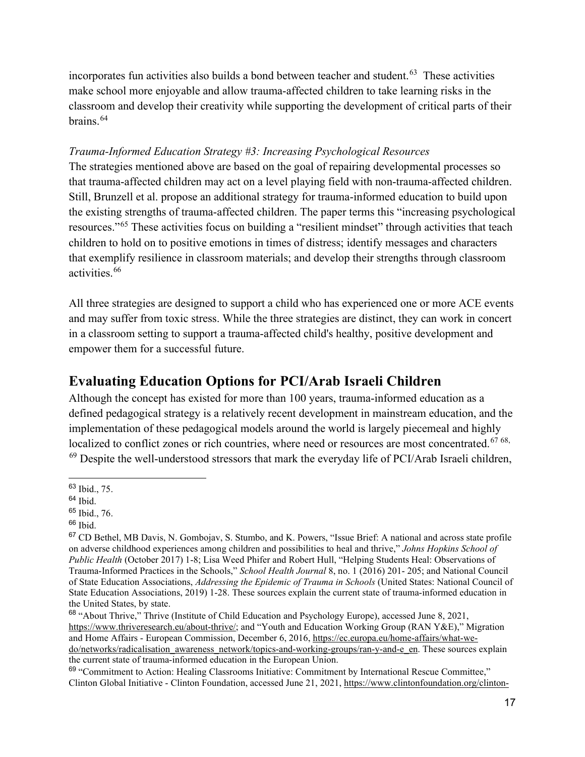incorporates fun activities also builds a bond between teacher and student.<sup>63</sup> These activities make school more enjoyable and allow trauma-affected children to take learning risks in the classroom and develop their creativity while supporting the development of critical parts of their brains.[64](#page-19-1)

## *Trauma-Informed Education Strategy #3: Increasing Psychological Resources*

The strategies mentioned above are based on the goal of repairing developmental processes so that trauma-affected children may act on a level playing field with non-trauma-affected children. Still, Brunzell et al. propose an additional strategy for trauma-informed education to build upon the existing strengths of trauma-affected children. The paper terms this "increasing psychological resources."[65](#page-19-2) These activities focus on building a "resilient mindset" through activities that teach children to hold on to positive emotions in times of distress; identify messages and characters that exemplify resilience in classroom materials; and develop their strengths through classroom activities.[66](#page-19-3) 

All three strategies are designed to support a child who has experienced one or more ACE events and may suffer from toxic stress. While the three strategies are distinct, they can work in concert in a classroom setting to support a trauma-affected child's healthy, positive development and empower them for a successful future.

# **Evaluating Education Options for PCI/Arab Israeli Children**

Although the concept has existed for more than 100 years, trauma-informed education as a defined pedagogical strategy is a relatively recent development in mainstream education, and the implementation of these pedagogical models around the world is largely piecemeal and highly localized to conflict zones or rich countries, where need or resources are most concentrated.<sup>[67](#page-19-4) [68](#page-19-5),</sup>  $69$  Despite the well-understood stressors that mark the everyday life of PCI/Arab Israeli children,

<span id="page-19-0"></span><sup>63</sup> Ibid., 75.

<span id="page-19-1"></span> $64$  Ibid.

<span id="page-19-2"></span> $65$  Ibid., 76.

<span id="page-19-3"></span><sup>66</sup> Ibid.

<span id="page-19-4"></span><sup>67</sup> CD Bethel, MB Davis, N. Gombojav, S. Stumbo, and K. Powers, "Issue Brief: A national and across state profile on adverse childhood experiences among children and possibilities to heal and thrive," *Johns Hopkins School of Public Health* (October 2017) 1-8; Lisa Weed Phifer and Robert Hull, "Helping Students Heal: Observations of Trauma-Informed Practices in the Schools," *School Health Journal* 8, no. 1 (2016) 201- 205; and National Council of State Education Associations, *Addressing the Epidemic of Trauma in Schools* (United States: National Council of State Education Associations, 2019) 1-28. These sources explain the current state of trauma-informed education in the United States, by state.

<span id="page-19-5"></span><sup>68</sup> "About Thrive," Thrive (Institute of Child Education and Psychology Europe), accessed June 8, 2021, [https://www.thriveresearch.eu/about-thrive/;](https://www.thriveresearch.eu/about-thrive/) and "Youth and Education Working Group (RAN Y&E)," Migration and Home Affairs - European Commission, December 6, 2016[, https://ec.europa.eu/home-affairs/what-we](https://ec.europa.eu/home-affairs/what-we-do/networks/radicalisation_awareness_network/topics-and-working-groups/ran-y-and-e_en)[do/networks/radicalisation\\_awareness\\_network/topics-and-working-groups/ran-y-and-e\\_en.](https://ec.europa.eu/home-affairs/what-we-do/networks/radicalisation_awareness_network/topics-and-working-groups/ran-y-and-e_en) These sources explain the current state of trauma-informed education in the European Union.

<span id="page-19-6"></span><sup>69</sup> "Commitment to Action: Healing Classrooms Initiative: Commitment by International Rescue Committee," Clinton Global Initiative - Clinton Foundation, accessed June 21, 2021, [https://www.clintonfoundation.org/clinton-](https://www.clintonfoundation.org/clinton-global-initiative/commitments/healing-classrooms-initiative)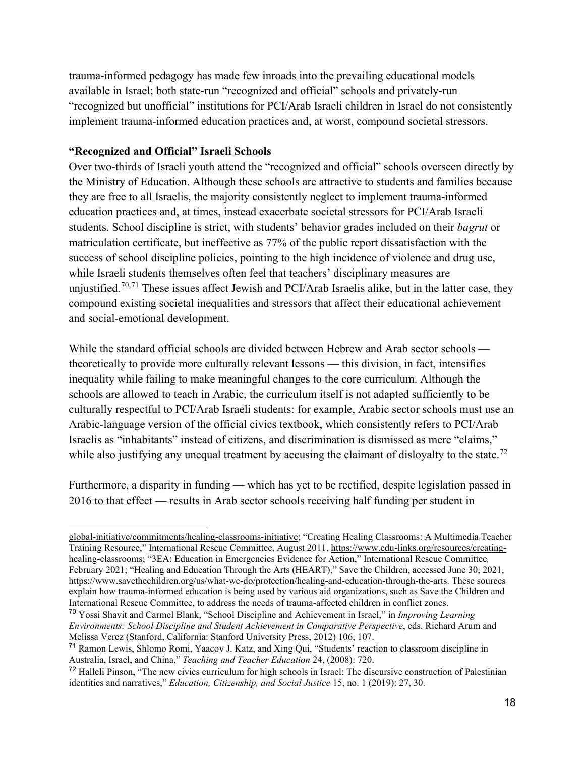trauma-informed pedagogy has made few inroads into the prevailing educational models available in Israel; both state-run "recognized and official" schools and privately-run "recognized but unofficial" institutions for PCI/Arab Israeli children in Israel do not consistently implement trauma-informed education practices and, at worst, compound societal stressors.

#### **"Recognized and Official" Israeli Schools**

Over two-thirds of Israeli youth attend the "recognized and official" schools overseen directly by the Ministry of Education. Although these schools are attractive to students and families because they are free to all Israelis, the majority consistently neglect to implement trauma-informed education practices and, at times, instead exacerbate societal stressors for PCI/Arab Israeli students. School discipline is strict, with students' behavior grades included on their *bagrut* or matriculation certificate, but ineffective as 77% of the public report dissatisfaction with the success of school discipline policies, pointing to the high incidence of violence and drug use, while Israeli students themselves often feel that teachers' disciplinary measures are unjustified.<sup>[70](#page-20-0),[71](#page-20-1)</sup> These issues affect Jewish and PCI/Arab Israelis alike, but in the latter case, they compound existing societal inequalities and stressors that affect their educational achievement and social-emotional development.

While the standard official schools are divided between Hebrew and Arab sector schools theoretically to provide more culturally relevant lessons — this division, in fact, intensifies inequality while failing to make meaningful changes to the core curriculum. Although the schools are allowed to teach in Arabic, the curriculum itself is not adapted sufficiently to be culturally respectful to PCI/Arab Israeli students: for example, Arabic sector schools must use an Arabic-language version of the official civics textbook, which consistently refers to PCI/Arab Israelis as "inhabitants" instead of citizens, and discrimination is dismissed as mere "claims," while also justifying any unequal treatment by accusing the claimant of disloyalty to the state.<sup>[72](#page-20-2)</sup>

Furthermore, a disparity in funding — which has yet to be rectified, despite legislation passed in 2016 to that effect — results in Arab sector schools receiving half funding per student in

[global-initiative/commitments/healing-classrooms-initiative;](https://www.clintonfoundation.org/clinton-global-initiative/commitments/healing-classrooms-initiative) "Creating Healing Classrooms: A Multimedia Teacher Training Resource," International Rescue Committee, August 2011[, https://www.edu-links.org/resources/creating](https://www.edu-links.org/resources/creating-healing-classrooms)[healing-classrooms;](https://www.edu-links.org/resources/creating-healing-classrooms) "3EA: Education in Emergencies Evidence for Action," International Rescue Committee*,*  February 2021; "Healing and Education Through the Arts (HEART)," Save the Children, accessed June 30, 2021, [https://www.savethechildren.org/us/what-we-do/protection/healing-and-education-through-the-arts.](https://www.savethechildren.org/us/what-we-do/protection/healing-and-education-through-the-arts) These sources explain how trauma-informed education is being used by various aid organizations, such as Save the Children and International Rescue Committee, to address the needs of trauma-affected children in conflict zones.

<span id="page-20-0"></span><sup>70</sup> Yossi Shavit and Carmel Blank, "School Discipline and Achievement in Israel," in *Improving Learning Environments: School Discipline and Student Achievement in Comparative Perspective*, eds. Richard Arum and Melissa Verez (Stanford, California: Stanford University Press, 2012) 106, 107.

<span id="page-20-1"></span><sup>71</sup> Ramon Lewis, Shlomo Romi, Yaacov J. Katz, and Xing Qui, "Students' reaction to classroom discipline in Australia, Israel, and China," *Teaching and Teacher Education* 24, (2008): 720.

<span id="page-20-2"></span><sup>72</sup> Halleli Pinson, "The new civics curriculum for high schools in Israel: The discursive construction of Palestinian identities and narratives," *Education, Citizenship, and Social Justice* 15, no. 1 (2019): 27, 30.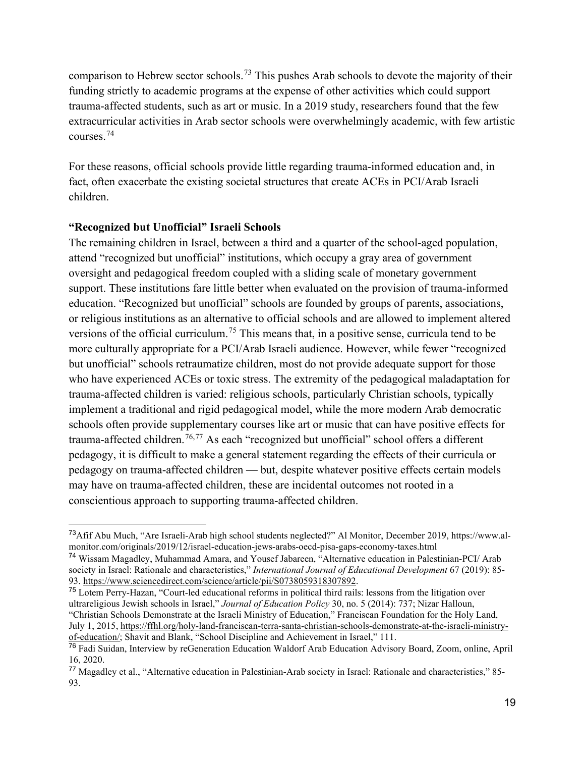comparison to Hebrew sector schools.[73](#page-21-0) This pushes Arab schools to devote the majority of their funding strictly to academic programs at the expense of other activities which could support trauma-affected students, such as art or music. In a 2019 study, researchers found that the few extracurricular activities in Arab sector schools were overwhelmingly academic, with few artistic courses.[74](#page-21-1) 

For these reasons, official schools provide little regarding trauma-informed education and, in fact, often exacerbate the existing societal structures that create ACEs in PCI/Arab Israeli children.

#### **"Recognized but Unofficial" Israeli Schools**

The remaining children in Israel, between a third and a quarter of the school-aged population, attend "recognized but unofficial" institutions, which occupy a gray area of government oversight and pedagogical freedom coupled with a sliding scale of monetary government support. These institutions fare little better when evaluated on the provision of trauma-informed education. "Recognized but unofficial" schools are founded by groups of parents, associations, or religious institutions as an alternative to official schools and are allowed to implement altered versions of the official curriculum.<sup>[75](#page-21-2)</sup> This means that, in a positive sense, curricula tend to be more culturally appropriate for a PCI/Arab Israeli audience. However, while fewer "recognized but unofficial" schools retraumatize children, most do not provide adequate support for those who have experienced ACEs or toxic stress. The extremity of the pedagogical maladaptation for trauma-affected children is varied: religious schools, particularly Christian schools, typically implement a traditional and rigid pedagogical model, while the more modern Arab democratic schools often provide supplementary courses like art or music that can have positive effects for trauma-affected children.<sup>[76,](#page-21-3)[77](#page-21-4)</sup> As each "recognized but unofficial" school offers a different pedagogy, it is difficult to make a general statement regarding the effects of their curricula or pedagogy on trauma-affected children — but, despite whatever positive effects certain models may have on trauma-affected children, these are incidental outcomes not rooted in a conscientious approach to supporting trauma-affected children.

<span id="page-21-2"></span><sup>75</sup> Lotem Perry-Hazan, "Court-led educational reforms in political third rails: lessons from the litigation over ultrareligious Jewish schools in Israel," *Journal of Education Policy* 30, no. 5 (2014): 737; Nizar Halloun, "Christian Schools Demonstrate at the Israeli Ministry of Education," Franciscan Foundation for the Holy Land, July 1, 2015, [https://ffhl.org/holy-land-franciscan-terra-santa-christian-schools-demonstrate-at-the-israeli-ministry](https://ffhl.org/holy-land-franciscan-terra-santa-christian-schools-demonstrate-at-the-israeli-ministry-of-education/)[of-education/;](https://ffhl.org/holy-land-franciscan-terra-santa-christian-schools-demonstrate-at-the-israeli-ministry-of-education/) Shavit and Blank, "School Discipline and Achievement in Israel," 111.

<span id="page-21-0"></span><sup>73</sup>Afif Abu Much, "Are Israeli-Arab high school students neglected?" Al Monitor, December 2019, https://www.almonitor.com/originals/2019/12/israel-education-jews-arabs-oecd-pisa-gaps-economy-taxes.html

<span id="page-21-1"></span><sup>74</sup> Wissam Magadley, Muhammad Amara, and Yousef Jabareen, "Alternative education in Palestinian-PCI/ Arab society in Israel: Rationale and characteristics," *International Journal of Educational Development* 67 (2019): 85- 93. [https://www.sciencedirect.com/science/article/pii/S0738059318307892.](https://www.sciencedirect.com/science/article/pii/S0738059318307892)

<span id="page-21-3"></span><sup>76</sup> Fadi Suidan, Interview by reGeneration Education Waldorf Arab Education Advisory Board, Zoom, online, April 16, 2020.

<span id="page-21-4"></span><sup>77</sup> Magadley et al., "Alternative education in Palestinian-Arab society in Israel: Rationale and characteristics," 85- 93.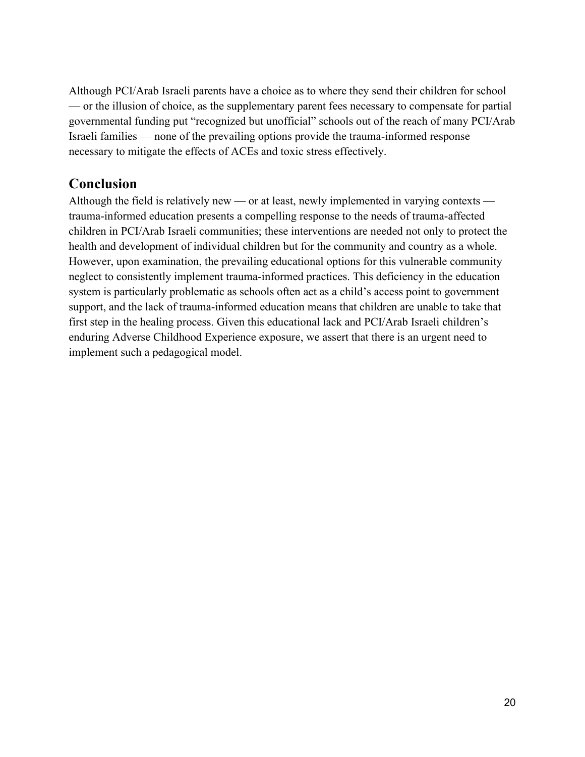Although PCI/Arab Israeli parents have a choice as to where they send their children for school — or the illusion of choice, as the supplementary parent fees necessary to compensate for partial governmental funding put "recognized but unofficial" schools out of the reach of many PCI/Arab Israeli families — none of the prevailing options provide the trauma-informed response necessary to mitigate the effects of ACEs and toxic stress effectively.

# **Conclusion**

Although the field is relatively new — or at least, newly implemented in varying contexts trauma-informed education presents a compelling response to the needs of trauma-affected children in PCI/Arab Israeli communities; these interventions are needed not only to protect the health and development of individual children but for the community and country as a whole. However, upon examination, the prevailing educational options for this vulnerable community neglect to consistently implement trauma-informed practices. This deficiency in the education system is particularly problematic as schools often act as a child's access point to government support, and the lack of trauma-informed education means that children are unable to take that first step in the healing process. Given this educational lack and PCI/Arab Israeli children's enduring Adverse Childhood Experience exposure, we assert that there is an urgent need to implement such a pedagogical model.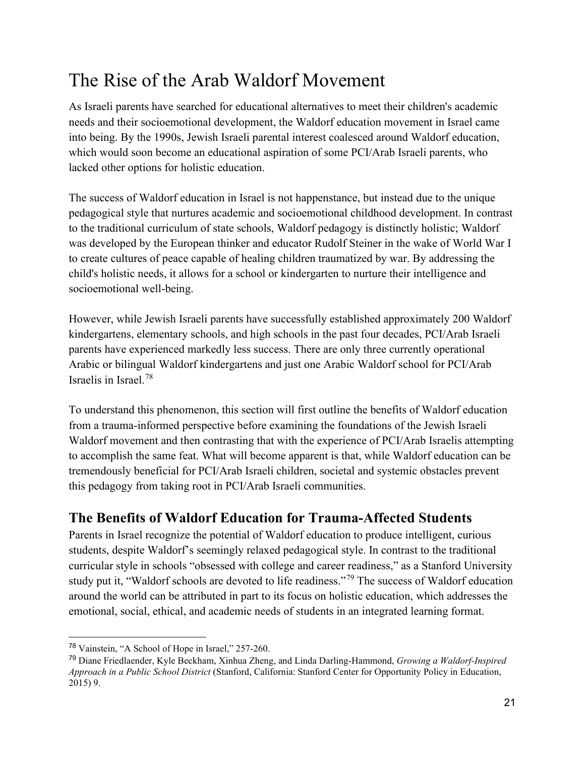# <span id="page-23-0"></span>The Rise of the Arab Waldorf Movement

As Israeli parents have searched for educational alternatives to meet their children's academic needs and their socioemotional development, the Waldorf education movement in Israel came into being. By the 1990s, Jewish Israeli parental interest coalesced around Waldorf education, which would soon become an educational aspiration of some PCI/Arab Israeli parents, who lacked other options for holistic education.

The success of Waldorf education in Israel is not happenstance, but instead due to the unique pedagogical style that nurtures academic and socioemotional childhood development. In contrast to the traditional curriculum of state schools, Waldorf pedagogy is distinctly holistic; Waldorf was developed by the European thinker and educator Rudolf Steiner in the wake of World War I to create cultures of peace capable of healing children traumatized by war. By addressing the child's holistic needs, it allows for a school or kindergarten to nurture their intelligence and socioemotional well-being.

However, while Jewish Israeli parents have successfully established approximately 200 Waldorf kindergartens, elementary schools, and high schools in the past four decades, PCI/Arab Israeli parents have experienced markedly less success. There are only three currently operational Arabic or bilingual Waldorf kindergartens and just one Arabic Waldorf school for PCI/Arab Israelis in Israel.[78](#page-23-1)

To understand this phenomenon, this section will first outline the benefits of Waldorf education from a trauma-informed perspective before examining the foundations of the Jewish Israeli Waldorf movement and then contrasting that with the experience of PCI/Arab Israelis attempting to accomplish the same feat. What will become apparent is that, while Waldorf education can be tremendously beneficial for PCI/Arab Israeli children, societal and systemic obstacles prevent this pedagogy from taking root in PCI/Arab Israeli communities.

# **The Benefits of Waldorf Education for Trauma-Affected Students**

Parents in Israel recognize the potential of Waldorf education to produce intelligent, curious students, despite Waldorf's seemingly relaxed pedagogical style. In contrast to the traditional curricular style in schools "obsessed with college and career readiness," as a Stanford University study put it, "Waldorf schools are devoted to life readiness."[79](#page-23-2) The success of Waldorf education around the world can be attributed in part to its focus on holistic education, which addresses the emotional, social, ethical, and academic needs of students in an integrated learning format.

<span id="page-23-1"></span><sup>78</sup> Vainstein, "A School of Hope in Israel," 257-260.

<span id="page-23-2"></span><sup>79</sup> Diane Friedlaender, Kyle Beckham, Xinhua Zheng, and Linda Darling-Hammond, *Growing a Waldorf-Inspired Approach in a Public School District* (Stanford, California: Stanford Center for Opportunity Policy in Education, 2015) 9.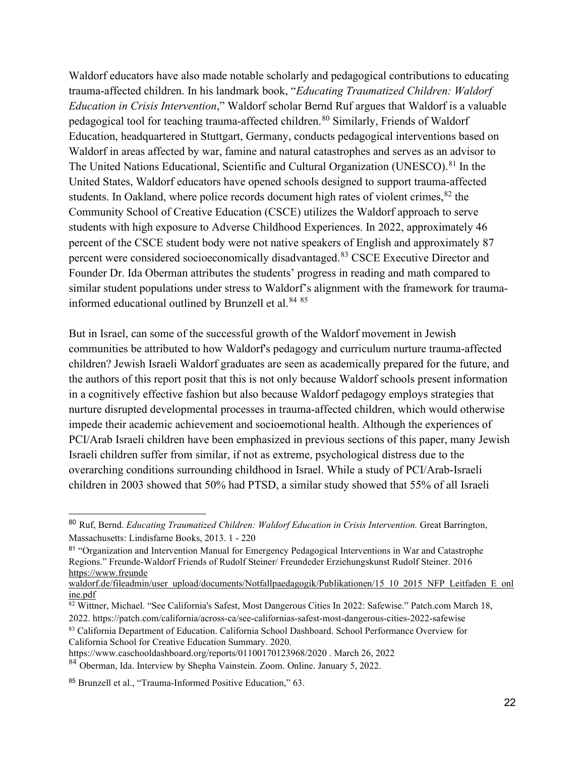Waldorf educators have also made notable scholarly and pedagogical contributions to educating trauma-affected children. In his landmark book, "*Educating Traumatized Children: Waldorf Education in Crisis Intervention*," Waldorf scholar Bernd Ruf argues that Waldorf is a valuable pedagogical tool for teaching trauma-affected children.<sup>[80](#page-24-0)</sup> Similarly, Friends of Waldorf Education, headquartered in Stuttgart, Germany, conducts pedagogical interventions based on Waldorf in areas affected by war, famine and natural catastrophes and serves as an advisor to The United Nations Educational, Scientific and Cultural Organization (UNESCO).<sup>[81](#page-24-1)</sup> In the United States, Waldorf educators have opened schools designed to support trauma-affected students. In Oakland, where police records document high rates of violent crimes,  $82$  the Community School of Creative Education (CSCE) utilizes the Waldorf approach to serve students with high exposure to Adverse Childhood Experiences. In 2022, approximately 46 percent of the CSCE student body were not native speakers of English and approximately 87 percent were considered socioeconomically disadvantaged.<sup>[83](#page-24-3)</sup> CSCE Executive Director and Founder Dr. Ida Oberman attributes the students' progress in reading and math compared to similar student populations under stress to Waldorf's alignment with the framework for trauma-informed educational outlined by Brunzell et al.<sup>[84](#page-24-4) 85</sup>

But in Israel, can some of the successful growth of the Waldorf movement in Jewish communities be attributed to how Waldorf's pedagogy and curriculum nurture trauma-affected children? Jewish Israeli Waldorf graduates are seen as academically prepared for the future, and the authors of this report posit that this is not only because Waldorf schools present information in a cognitively effective fashion but also because Waldorf pedagogy employs strategies that nurture disrupted developmental processes in trauma-affected children, which would otherwise impede their academic achievement and socioemotional health. Although the experiences of PCI/Arab Israeli children have been emphasized in previous sections of this paper, many Jewish Israeli children suffer from similar, if not as extreme, psychological distress due to the overarching conditions surrounding childhood in Israel. While a study of PCI/Arab-Israeli children in 2003 showed that 50% had PTSD, a similar study showed that 55% of all Israeli

<span id="page-24-0"></span><sup>80</sup> Ruf, Bernd. *Educating Traumatized Children: Waldorf Education in Crisis Intervention.* Great Barrington, Massachusetts: Lindisfarne Books, 2013. 1 - 220

<span id="page-24-1"></span><sup>81</sup> "Organization and Intervention Manual for Emergency Pedagogical Interventions in War and Catastrophe Regions." Freunde-Waldorf Friends of Rudolf Steiner/ Freundeder Erziehungskunst Rudolf Steiner. 2016 https://www.freunde

waldorf.de/fileadmin/user\_upload/documents/Notfallpaedagogik/Publikationen/15\_10\_2015\_NFP\_Leitfaden\_E\_onl ine.pdf<br><sup>82</sup> Wittner, Michael. "See California's Safest, Most Dangerous Cities In 2022: Safewise." Patch.com March 18,

<span id="page-24-2"></span>

<sup>2022.</sup> https://patch.com/california/across-ca/see-californias-safest-most-dangerous-cities-2022-safewise

<span id="page-24-3"></span><sup>83</sup> California Department of Education. California School Dashboard. School Performance Overview for California School for Creative Education Summary. 2020.

https://www.caschooldashboard.org/reports/01100170123968/2020 . March 26, 2022

<span id="page-24-4"></span><sup>84</sup> Oberman, Ida. Interview by Shepha Vainstein. Zoom. Online. January 5, 2022.

<span id="page-24-5"></span><sup>85</sup> Brunzell et al., "Trauma-Informed Positive Education," 63.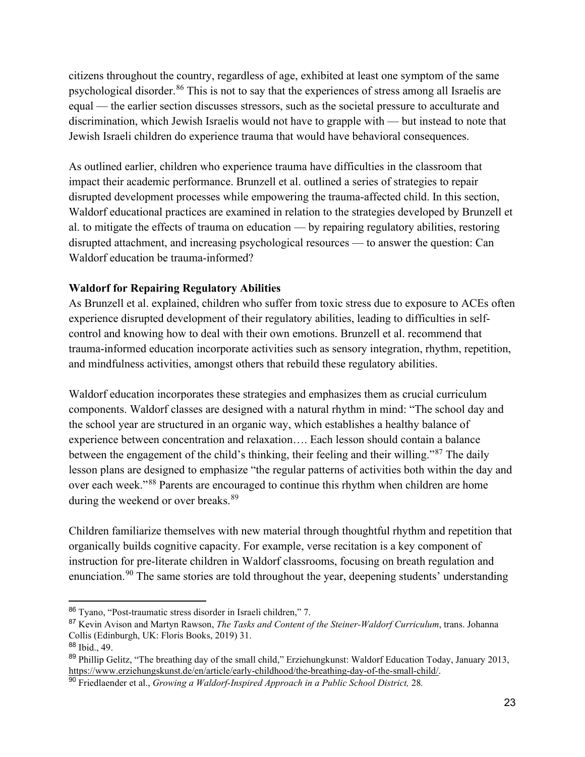citizens throughout the country, regardless of age, exhibited at least one symptom of the same psychological disorder.[86](#page-25-0) This is not to say that the experiences of stress among all Israelis are equal — the earlier section discusses stressors, such as the societal pressure to acculturate and discrimination, which Jewish Israelis would not have to grapple with — but instead to note that Jewish Israeli children do experience trauma that would have behavioral consequences.

As outlined earlier, children who experience trauma have difficulties in the classroom that impact their academic performance. Brunzell et al. outlined a series of strategies to repair disrupted development processes while empowering the trauma-affected child. In this section, Waldorf educational practices are examined in relation to the strategies developed by Brunzell et al. to mitigate the effects of trauma on education — by repairing regulatory abilities, restoring disrupted attachment, and increasing psychological resources — to answer the question: Can Waldorf education be trauma-informed?

## **Waldorf for Repairing Regulatory Abilities**

As Brunzell et al. explained, children who suffer from toxic stress due to exposure to ACEs often experience disrupted development of their regulatory abilities, leading to difficulties in selfcontrol and knowing how to deal with their own emotions. Brunzell et al. recommend that trauma-informed education incorporate activities such as sensory integration, rhythm, repetition, and mindfulness activities, amongst others that rebuild these regulatory abilities.

Waldorf education incorporates these strategies and emphasizes them as crucial curriculum components. Waldorf classes are designed with a natural rhythm in mind: "The school day and the school year are structured in an organic way, which establishes a healthy balance of experience between concentration and relaxation…. Each lesson should contain a balance between the engagement of the child's thinking, their feeling and their willing."<sup>87</sup> The daily lesson plans are designed to emphasize "the regular patterns of activities both within the day and over each week."[88](#page-25-2) Parents are encouraged to continue this rhythm when children are home during the weekend or over breaks.<sup>89</sup>

Children familiarize themselves with new material through thoughtful rhythm and repetition that organically builds cognitive capacity. For example, verse recitation is a key component of instruction for pre-literate children in Waldorf classrooms, focusing on breath regulation and enunciation.<sup>90</sup> The same stories are told throughout the year, deepening students' understanding

<span id="page-25-0"></span><sup>86</sup> Tyano, "Post-traumatic stress disorder in Israeli children," 7.

<span id="page-25-1"></span><sup>87</sup> Kevin Avison and Martyn Rawson, *The Tasks and Content of the Steiner-Waldorf Curriculum*, trans. Johanna Collis (Edinburgh, UK: Floris Books, 2019) 31.

<span id="page-25-2"></span><sup>88</sup> Ibid., 49.

<span id="page-25-3"></span><sup>&</sup>lt;sup>89</sup> Phillip Gelitz, "The breathing day of the small child," Erziehungkunst: Waldorf Education Today, January 2013, [https://www.erziehungskunst.de/en/article/early-childhood/the-breathing-day-of-the-small-child/.](https://www.erziehungskunst.de/en/article/early-childhood/the-breathing-day-of-the-small-child/)

<span id="page-25-4"></span><sup>90</sup> Friedlaender et al., *Growing a Waldorf-Inspired Approach in a Public School District,* 28*.*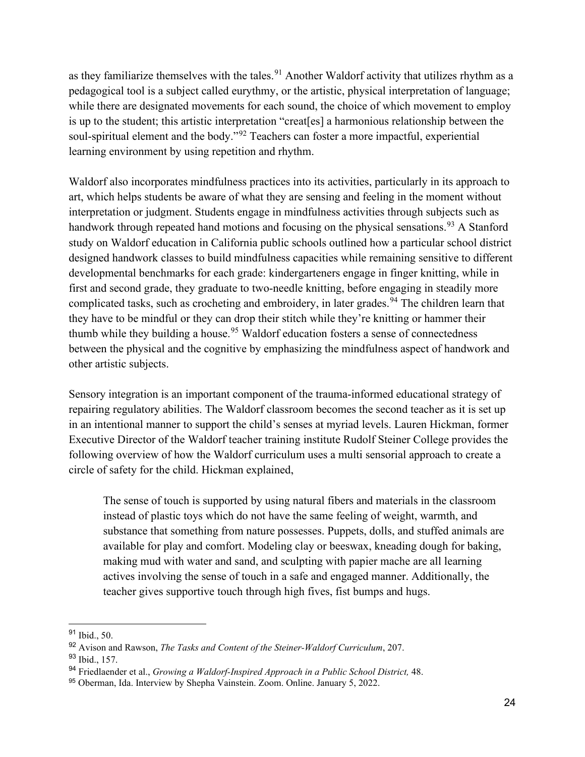as they familiarize themselves with the tales.<sup>[91](#page-26-0)</sup> Another Waldorf activity that utilizes rhythm as a pedagogical tool is a subject called eurythmy, or the artistic, physical interpretation of language; while there are designated movements for each sound, the choice of which movement to employ is up to the student; this artistic interpretation "creat[es] a harmonious relationship between the soul-spiritual element and the body."<sup>[92](#page-26-1)</sup> Teachers can foster a more impactful, experiential learning environment by using repetition and rhythm.

Waldorf also incorporates mindfulness practices into its activities, particularly in its approach to art, which helps students be aware of what they are sensing and feeling in the moment without interpretation or judgment. Students engage in mindfulness activities through subjects such as handwork through repeated hand motions and focusing on the physical sensations.<sup>[93](#page-26-2)</sup> A Stanford study on Waldorf education in California public schools outlined how a particular school district designed handwork classes to build mindfulness capacities while remaining sensitive to different developmental benchmarks for each grade: kindergarteners engage in finger knitting, while in first and second grade, they graduate to two-needle knitting, before engaging in steadily more complicated tasks, such as crocheting and embroidery, in later grades.<sup>[94](#page-26-3)</sup> The children learn that they have to be mindful or they can drop their stitch while they're knitting or hammer their thumb while they building a house.<sup>[95](#page-26-4)</sup> Waldorf education fosters a sense of connectedness between the physical and the cognitive by emphasizing the mindfulness aspect of handwork and other artistic subjects.

Sensory integration is an important component of the trauma-informed educational strategy of repairing regulatory abilities. The Waldorf classroom becomes the second teacher as it is set up in an intentional manner to support the child's senses at myriad levels. Lauren Hickman, former Executive Director of the Waldorf teacher training institute Rudolf Steiner College provides the following overview of how the Waldorf curriculum uses a multi sensorial approach to create a circle of safety for the child. Hickman explained,

The sense of touch is supported by using natural fibers and materials in the classroom instead of plastic toys which do not have the same feeling of weight, warmth, and substance that something from nature possesses. Puppets, dolls, and stuffed animals are available for play and comfort. Modeling clay or beeswax, kneading dough for baking, making mud with water and sand, and sculpting with papier mache are all learning actives involving the sense of touch in a safe and engaged manner. Additionally, the teacher gives supportive touch through high fives, fist bumps and hugs.

<span id="page-26-0"></span><sup>91</sup> Ibid., 50.

<span id="page-26-1"></span><sup>92</sup> Avison and Rawson, *The Tasks and Content of the Steiner-Waldorf Curriculum*, 207.

<span id="page-26-2"></span><sup>93</sup> Ibid., 157.

<span id="page-26-3"></span><sup>94</sup> Friedlaender et al., *Growing a Waldorf-Inspired Approach in a Public School District,* 48.

<span id="page-26-4"></span><sup>95</sup> Oberman, Ida. Interview by Shepha Vainstein. Zoom. Online. January 5, 2022.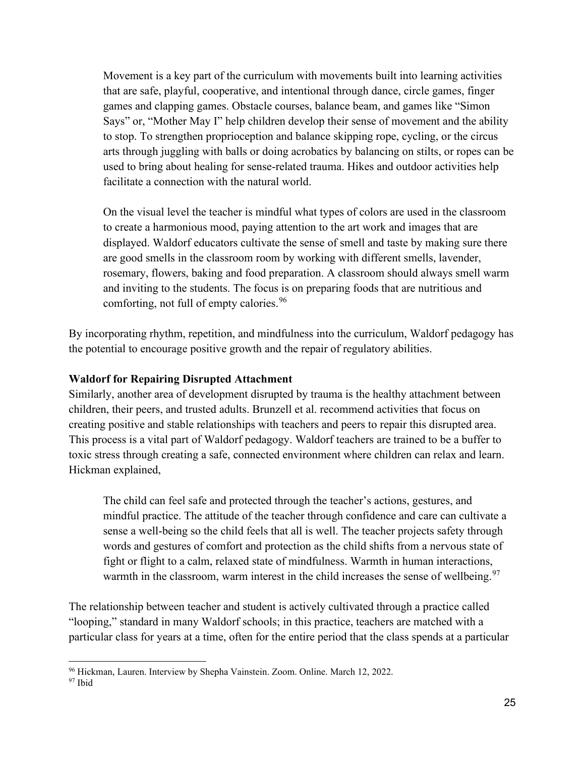Movement is a key part of the curriculum with movements built into learning activities that are safe, playful, cooperative, and intentional through dance, circle games, finger games and clapping games. Obstacle courses, balance beam, and games like "Simon Says" or, "Mother May I" help children develop their sense of movement and the ability to stop. To strengthen proprioception and balance skipping rope, cycling, or the circus arts through juggling with balls or doing acrobatics by balancing on stilts, or ropes can be used to bring about healing for sense-related trauma. Hikes and outdoor activities help facilitate a connection with the natural world.

On the visual level the teacher is mindful what types of colors are used in the classroom to create a harmonious mood, paying attention to the art work and images that are displayed. Waldorf educators cultivate the sense of smell and taste by making sure there are good smells in the classroom room by working with different smells, lavender, rosemary, flowers, baking and food preparation. A classroom should always smell warm and inviting to the students. The focus is on preparing foods that are nutritious and comforting, not full of empty calories.<sup>[96](#page-27-0)</sup>

By incorporating rhythm, repetition, and mindfulness into the curriculum, Waldorf pedagogy has the potential to encourage positive growth and the repair of regulatory abilities.

### **Waldorf for Repairing Disrupted Attachment**

Similarly, another area of development disrupted by trauma is the healthy attachment between children, their peers, and trusted adults. Brunzell et al. recommend activities that focus on creating positive and stable relationships with teachers and peers to repair this disrupted area. This process is a vital part of Waldorf pedagogy. Waldorf teachers are trained to be a buffer to toxic stress through creating a safe, connected environment where children can relax and learn. Hickman explained,

The child can feel safe and protected through the teacher's actions, gestures, and mindful practice. The attitude of the teacher through confidence and care can cultivate a sense a well-being so the child feels that all is well. The teacher projects safety through words and gestures of comfort and protection as the child shifts from a nervous state of fight or flight to a calm, relaxed state of mindfulness. Warmth in human interactions, warmth in the classroom, warm interest in the child increases the sense of wellbeing.  $97$ 

The relationship between teacher and student is actively cultivated through a practice called "looping," standard in many Waldorf schools; in this practice, teachers are matched with a particular class for years at a time, often for the entire period that the class spends at a particular

<span id="page-27-0"></span><sup>96</sup> Hickman, Lauren. Interview by Shepha Vainstein. Zoom. Online. March 12, 2022.

<span id="page-27-1"></span><sup>97</sup> Ibid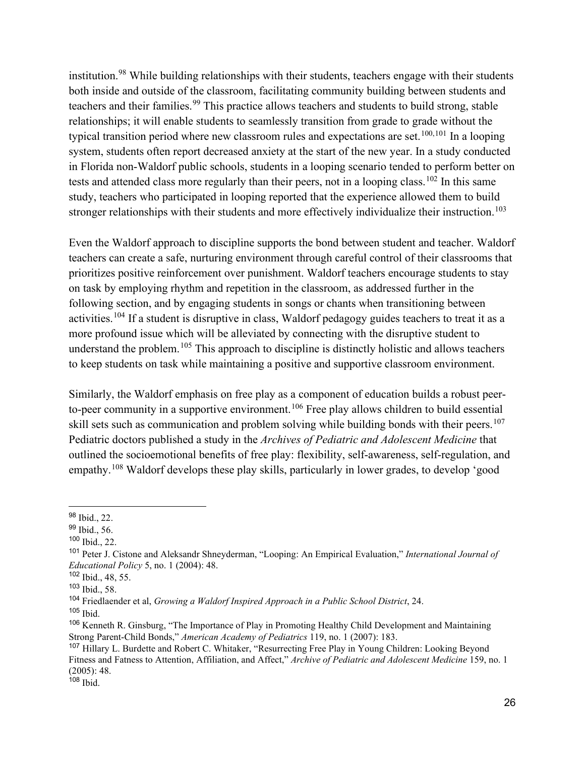institution.<sup>[98](#page-28-0)</sup> While building relationships with their students, teachers engage with their students both inside and outside of the classroom, facilitating community building between students and teachers and their families.<sup>[99](#page-28-1)</sup> This practice allows teachers and students to build strong, stable relationships; it will enable students to seamlessly transition from grade to grade without the typical transition period where new classroom rules and expectations are set.<sup>[100,](#page-28-2)[101](#page-28-3)</sup> In a looping system, students often report decreased anxiety at the start of the new year. In a study conducted in Florida non-Waldorf public schools, students in a looping scenario tended to perform better on tests and attended class more regularly than their peers, not in a looping class.<sup>[102](#page-28-4)</sup> In this same study, teachers who participated in looping reported that the experience allowed them to build stronger relationships with their students and more effectively individualize their instruction.<sup>[103](#page-28-5)</sup>

Even the Waldorf approach to discipline supports the bond between student and teacher. Waldorf teachers can create a safe, nurturing environment through careful control of their classrooms that prioritizes positive reinforcement over punishment. Waldorf teachers encourage students to stay on task by employing rhythm and repetition in the classroom, as addressed further in the following section, and by engaging students in songs or chants when transitioning between activities.[104](#page-28-6) If a student is disruptive in class, Waldorf pedagogy guides teachers to treat it as a more profound issue which will be alleviated by connecting with the disruptive student to understand the problem.<sup>[105](#page-28-7)</sup> This approach to discipline is distinctly holistic and allows teachers to keep students on task while maintaining a positive and supportive classroom environment.

Similarly, the Waldorf emphasis on free play as a component of education builds a robust peer-to-peer community in a supportive environment.<sup>[106](#page-28-8)</sup> Free play allows children to build essential skill sets such as communication and problem solving while building bonds with their peers.<sup>[107](#page-28-9)</sup> Pediatric doctors published a study in the *Archives of Pediatric and Adolescent Medicine* that outlined the socioemotional benefits of free play: flexibility, self-awareness, self-regulation, and empathy.[108](#page-28-10) Waldorf develops these play skills, particularly in lower grades, to develop 'good

<span id="page-28-0"></span><sup>98</sup> Ibid., 22.

<span id="page-28-1"></span><sup>99</sup> Ibid., 56.

<span id="page-28-2"></span><sup>100</sup> Ibid., 22.

<span id="page-28-3"></span><sup>101</sup> Peter J. Cistone and Aleksandr Shneyderman, "Looping: An Empirical Evaluation," *International Journal of Educational Policy* 5, no. 1 (2004): 48.

<span id="page-28-4"></span><sup>102</sup> Ibid., 48, 55.

<span id="page-28-5"></span><sup>103</sup> Ibid., 58.

<span id="page-28-6"></span><sup>104</sup> Friedlaender et al, *Growing a Waldorf Inspired Approach in a Public School District*, 24.

<span id="page-28-7"></span> $105$  Ibid.

<span id="page-28-8"></span><sup>106</sup> Kenneth R. Ginsburg, "The Importance of Play in Promoting Healthy Child Development and Maintaining Strong Parent-Child Bonds," *American Academy of Pediatrics* 119, no. 1 (2007): 183.

<span id="page-28-9"></span><sup>107</sup> Hillary L. Burdette and Robert C. Whitaker, "Resurrecting Free Play in Young Children: Looking Beyond Fitness and Fatness to Attention, Affiliation, and Affect," *Archive of Pediatric and Adolescent Medicine* 159, no. 1 (2005): 48.

<span id="page-28-10"></span> $108$  Ibid.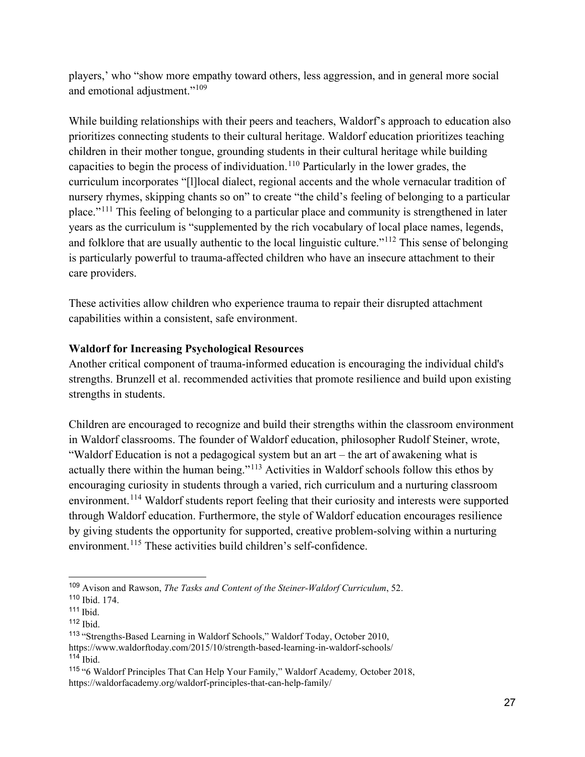players,' who "show more empathy toward others, less aggression, and in general more social and emotional adjustment."<sup>[109](#page-29-0)</sup>

While building relationships with their peers and teachers, Waldorf's approach to education also prioritizes connecting students to their cultural heritage. Waldorf education prioritizes teaching children in their mother tongue, grounding students in their cultural heritage while building capacities to begin the process of individuation.<sup>[110](#page-29-1)</sup> Particularly in the lower grades, the curriculum incorporates "[l]local dialect, regional accents and the whole vernacular tradition of nursery rhymes, skipping chants so on" to create "the child's feeling of belonging to a particular place."[111](#page-29-2) This feeling of belonging to a particular place and community is strengthened in later years as the curriculum is "supplemented by the rich vocabulary of local place names, legends, and folklore that are usually authentic to the local linguistic culture."<sup>[112](#page-29-3)</sup> This sense of belonging is particularly powerful to trauma-affected children who have an insecure attachment to their care providers.

These activities allow children who experience trauma to repair their disrupted attachment capabilities within a consistent, safe environment.

## **Waldorf for Increasing Psychological Resources**

Another critical component of trauma-informed education is encouraging the individual child's strengths. Brunzell et al. recommended activities that promote resilience and build upon existing strengths in students.

Children are encouraged to recognize and build their strengths within the classroom environment in Waldorf classrooms. The founder of Waldorf education, philosopher Rudolf Steiner, wrote, "Waldorf Education is not a pedagogical system but an art – the art of awakening what is actually there within the human being."[113](#page-29-4) Activities in Waldorf schools follow this ethos by encouraging curiosity in students through a varied, rich curriculum and a nurturing classroom environment.<sup>[114](#page-29-5)</sup> Waldorf students report feeling that their curiosity and interests were supported through Waldorf education. Furthermore, the style of Waldorf education encourages resilience by giving students the opportunity for supported, creative problem-solving within a nurturing environment.<sup>[115](#page-29-6)</sup> These activities build children's self-confidence.

<span id="page-29-0"></span><sup>109</sup> Avison and Rawson, *The Tasks and Content of the Steiner-Waldorf Curriculum*, 52.

<span id="page-29-1"></span><sup>110</sup> Ibid. 174.

<span id="page-29-2"></span><sup>111</sup> Ibid.

<span id="page-29-3"></span><sup>112</sup> Ibid.

<span id="page-29-4"></span><sup>113</sup> "Strengths-Based Learning in Waldorf Schools," Waldorf Today, October 2010,

https://www.waldorftoday.com/2015/10/strength-based-learning-in-waldorf-schools/ <sup>114</sup> Ibid.

<span id="page-29-6"></span><span id="page-29-5"></span><sup>115</sup> "6 Waldorf Principles That Can Help Your Family," Waldorf Academy*,* October 2018, https://waldorfacademy.org/waldorf-principles-that-can-help-family/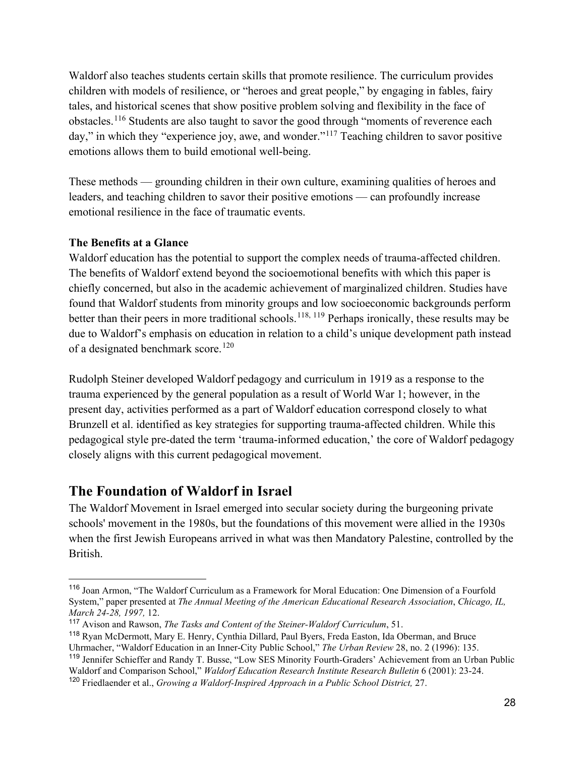Waldorf also teaches students certain skills that promote resilience. The curriculum provides children with models of resilience, or "heroes and great people," by engaging in fables, fairy tales, and historical scenes that show positive problem solving and flexibility in the face of obstacles.<sup>[116](#page-30-0)</sup> Students are also taught to savor the good through "moments of reverence each day," in which they "experience joy, awe, and wonder."<sup>[117](#page-30-1)</sup> Teaching children to savor positive emotions allows them to build emotional well-being.

These methods — grounding children in their own culture, examining qualities of heroes and leaders, and teaching children to savor their positive emotions — can profoundly increase emotional resilience in the face of traumatic events.

## **The Benefits at a Glance**

Waldorf education has the potential to support the complex needs of trauma-affected children. The benefits of Waldorf extend beyond the socioemotional benefits with which this paper is chiefly concerned, but also in the academic achievement of marginalized children. Studies have found that Waldorf students from minority groups and low socioeconomic backgrounds perform better than their peers in more traditional schools.<sup>[118](#page-30-2), [119](#page-30-3)</sup> Perhaps ironically, these results may be due to Waldorf's emphasis on education in relation to a child's unique development path instead of a designated benchmark score.<sup>[120](#page-30-4)</sup>

Rudolph Steiner developed Waldorf pedagogy and curriculum in 1919 as a response to the trauma experienced by the general population as a result of World War 1; however, in the present day, activities performed as a part of Waldorf education correspond closely to what Brunzell et al. identified as key strategies for supporting trauma-affected children. While this pedagogical style pre-dated the term 'trauma-informed education,' the core of Waldorf pedagogy closely aligns with this current pedagogical movement.

## **The Foundation of Waldorf in Israel**

The Waldorf Movement in Israel emerged into secular society during the burgeoning private schools' movement in the 1980s, but the foundations of this movement were allied in the 1930s when the first Jewish Europeans arrived in what was then Mandatory Palestine, controlled by the British.

<span id="page-30-0"></span><sup>116</sup> Joan Armon, "The Waldorf Curriculum as a Framework for Moral Education: One Dimension of a Fourfold System," paper presented at *The Annual Meeting of the American Educational Research Association*, *Chicago, IL, March 24-28, 1997,* 12.

<span id="page-30-1"></span><sup>117</sup> Avison and Rawson, *The Tasks and Content of the Steiner-Waldorf Curriculum*, 51.

<span id="page-30-2"></span><sup>118</sup> Ryan McDermott, Mary E. Henry, Cynthia Dillard, Paul Byers, Freda Easton, Ida Oberman, and Bruce Uhrmacher, "Waldorf Education in an Inner-City Public School," *The Urban Review* 28, no. 2 (1996): 135.

<span id="page-30-3"></span><sup>119</sup> Jennifer Schieffer and Randy T. Busse, "Low SES Minority Fourth-Graders' Achievement from an Urban Public Waldorf and Comparison School," *Waldorf Education Research Institute Research Bulletin* 6 (2001): 23-24.

<span id="page-30-4"></span><sup>120</sup> Friedlaender et al., *Growing a Waldorf-Inspired Approach in a Public School District,* 27.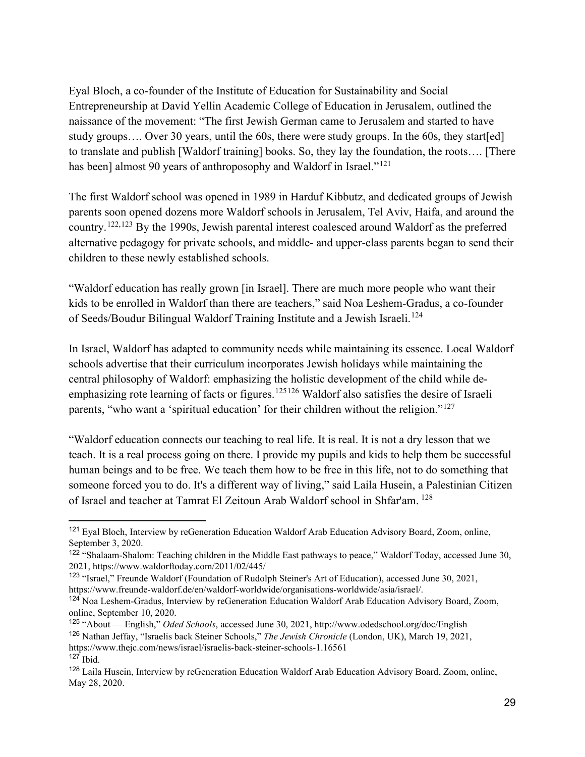Eyal Bloch, a co-founder of the Institute of Education for Sustainability and Social Entrepreneurship at David Yellin Academic College of Education in Jerusalem, outlined the naissance of the movement: "The first Jewish German came to Jerusalem and started to have study groups…. Over 30 years, until the 60s, there were study groups. In the 60s, they start[ed] to translate and publish [Waldorf training] books. So, they lay the foundation, the roots…. [There has been] almost 90 years of anthroposophy and Waldorf in Israel."<sup>121</sup>

The first Waldorf school was opened in 1989 in Harduf Kibbutz, and dedicated groups of Jewish parents soon opened dozens more Waldorf schools in Jerusalem, Tel Aviv, Haifa, and around the country.[122](#page-31-1),[123](#page-31-2) By the 1990s, Jewish parental interest coalesced around Waldorf as the preferred alternative pedagogy for private schools, and middle- and upper-class parents began to send their children to these newly established schools.

"Waldorf education has really grown [in Israel]. There are much more people who want their kids to be enrolled in Waldorf than there are teachers," said Noa Leshem-Gradus, a co-founder of Seeds/Boudur Bilingual Waldorf Training Institute and a Jewish Israeli.<sup>124</sup>

In Israel, Waldorf has adapted to community needs while maintaining its essence. Local Waldorf schools advertise that their curriculum incorporates Jewish holidays while maintaining the central philosophy of Waldorf: emphasizing the holistic development of the child while de-emphasizing rote learning of facts or figures.<sup>[125](#page-31-4)[126](#page-31-5)</sup> Waldorf also satisfies the desire of Israeli parents, "who want a 'spiritual education' for their children without the religion."<sup>[127](#page-31-6)</sup>

"Waldorf education connects our teaching to real life. It is real. It is not a dry lesson that we teach. It is a real process going on there. I provide my pupils and kids to help them be successful human beings and to be free. We teach them how to be free in this life, not to do something that someone forced you to do. It's a different way of living," said Laila Husein, a Palestinian Citizen of Israel and teacher at Tamrat El Zeitoun Arab Waldorf school in Shfar'am. [128](#page-31-7)

<span id="page-31-0"></span><sup>&</sup>lt;sup>121</sup> Eval Bloch, Interview by reGeneration Education Waldorf Arab Education Advisory Board, Zoom, online, September 3, 2020.

<span id="page-31-1"></span><sup>&</sup>lt;sup>122</sup> "Shalaam-Shalom: Teaching children in the Middle East pathways to peace," Waldorf Today, accessed June 30, 2021, https://www.waldorftoday.com/2011/02/445/

<span id="page-31-2"></span><sup>123</sup> "Israel," Freunde Waldorf (Foundation of Rudolph Steiner's Art of Education), accessed June 30, 2021, https://www.freunde-waldorf.de/en/waldorf-worldwide/organisations-worldwide/asia/israel/.

<span id="page-31-3"></span><sup>124</sup> Noa Leshem-Gradus, Interview by reGeneration Education Waldorf Arab Education Advisory Board, Zoom, online, September 10, 2020.

<span id="page-31-5"></span><span id="page-31-4"></span><sup>125</sup> "About — English," *Oded Schools*, accessed June 30, 2021, http://www.odedschool.org/doc/English <sup>126</sup> Nathan Jeffay, "Israelis back Steiner Schools," *The Jewish Chronicle* (London, UK), March 19, 2021, https://www.thejc.com/news/israel/israelis-back-steiner-schools-1.16561 <sup>127</sup> Ibid.

<span id="page-31-7"></span><span id="page-31-6"></span><sup>128</sup> Laila Husein, Interview by reGeneration Education Waldorf Arab Education Advisory Board, Zoom, online, May 28, 2020.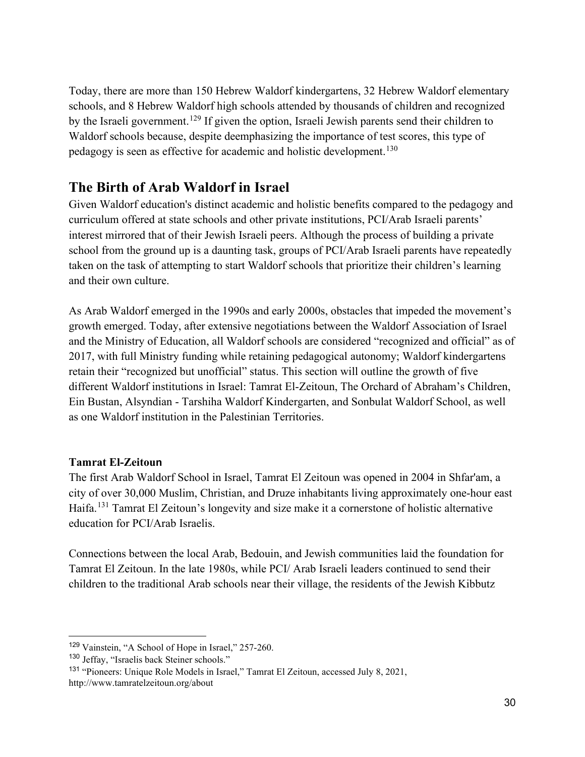Today, there are more than 150 Hebrew Waldorf kindergartens, 32 Hebrew Waldorf elementary schools, and 8 Hebrew Waldorf high schools attended by thousands of children and recognized by the Israeli government.<sup>129</sup> If given the option, Israeli Jewish parents send their children to Waldorf schools because, despite deemphasizing the importance of test scores, this type of pedagogy is seen as effective for academic and holistic development.<sup>130</sup>

## **The Birth of Arab Waldorf in Israel**

Given Waldorf education's distinct academic and holistic benefits compared to the pedagogy and curriculum offered at state schools and other private institutions, PCI/Arab Israeli parents' interest mirrored that of their Jewish Israeli peers. Although the process of building a private school from the ground up is a daunting task, groups of PCI/Arab Israeli parents have repeatedly taken on the task of attempting to start Waldorf schools that prioritize their children's learning and their own culture.

As Arab Waldorf emerged in the 1990s and early 2000s, obstacles that impeded the movement's growth emerged. Today, after extensive negotiations between the Waldorf Association of Israel and the Ministry of Education, all Waldorf schools are considered "recognized and official" as of 2017, with full Ministry funding while retaining pedagogical autonomy; Waldorf kindergartens retain their "recognized but unofficial" status. This section will outline the growth of five different Waldorf institutions in Israel: Tamrat El-Zeitoun, The Orchard of Abraham's Children, Ein Bustan, Alsyndian - Tarshiha Waldorf Kindergarten, and Sonbulat Waldorf School, as well as one Waldorf institution in the Palestinian Territories.

## **Tamrat El-Zeitoun**

The first Arab Waldorf School in Israel, Tamrat El Zeitoun was opened in 2004 in Shfar'am, a city of over 30,000 Muslim, Christian, and Druze inhabitants living approximately one-hour east Haifa.[131](#page-32-2) Tamrat El Zeitoun's longevity and size make it a cornerstone of holistic alternative education for PCI/Arab Israelis.

Connections between the local Arab, Bedouin, and Jewish communities laid the foundation for Tamrat El Zeitoun. In the late 1980s, while PCI/ Arab Israeli leaders continued to send their children to the traditional Arab schools near their village, the residents of the Jewish Kibbutz

<span id="page-32-0"></span><sup>129</sup> Vainstein, "A School of Hope in Israel," 257-260.

<span id="page-32-1"></span><sup>130</sup> Jeffay, "Israelis back Steiner schools."

<span id="page-32-2"></span><sup>131</sup> "Pioneers: Unique Role Models in Israel," Tamrat El Zeitoun, accessed July 8, 2021, http://www.tamratelzeitoun.org/about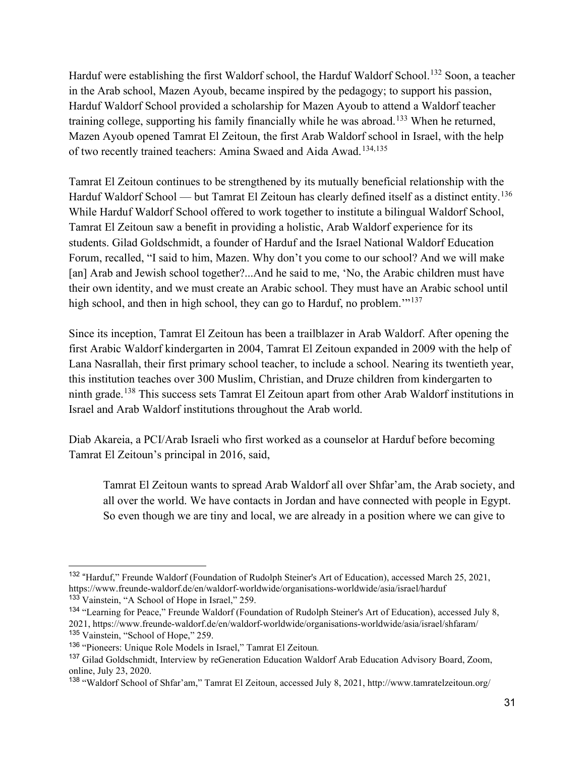Harduf were establishing the first Waldorf school, the Harduf Waldorf School.<sup>132</sup> Soon, a teacher in the Arab school, Mazen Ayoub, became inspired by the pedagogy; to support his passion, Harduf Waldorf School provided a scholarship for Mazen Ayoub to attend a Waldorf teacher training college, supporting his family financially while he was abroad.<sup>[133](#page-33-1)</sup> When he returned, Mazen Ayoub opened Tamrat El Zeitoun, the first Arab Waldorf school in Israel, with the help of two recently trained teachers: Amina Swaed and Aida Awad.<sup>[134](#page-33-2),135</sup>

Tamrat El Zeitoun continues to be strengthened by its mutually beneficial relationship with the Harduf Waldorf School — but Tamrat El Zeitoun has clearly defined itself as a distinct entity.<sup>[136](#page-33-4)</sup> While Harduf Waldorf School offered to work together to institute a bilingual Waldorf School, Tamrat El Zeitoun saw a benefit in providing a holistic, Arab Waldorf experience for its students. Gilad Goldschmidt, a founder of Harduf and the Israel National Waldorf Education Forum, recalled, "I said to him, Mazen. Why don't you come to our school? And we will make [an] Arab and Jewish school together?...And he said to me, 'No, the Arabic children must have their own identity, and we must create an Arabic school. They must have an Arabic school until high school, and then in high school, they can go to Harduf, no problem.<sup>''[137](#page-33-5)</sup>

Since its inception, Tamrat El Zeitoun has been a trailblazer in Arab Waldorf. After opening the first Arabic Waldorf kindergarten in 2004, Tamrat El Zeitoun expanded in 2009 with the help of Lana Nasrallah, their first primary school teacher, to include a school. Nearing its twentieth year, this institution teaches over 300 Muslim, Christian, and Druze children from kindergarten to ninth grade.[138](#page-33-6) This success sets Tamrat El Zeitoun apart from other Arab Waldorf institutions in Israel and Arab Waldorf institutions throughout the Arab world.

Diab Akareia, a PCI/Arab Israeli who first worked as a counselor at Harduf before becoming Tamrat El Zeitoun's principal in 2016, said,

Tamrat El Zeitoun wants to spread Arab Waldorf all over Shfar'am, the Arab society, and all over the world. We have contacts in Jordan and have connected with people in Egypt. So even though we are tiny and local, we are already in a position where we can give to

<span id="page-33-0"></span><sup>132 &</sup>quot;Harduf," Freunde Waldorf (Foundation of Rudolph Steiner's Art of Education), accessed March 25, 2021, https://www.freunde-waldorf.de/en/waldorf-worldwide/organisations-worldwide/asia/israel/harduf <sup>133</sup> Vainstein, "A School of Hope in Israel," 259.

<span id="page-33-2"></span><span id="page-33-1"></span><sup>134</sup> "Learning for Peace," Freunde Waldorf (Foundation of Rudolph Steiner's Art of Education), accessed July 8, 2021, https://www.freunde-waldorf.de/en/waldorf-worldwide/organisations-worldwide/asia/israel/shfaram/ <sup>135</sup> Vainstein, "School of Hope," 259.

<span id="page-33-4"></span><span id="page-33-3"></span><sup>136</sup> "Pioneers: Unique Role Models in Israel," Tamrat El Zeitoun*.* 

<span id="page-33-5"></span><sup>&</sup>lt;sup>137</sup> Gilad Goldschmidt, Interview by reGeneration Education Waldorf Arab Education Advisory Board, Zoom, online, July 23, 2020.

<span id="page-33-6"></span><sup>138</sup> "Waldorf School of Shfar'am," Tamrat El Zeitoun, accessed July 8, 2021, http://www.tamratelzeitoun.org/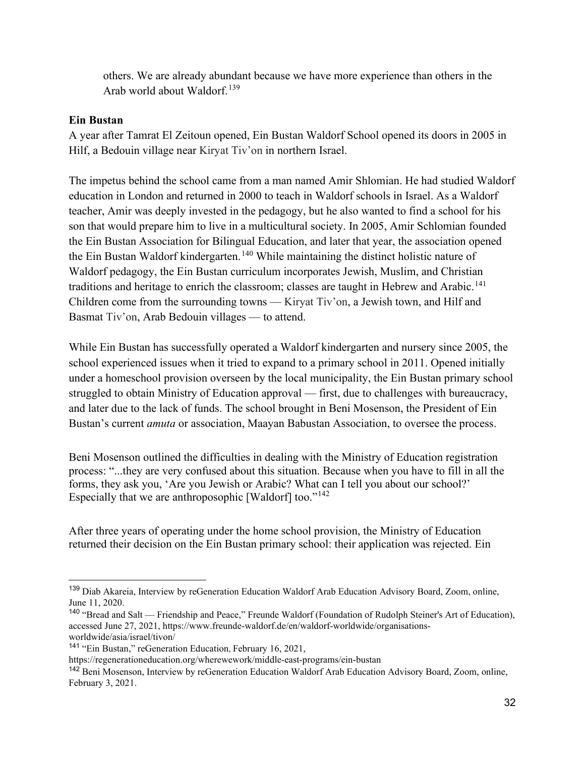others. We are already abundant because we have more experience than others in the Arab world about Waldorf.<sup>[139](#page-34-0)</sup>

### **Ein Bustan**

A year after Tamrat El Zeitoun opened, Ein Bustan Waldorf School opened its doors in 2005 in Hilf, a Bedouin village near Kiryat Tiv'on in northern Israel.

The impetus behind the school came from a man named Amir Shlomian. He had studied Waldorf education in London and returned in 2000 to teach in Waldorf schools in Israel. As a Waldorf teacher, Amir was deeply invested in the pedagogy, but he also wanted to find a school for his son that would prepare him to live in a multicultural society. In 2005, Amir Schlomian founded the Ein Bustan Association for Bilingual Education, and later that year, the association opened the Ein Bustan Waldorf kindergarten.<sup>[140](#page-34-1)</sup> While maintaining the distinct holistic nature of Waldorf pedagogy, the Ein Bustan curriculum incorporates Jewish, Muslim, and Christian traditions and heritage to enrich the classroom; classes are taught in Hebrew and Arabic.<sup>[141](#page-34-2)</sup> Children come from the surrounding towns — Kiryat Tiv'on, a Jewish town, and Hilf and Basmat Tiv'on, Arab Bedouin villages — to attend.

While Ein Bustan has successfully operated a Waldorf kindergarten and nursery since 2005, the school experienced issues when it tried to expand to a primary school in 2011. Opened initially under a homeschool provision overseen by the local municipality, the Ein Bustan primary school struggled to obtain Ministry of Education approval — first, due to challenges with bureaucracy, and later due to the lack of funds. The school brought in Beni Mosenson, the President of Ein Bustan's current *amuta* or association, Maayan Babustan Association, to oversee the process.

Beni Mosenson outlined the difficulties in dealing with the Ministry of Education registration process: "...they are very confused about this situation. Because when you have to fill in all the forms, they ask you, 'Are you Jewish or Arabic? What can I tell you about our school?' Especially that we are anthroposophic [Waldorf] too."[142](#page-34-3)

After three years of operating under the home school provision, the Ministry of Education returned their decision on the Ein Bustan primary school: their application was rejected. Ein

<span id="page-34-0"></span><sup>139</sup> Diab Akareia, Interview by reGeneration Education Waldorf Arab Education Advisory Board, Zoom, online, June 11, 2020.

<span id="page-34-1"></span><sup>&</sup>lt;sup>140</sup> "Bread and Salt — Friendship and Peace," Freunde Waldorf (Foundation of Rudolph Steiner's Art of Education), accessed June 27, 2021, https://www.freunde-waldorf.de/en/waldorf-worldwide/organisationsworldwide/asia/israel/tivon/

<span id="page-34-2"></span><sup>141</sup> "Ein Bustan," reGeneration Education, February 16, 2021,

https://regenerationeducation.org/wherewework/middle-east-programs/ein-bustan

<span id="page-34-3"></span><sup>&</sup>lt;sup>142</sup> Beni Mosenson, Interview by reGeneration Education Waldorf Arab Education Advisory Board, Zoom, online, February 3, 2021.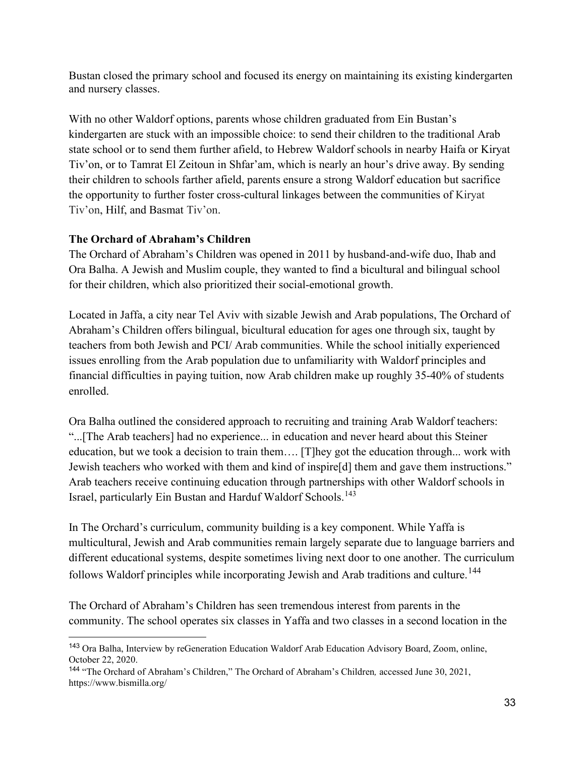Bustan closed the primary school and focused its energy on maintaining its existing kindergarten and nursery classes.

With no other Waldorf options, parents whose children graduated from Ein Bustan's kindergarten are stuck with an impossible choice: to send their children to the traditional Arab state school or to send them further afield, to Hebrew Waldorf schools in nearby Haifa or Kiryat Tiv'on, or to Tamrat El Zeitoun in Shfar'am, which is nearly an hour's drive away. By sending their children to schools farther afield, parents ensure a strong Waldorf education but sacrifice the opportunity to further foster cross-cultural linkages between the communities of Kiryat Tiv'on, Hilf, and Basmat Tiv'on.

## **The Orchard of Abraham's Children**

The Orchard of Abraham's Children was opened in 2011 by husband-and-wife duo, Ihab and Ora Balha. A Jewish and Muslim couple, they wanted to find a bicultural and bilingual school for their children, which also prioritized their social-emotional growth.

Located in Jaffa, a city near Tel Aviv with sizable Jewish and Arab populations, The Orchard of Abraham's Children offers bilingual, bicultural education for ages one through six, taught by teachers from both Jewish and PCI/ Arab communities. While the school initially experienced issues enrolling from the Arab population due to unfamiliarity with Waldorf principles and financial difficulties in paying tuition, now Arab children make up roughly 35-40% of students enrolled.

Ora Balha outlined the considered approach to recruiting and training Arab Waldorf teachers: "...[The Arab teachers] had no experience... in education and never heard about this Steiner education, but we took a decision to train them…. [T]hey got the education through... work with Jewish teachers who worked with them and kind of inspire[d] them and gave them instructions." Arab teachers receive continuing education through partnerships with other Waldorf schools in Israel, particularly Ein Bustan and Harduf Waldorf Schools.<sup>[143](#page-35-0)</sup>

In The Orchard's curriculum, community building is a key component. While Yaffa is multicultural, Jewish and Arab communities remain largely separate due to language barriers and different educational systems, despite sometimes living next door to one another. The curriculum follows Waldorf principles while incorporating Jewish and Arab traditions and culture.<sup>144</sup>

The Orchard of Abraham's Children has seen tremendous interest from parents in the community. The school operates six classes in Yaffa and two classes in a second location in the

<span id="page-35-0"></span><sup>143</sup> Ora Balha, Interview by reGeneration Education Waldorf Arab Education Advisory Board, Zoom, online, October 22, 2020.

<span id="page-35-1"></span><sup>144</sup> "The Orchard of Abraham's Children," The Orchard of Abraham's Children*,* accessed June 30, 2021, https://www.bismilla.org/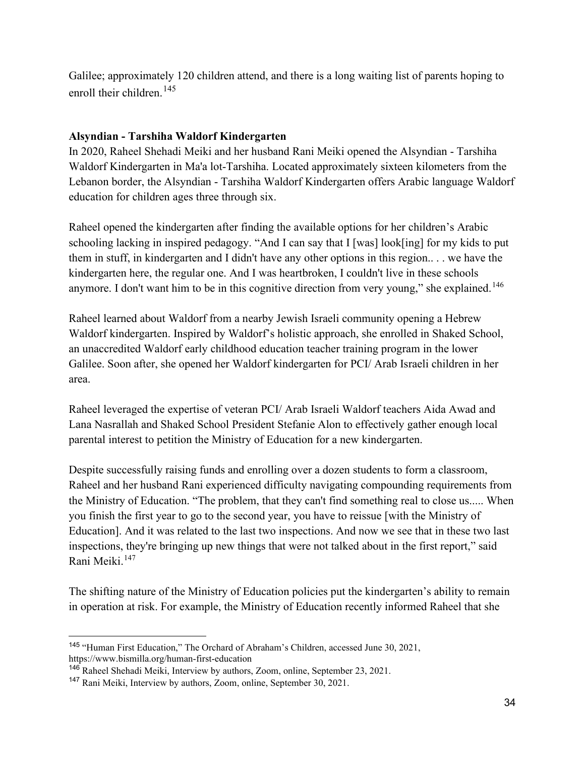Galilee; approximately 120 children attend, and there is a long waiting list of parents hoping to enroll their children.  $145$ 

#### **Alsyndian - Tarshiha Waldorf Kindergarten**

In 2020, Raheel Shehadi Meiki and her husband Rani Meiki opened the Alsyndian - Tarshiha Waldorf Kindergarten in Ma'a lot-Tarshiha. Located approximately sixteen kilometers from the Lebanon border, the Alsyndian - Tarshiha Waldorf Kindergarten offers Arabic language Waldorf education for children ages three through six.

Raheel opened the kindergarten after finding the available options for her children's Arabic schooling lacking in inspired pedagogy. "And I can say that I [was] look[ing] for my kids to put them in stuff, in kindergarten and I didn't have any other options in this region.. . . we have the kindergarten here, the regular one. And I was heartbroken, I couldn't live in these schools anymore. I don't want him to be in this cognitive direction from very young," she explained.<sup>[146](#page-36-1)</sup>

Raheel learned about Waldorf from a nearby Jewish Israeli community opening a Hebrew Waldorf kindergarten. Inspired by Waldorf's holistic approach, she enrolled in Shaked School, an unaccredited Waldorf early childhood education teacher training program in the lower Galilee. Soon after, she opened her Waldorf kindergarten for PCI/ Arab Israeli children in her area.

Raheel leveraged the expertise of veteran PCI/ Arab Israeli Waldorf teachers Aida Awad and Lana Nasrallah and Shaked School President Stefanie Alon to effectively gather enough local parental interest to petition the Ministry of Education for a new kindergarten.

Despite successfully raising funds and enrolling over a dozen students to form a classroom, Raheel and her husband Rani experienced difficulty navigating compounding requirements from the Ministry of Education. "The problem, that they can't find something real to close us..... When you finish the first year to go to the second year, you have to reissue [with the Ministry of Education]. And it was related to the last two inspections. And now we see that in these two last inspections, they're bringing up new things that were not talked about in the first report," said Rani Meiki.[147](#page-36-2)

The shifting nature of the Ministry of Education policies put the kindergarten's ability to remain in operation at risk. For example, the Ministry of Education recently informed Raheel that she

<span id="page-36-0"></span><sup>145</sup> "Human First Education," The Orchard of Abraham's Children, accessed June 30, 2021, https://www.bismilla.org/human-first-education

<span id="page-36-1"></span><sup>146</sup> Raheel Shehadi Meiki, Interview by authors, Zoom, online, September 23, 2021.

<span id="page-36-2"></span><sup>&</sup>lt;sup>147</sup> Rani Meiki, Interview by authors, Zoom, online, September 30, 2021.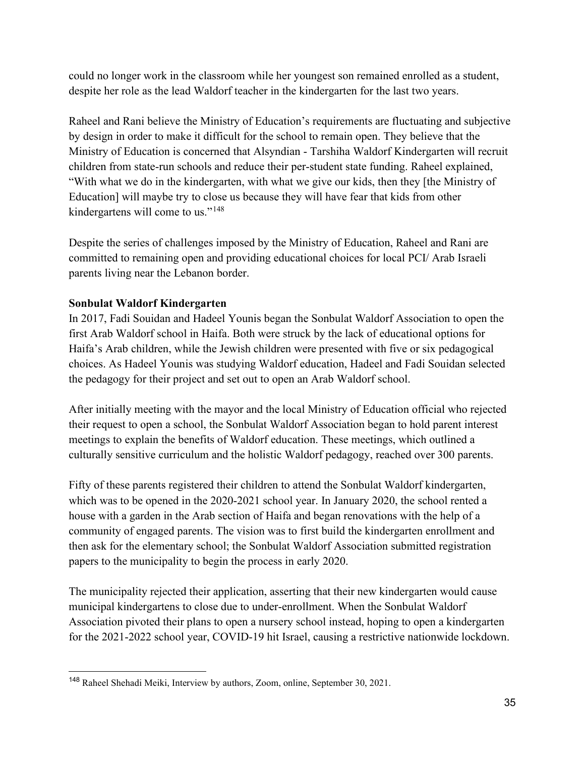could no longer work in the classroom while her youngest son remained enrolled as a student, despite her role as the lead Waldorf teacher in the kindergarten for the last two years.

Raheel and Rani believe the Ministry of Education's requirements are fluctuating and subjective by design in order to make it difficult for the school to remain open. They believe that the Ministry of Education is concerned that Alsyndian - Tarshiha Waldorf Kindergarten will recruit children from state-run schools and reduce their per-student state funding. Raheel explained, "With what we do in the kindergarten, with what we give our kids, then they [the Ministry of Education] will maybe try to close us because they will have fear that kids from other kindergartens will come to us."<sup>[148](#page-37-0)</sup>

Despite the series of challenges imposed by the Ministry of Education, Raheel and Rani are committed to remaining open and providing educational choices for local PCI/ Arab Israeli parents living near the Lebanon border.

### **Sonbulat Waldorf Kindergarten**

In 2017, Fadi Souidan and Hadeel Younis began the Sonbulat Waldorf Association to open the first Arab Waldorf school in Haifa. Both were struck by the lack of educational options for Haifa's Arab children, while the Jewish children were presented with five or six pedagogical choices. As Hadeel Younis was studying Waldorf education, Hadeel and Fadi Souidan selected the pedagogy for their project and set out to open an Arab Waldorf school.

After initially meeting with the mayor and the local Ministry of Education official who rejected their request to open a school, the Sonbulat Waldorf Association began to hold parent interest meetings to explain the benefits of Waldorf education. These meetings, which outlined a culturally sensitive curriculum and the holistic Waldorf pedagogy, reached over 300 parents.

Fifty of these parents registered their children to attend the Sonbulat Waldorf kindergarten, which was to be opened in the 2020-2021 school year. In January 2020, the school rented a house with a garden in the Arab section of Haifa and began renovations with the help of a community of engaged parents. The vision was to first build the kindergarten enrollment and then ask for the elementary school; the Sonbulat Waldorf Association submitted registration papers to the municipality to begin the process in early 2020.

The municipality rejected their application, asserting that their new kindergarten would cause municipal kindergartens to close due to under-enrollment. When the Sonbulat Waldorf Association pivoted their plans to open a nursery school instead, hoping to open a kindergarten for the 2021-2022 school year, COVID-19 hit Israel, causing a restrictive nationwide lockdown.

<span id="page-37-0"></span><sup>&</sup>lt;sup>148</sup> Raheel Shehadi Meiki, Interview by authors, Zoom, online, September 30, 2021.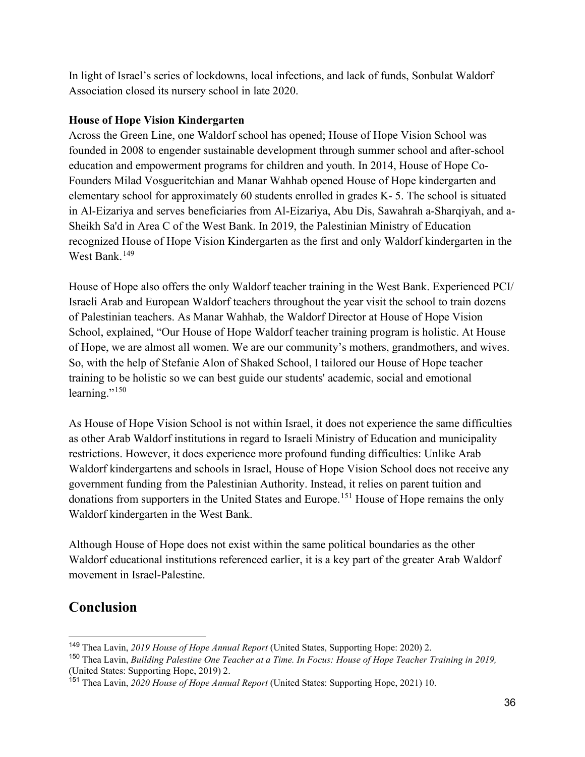In light of Israel's series of lockdowns, local infections, and lack of funds, Sonbulat Waldorf Association closed its nursery school in late 2020.

#### **House of Hope Vision Kindergarten**

Across the Green Line, one Waldorf school has opened; House of Hope Vision School was founded in 2008 to engender sustainable development through summer school and after-school education and empowerment programs for children and youth. In 2014, House of Hope Co-Founders Milad Vosgueritchian and Manar Wahhab opened House of Hope kindergarten and elementary school for approximately 60 students enrolled in grades K- 5. The school is situated in Al-Eizariya and serves beneficiaries from Al-Eizariya, Abu Dis, Sawahrah a-Sharqiyah, and a-Sheikh Sa'd in Area C of the West Bank. In 2019, the Palestinian Ministry of Education recognized House of Hope Vision Kindergarten as the first and only Waldorf kindergarten in the West Bank.<sup>149</sup>

House of Hope also offers the only Waldorf teacher training in the West Bank. Experienced PCI/ Israeli Arab and European Waldorf teachers throughout the year visit the school to train dozens of Palestinian teachers. As Manar Wahhab, the Waldorf Director at House of Hope Vision School, explained, "Our House of Hope Waldorf teacher training program is holistic. At House of Hope, we are almost all women. We are our community's mothers, grandmothers, and wives. So, with the help of Stefanie Alon of Shaked School, I tailored our House of Hope teacher training to be holistic so we can best guide our students' academic, social and emotional learning."<sup>[150](#page-38-1)</sup>

As House of Hope Vision School is not within Israel, it does not experience the same difficulties as other Arab Waldorf institutions in regard to Israeli Ministry of Education and municipality restrictions. However, it does experience more profound funding difficulties: Unlike Arab Waldorf kindergartens and schools in Israel, House of Hope Vision School does not receive any government funding from the Palestinian Authority. Instead, it relies on parent tuition and donations from supporters in the United States and Europe.<sup>[151](#page-38-2)</sup> House of Hope remains the only Waldorf kindergarten in the West Bank.

Although House of Hope does not exist within the same political boundaries as the other Waldorf educational institutions referenced earlier, it is a key part of the greater Arab Waldorf movement in Israel-Palestine.

# **Conclusion**

<span id="page-38-0"></span><sup>149</sup> Thea Lavin, *2019 House of Hope Annual Report* (United States, Supporting Hope: 2020) 2.

<span id="page-38-1"></span><sup>150</sup> Thea Lavin, *Building Palestine One Teacher at a Time. In Focus: House of Hope Teacher Training in 2019,*  (United States: Supporting Hope, 2019) 2.

<span id="page-38-2"></span><sup>151</sup> Thea Lavin, *2020 House of Hope Annual Report* (United States: Supporting Hope, 2021) 10.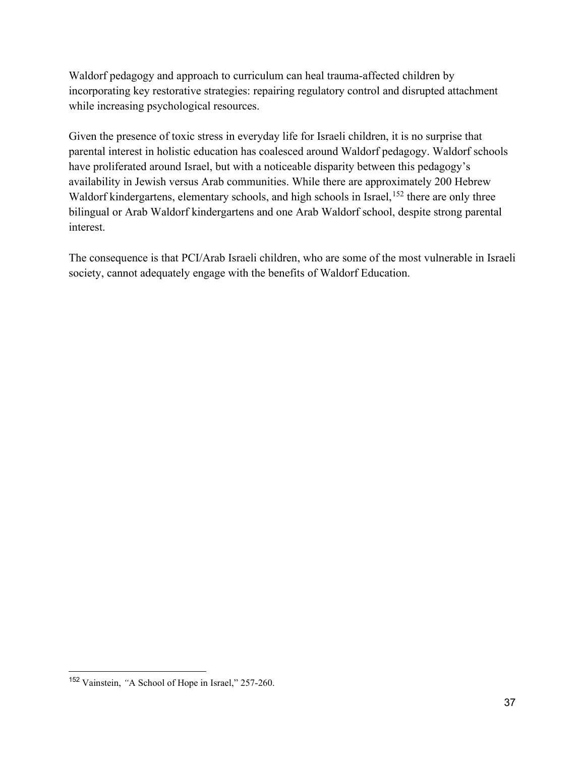Waldorf pedagogy and approach to curriculum can heal trauma-affected children by incorporating key restorative strategies: repairing regulatory control and disrupted attachment while increasing psychological resources.

Given the presence of toxic stress in everyday life for Israeli children, it is no surprise that parental interest in holistic education has coalesced around Waldorf pedagogy. Waldorf schools have proliferated around Israel, but with a noticeable disparity between this pedagogy's availability in Jewish versus Arab communities. While there are approximately 200 Hebrew Waldorf kindergartens, elementary schools, and high schools in Israel,<sup>[152](#page-39-0)</sup> there are only three bilingual or Arab Waldorf kindergartens and one Arab Waldorf school, despite strong parental interest.

The consequence is that PCI/Arab Israeli children, who are some of the most vulnerable in Israeli society, cannot adequately engage with the benefits of Waldorf Education.

<span id="page-39-0"></span><sup>152</sup> Vainstein, *"*A School of Hope in Israel," 257-260.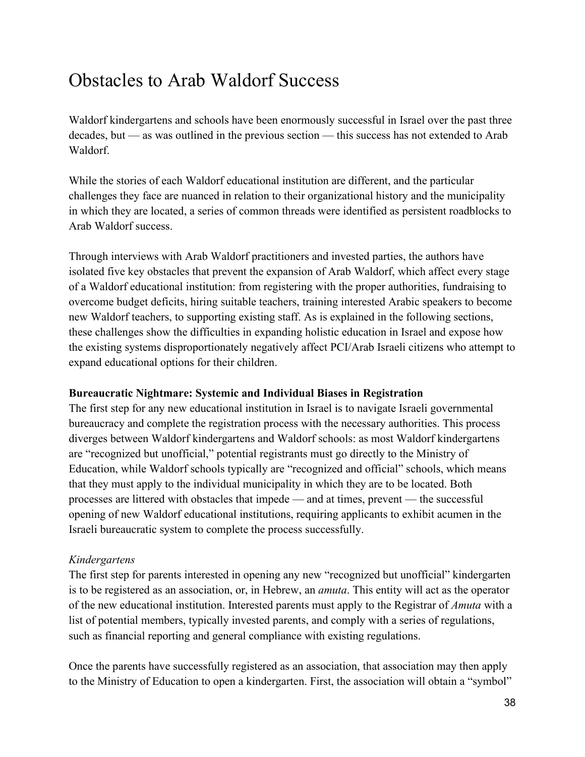# Obstacles to Arab Waldorf Success

Waldorf kindergartens and schools have been enormously successful in Israel over the past three decades, but — as was outlined in the previous section — this success has not extended to Arab Waldorf.

While the stories of each Waldorf educational institution are different, and the particular challenges they face are nuanced in relation to their organizational history and the municipality in which they are located, a series of common threads were identified as persistent roadblocks to Arab Waldorf success.

Through interviews with Arab Waldorf practitioners and invested parties, the authors have isolated five key obstacles that prevent the expansion of Arab Waldorf, which affect every stage of a Waldorf educational institution: from registering with the proper authorities, fundraising to overcome budget deficits, hiring suitable teachers, training interested Arabic speakers to become new Waldorf teachers, to supporting existing staff. As is explained in the following sections, these challenges show the difficulties in expanding holistic education in Israel and expose how the existing systems disproportionately negatively affect PCI/Arab Israeli citizens who attempt to expand educational options for their children.

#### **Bureaucratic Nightmare: Systemic and Individual Biases in Registration**

The first step for any new educational institution in Israel is to navigate Israeli governmental bureaucracy and complete the registration process with the necessary authorities. This process diverges between Waldorf kindergartens and Waldorf schools: as most Waldorf kindergartens are "recognized but unofficial," potential registrants must go directly to the Ministry of Education, while Waldorf schools typically are "recognized and official" schools, which means that they must apply to the individual municipality in which they are to be located. Both processes are littered with obstacles that impede — and at times, prevent — the successful opening of new Waldorf educational institutions, requiring applicants to exhibit acumen in the Israeli bureaucratic system to complete the process successfully.

#### *Kindergartens*

The first step for parents interested in opening any new "recognized but unofficial" kindergarten is to be registered as an association, or, in Hebrew, an *amuta*. This entity will act as the operator of the new educational institution. Interested parents must apply to the Registrar of *Amuta* with a list of potential members, typically invested parents, and comply with a series of regulations, such as financial reporting and general compliance with existing regulations.

Once the parents have successfully registered as an association, that association may then apply to the Ministry of Education to open a kindergarten. First, the association will obtain a "symbol"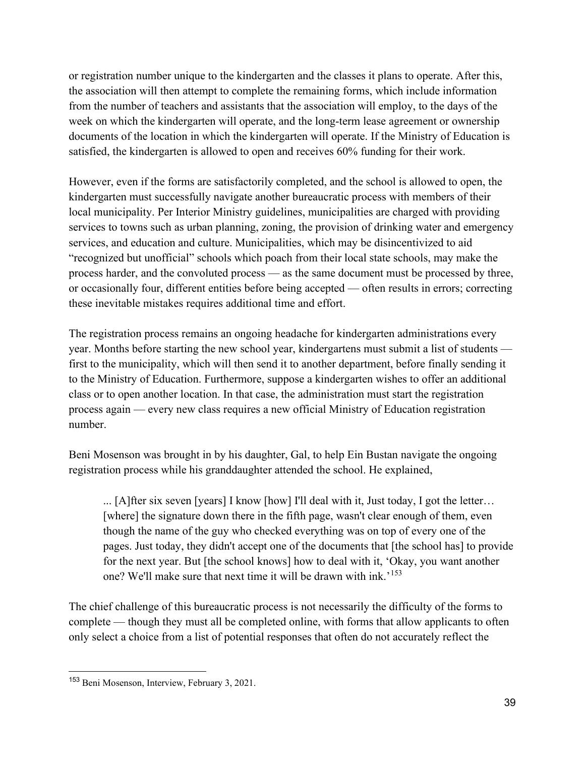or registration number unique to the kindergarten and the classes it plans to operate. After this, the association will then attempt to complete the remaining forms, which include information from the number of teachers and assistants that the association will employ, to the days of the week on which the kindergarten will operate, and the long-term lease agreement or ownership documents of the location in which the kindergarten will operate. If the Ministry of Education is satisfied, the kindergarten is allowed to open and receives 60% funding for their work.

However, even if the forms are satisfactorily completed, and the school is allowed to open, the kindergarten must successfully navigate another bureaucratic process with members of their local municipality. Per Interior Ministry guidelines, municipalities are charged with providing services to towns such as urban planning, zoning, the provision of drinking water and emergency services, and education and culture. Municipalities, which may be disincentivized to aid "recognized but unofficial" schools which poach from their local state schools, may make the process harder, and the convoluted process — as the same document must be processed by three, or occasionally four, different entities before being accepted — often results in errors; correcting these inevitable mistakes requires additional time and effort.

The registration process remains an ongoing headache for kindergarten administrations every year. Months before starting the new school year, kindergartens must submit a list of students first to the municipality, which will then send it to another department, before finally sending it to the Ministry of Education. Furthermore, suppose a kindergarten wishes to offer an additional class or to open another location. In that case, the administration must start the registration process again — every new class requires a new official Ministry of Education registration number.

Beni Mosenson was brought in by his daughter, Gal, to help Ein Bustan navigate the ongoing registration process while his granddaughter attended the school. He explained,

... [A]fter six seven [years] I know [how] I'll deal with it, Just today, I got the letter… [where] the signature down there in the fifth page, wasn't clear enough of them, even though the name of the guy who checked everything was on top of every one of the pages. Just today, they didn't accept one of the documents that [the school has] to provide for the next year. But [the school knows] how to deal with it, 'Okay, you want another one? We'll make sure that next time it will be drawn with ink.<sup>'[153](#page-41-0)</sup>

The chief challenge of this bureaucratic process is not necessarily the difficulty of the forms to complete — though they must all be completed online, with forms that allow applicants to often only select a choice from a list of potential responses that often do not accurately reflect the

<span id="page-41-0"></span><sup>153</sup> Beni Mosenson, Interview, February 3, 2021.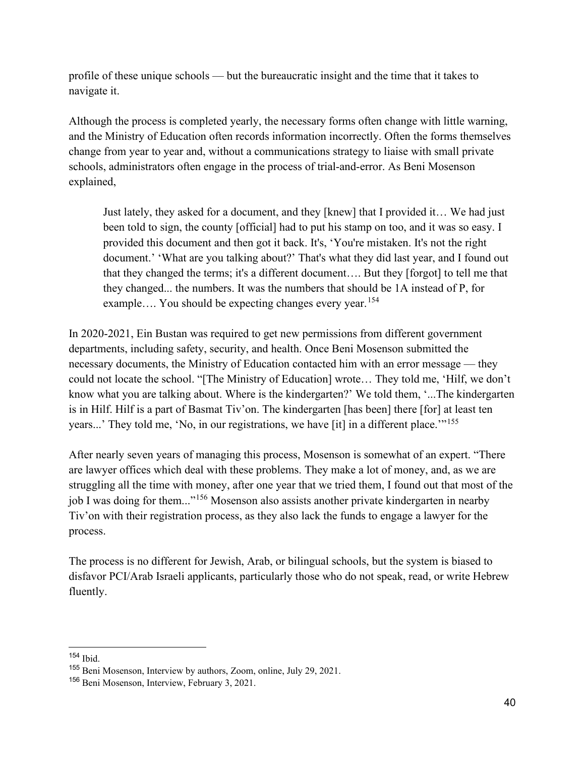profile of these unique schools — but the bureaucratic insight and the time that it takes to navigate it.

Although the process is completed yearly, the necessary forms often change with little warning, and the Ministry of Education often records information incorrectly. Often the forms themselves change from year to year and, without a communications strategy to liaise with small private schools, administrators often engage in the process of trial-and-error. As Beni Mosenson explained,

Just lately, they asked for a document, and they [knew] that I provided it… We had just been told to sign, the county [official] had to put his stamp on too, and it was so easy. I provided this document and then got it back. It's, 'You're mistaken. It's not the right document.' 'What are you talking about?' That's what they did last year, and I found out that they changed the terms; it's a different document…. But they [forgot] to tell me that they changed... the numbers. It was the numbers that should be 1A instead of P, for example.... You should be expecting changes every year.<sup>[154](#page-42-0)</sup>

In 2020-2021, Ein Bustan was required to get new permissions from different government departments, including safety, security, and health. Once Beni Mosenson submitted the necessary documents, the Ministry of Education contacted him with an error message — they could not locate the school. "[The Ministry of Education] wrote… They told me, 'Hilf, we don't know what you are talking about. Where is the kindergarten?' We told them, '...The kindergarten is in Hilf. Hilf is a part of Basmat Tiv'on. The kindergarten [has been] there [for] at least ten years...' They told me, 'No, in our registrations, we have [it] in a different place.'"<sup>[155](#page-42-1)</sup>

After nearly seven years of managing this process, Mosenson is somewhat of an expert. "There are lawyer offices which deal with these problems. They make a lot of money, and, as we are struggling all the time with money, after one year that we tried them, I found out that most of the job I was doing for them..."[156](#page-42-2) Mosenson also assists another private kindergarten in nearby Tiv'on with their registration process, as they also lack the funds to engage a lawyer for the process.

The process is no different for Jewish, Arab, or bilingual schools, but the system is biased to disfavor PCI/Arab Israeli applicants, particularly those who do not speak, read, or write Hebrew fluently.

<span id="page-42-0"></span><sup>154</sup> Ibid.

<span id="page-42-1"></span><sup>155</sup> Beni Mosenson, Interview by authors, Zoom, online, July 29, 2021.

<span id="page-42-2"></span><sup>156</sup> Beni Mosenson, Interview, February 3, 2021.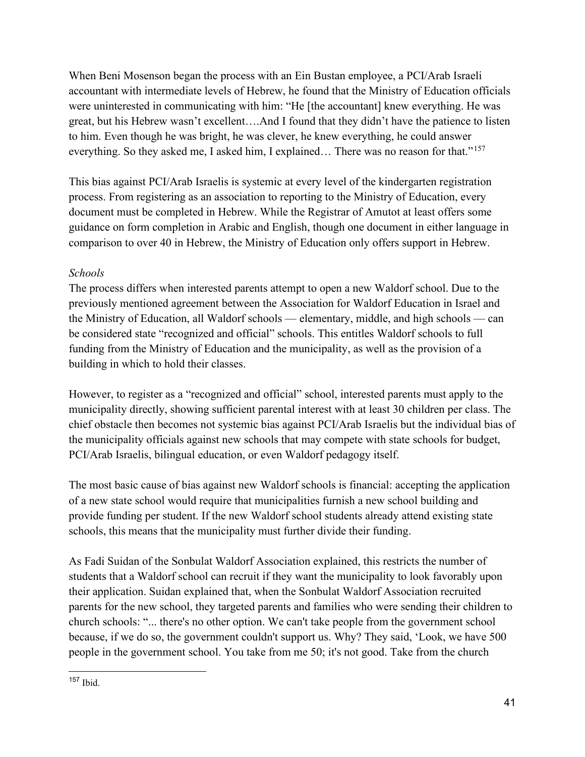When Beni Mosenson began the process with an Ein Bustan employee, a PCI/Arab Israeli accountant with intermediate levels of Hebrew, he found that the Ministry of Education officials were uninterested in communicating with him: "He [the accountant] knew everything. He was great, but his Hebrew wasn't excellent….And I found that they didn't have the patience to listen to him. Even though he was bright, he was clever, he knew everything, he could answer everything. So they asked me, I asked him, I explained... There was no reason for that."<sup>[157](#page-43-0)</sup>

This bias against PCI/Arab Israelis is systemic at every level of the kindergarten registration process. From registering as an association to reporting to the Ministry of Education, every document must be completed in Hebrew. While the Registrar of Amutot at least offers some guidance on form completion in Arabic and English, though one document in either language in comparison to over 40 in Hebrew, the Ministry of Education only offers support in Hebrew.

#### *Schools*

The process differs when interested parents attempt to open a new Waldorf school. Due to the previously mentioned agreement between the Association for Waldorf Education in Israel and the Ministry of Education, all Waldorf schools — elementary, middle, and high schools — can be considered state "recognized and official" schools. This entitles Waldorf schools to full funding from the Ministry of Education and the municipality, as well as the provision of a building in which to hold their classes.

However, to register as a "recognized and official" school, interested parents must apply to the municipality directly, showing sufficient parental interest with at least 30 children per class. The chief obstacle then becomes not systemic bias against PCI/Arab Israelis but the individual bias of the municipality officials against new schools that may compete with state schools for budget, PCI/Arab Israelis, bilingual education, or even Waldorf pedagogy itself.

The most basic cause of bias against new Waldorf schools is financial: accepting the application of a new state school would require that municipalities furnish a new school building and provide funding per student. If the new Waldorf school students already attend existing state schools, this means that the municipality must further divide their funding.

As Fadi Suidan of the Sonbulat Waldorf Association explained, this restricts the number of students that a Waldorf school can recruit if they want the municipality to look favorably upon their application. Suidan explained that, when the Sonbulat Waldorf Association recruited parents for the new school, they targeted parents and families who were sending their children to church schools: "... there's no other option. We can't take people from the government school because, if we do so, the government couldn't support us. Why? They said, 'Look, we have 500 people in the government school. You take from me 50; it's not good. Take from the church

<span id="page-43-0"></span><sup>157</sup> Ibid.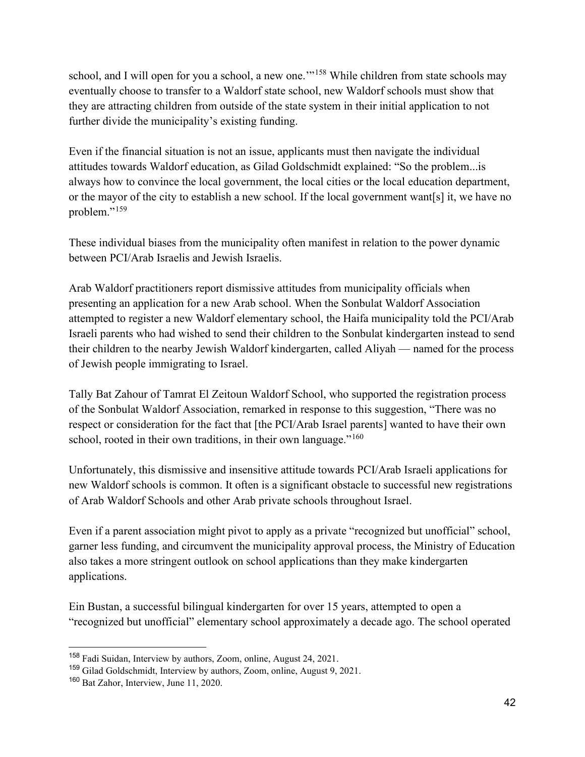school, and I will open for you a school, a new one."<sup>[158](#page-44-0)</sup> While children from state schools may eventually choose to transfer to a Waldorf state school, new Waldorf schools must show that they are attracting children from outside of the state system in their initial application to not further divide the municipality's existing funding.

Even if the financial situation is not an issue, applicants must then navigate the individual attitudes towards Waldorf education, as Gilad Goldschmidt explained: "So the problem...is always how to convince the local government, the local cities or the local education department, or the mayor of the city to establish a new school. If the local government want[s] it, we have no problem."<sup>[159](#page-44-1)</sup>

These individual biases from the municipality often manifest in relation to the power dynamic between PCI/Arab Israelis and Jewish Israelis.

Arab Waldorf practitioners report dismissive attitudes from municipality officials when presenting an application for a new Arab school. When the Sonbulat Waldorf Association attempted to register a new Waldorf elementary school, the Haifa municipality told the PCI/Arab Israeli parents who had wished to send their children to the Sonbulat kindergarten instead to send their children to the nearby Jewish Waldorf kindergarten, called Aliyah — named for the process of Jewish people immigrating to Israel.

Tally Bat Zahour of Tamrat El Zeitoun Waldorf School, who supported the registration process of the Sonbulat Waldorf Association, remarked in response to this suggestion, "There was no respect or consideration for the fact that [the PCI/Arab Israel parents] wanted to have their own school, rooted in their own traditions, in their own language."<sup>[160](#page-44-2)</sup>

Unfortunately, this dismissive and insensitive attitude towards PCI/Arab Israeli applications for new Waldorf schools is common. It often is a significant obstacle to successful new registrations of Arab Waldorf Schools and other Arab private schools throughout Israel.

Even if a parent association might pivot to apply as a private "recognized but unofficial" school, garner less funding, and circumvent the municipality approval process, the Ministry of Education also takes a more stringent outlook on school applications than they make kindergarten applications.

Ein Bustan, a successful bilingual kindergarten for over 15 years, attempted to open a "recognized but unofficial" elementary school approximately a decade ago. The school operated

<span id="page-44-0"></span><sup>158</sup> Fadi Suidan, Interview by authors, Zoom, online, August 24, 2021.

<span id="page-44-1"></span><sup>159</sup> Gilad Goldschmidt, Interview by authors, Zoom, online, August 9, 2021.

<span id="page-44-2"></span><sup>160</sup> Bat Zahor, Interview, June 11, 2020.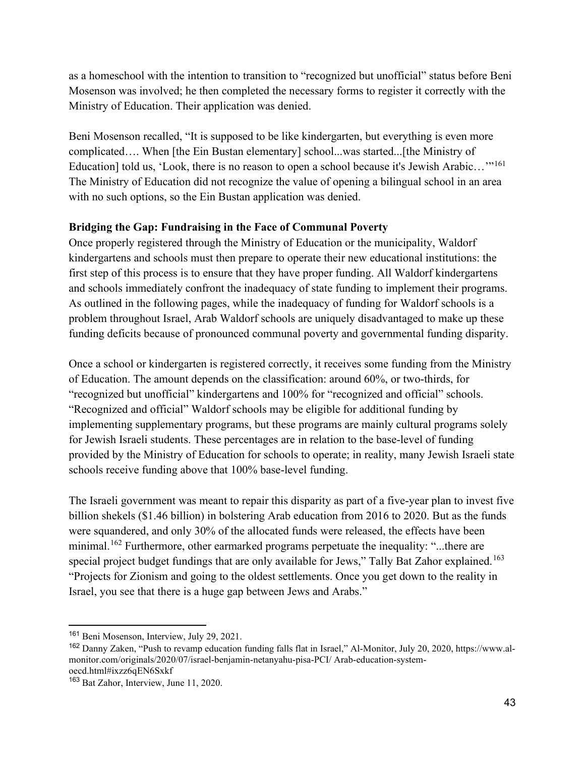as a homeschool with the intention to transition to "recognized but unofficial" status before Beni Mosenson was involved; he then completed the necessary forms to register it correctly with the Ministry of Education. Their application was denied.

Beni Mosenson recalled, "It is supposed to be like kindergarten, but everything is even more complicated…. When [the Ein Bustan elementary] school...was started...[the Ministry of Education] told us, 'Look, there is no reason to open a school because it's Jewish Arabic...'"<sup>[161](#page-45-0)</sup> The Ministry of Education did not recognize the value of opening a bilingual school in an area with no such options, so the Ein Bustan application was denied.

#### **Bridging the Gap: Fundraising in the Face of Communal Poverty**

Once properly registered through the Ministry of Education or the municipality, Waldorf kindergartens and schools must then prepare to operate their new educational institutions: the first step of this process is to ensure that they have proper funding. All Waldorf kindergartens and schools immediately confront the inadequacy of state funding to implement their programs. As outlined in the following pages, while the inadequacy of funding for Waldorf schools is a problem throughout Israel, Arab Waldorf schools are uniquely disadvantaged to make up these funding deficits because of pronounced communal poverty and governmental funding disparity.

Once a school or kindergarten is registered correctly, it receives some funding from the Ministry of Education. The amount depends on the classification: around 60%, or two-thirds, for "recognized but unofficial" kindergartens and 100% for "recognized and official" schools. "Recognized and official" Waldorf schools may be eligible for additional funding by implementing supplementary programs, but these programs are mainly cultural programs solely for Jewish Israeli students. These percentages are in relation to the base-level of funding provided by the Ministry of Education for schools to operate; in reality, many Jewish Israeli state schools receive funding above that 100% base-level funding.

The Israeli government was meant to repair this disparity as part of a five-year plan to invest five billion shekels (\$1.46 billion) in bolstering Arab education from 2016 to 2020. But as the funds were squandered, and only 30% of the allocated funds were released, the effects have been minimal.<sup>162</sup> Furthermore, other earmarked programs perpetuate the inequality: "...there are special project budget fundings that are only available for Jews," Tally Bat Zahor explained.<sup>[163](#page-45-2)</sup> "Projects for Zionism and going to the oldest settlements. Once you get down to the reality in Israel, you see that there is a huge gap between Jews and Arabs."

<span id="page-45-0"></span><sup>161</sup> Beni Mosenson, Interview, July 29, 2021.

<span id="page-45-1"></span><sup>162</sup> Danny Zaken, "Push to revamp education funding falls flat in Israel," Al-Monitor, July 20, 2020, https://www.almonitor.com/originals/2020/07/israel-benjamin-netanyahu-pisa-PCI/ Arab-education-systemoecd.html#ixzz6qEN6Sxkf

<span id="page-45-2"></span><sup>&</sup>lt;sup>163</sup> Bat Zahor, Interview, June 11, 2020.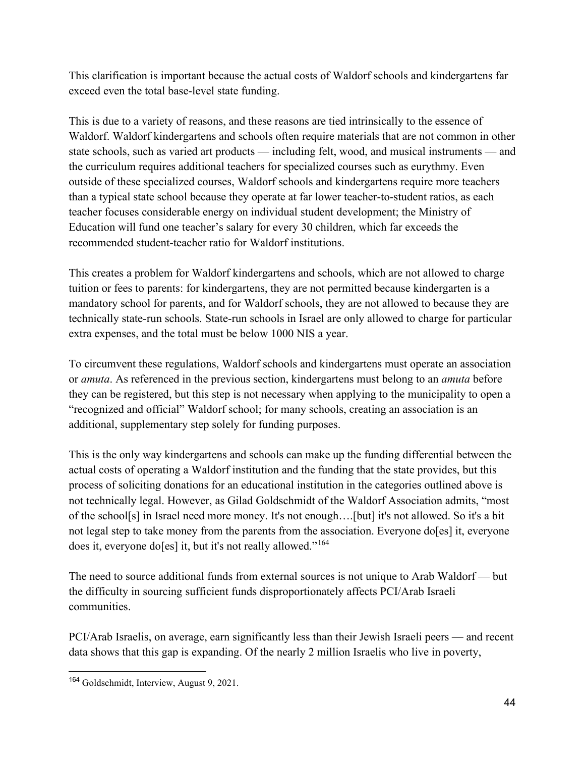This clarification is important because the actual costs of Waldorf schools and kindergartens far exceed even the total base-level state funding.

This is due to a variety of reasons, and these reasons are tied intrinsically to the essence of Waldorf. Waldorf kindergartens and schools often require materials that are not common in other state schools, such as varied art products — including felt, wood, and musical instruments — and the curriculum requires additional teachers for specialized courses such as eurythmy. Even outside of these specialized courses, Waldorf schools and kindergartens require more teachers than a typical state school because they operate at far lower teacher-to-student ratios, as each teacher focuses considerable energy on individual student development; the Ministry of Education will fund one teacher's salary for every 30 children, which far exceeds the recommended student-teacher ratio for Waldorf institutions.

This creates a problem for Waldorf kindergartens and schools, which are not allowed to charge tuition or fees to parents: for kindergartens, they are not permitted because kindergarten is a mandatory school for parents, and for Waldorf schools, they are not allowed to because they are technically state-run schools. State-run schools in Israel are only allowed to charge for particular extra expenses, and the total must be below 1000 NIS a year.

To circumvent these regulations, Waldorf schools and kindergartens must operate an association or *amuta*. As referenced in the previous section, kindergartens must belong to an *amuta* before they can be registered, but this step is not necessary when applying to the municipality to open a "recognized and official" Waldorf school; for many schools, creating an association is an additional, supplementary step solely for funding purposes.

This is the only way kindergartens and schools can make up the funding differential between the actual costs of operating a Waldorf institution and the funding that the state provides, but this process of soliciting donations for an educational institution in the categories outlined above is not technically legal. However, as Gilad Goldschmidt of the Waldorf Association admits, "most of the school[s] in Israel need more money. It's not enough….[but] it's not allowed. So it's a bit not legal step to take money from the parents from the association. Everyone do[es] it, everyone does it, everyone do[es] it, but it's not really allowed."<sup>[164](#page-46-0)</sup>

The need to source additional funds from external sources is not unique to Arab Waldorf — but the difficulty in sourcing sufficient funds disproportionately affects PCI/Arab Israeli communities.

PCI/Arab Israelis, on average, earn significantly less than their Jewish Israeli peers — and recent data shows that this gap is expanding. Of the nearly 2 million Israelis who live in poverty,

<span id="page-46-0"></span><sup>&</sup>lt;sup>164</sup> Goldschmidt, Interview, August 9, 2021.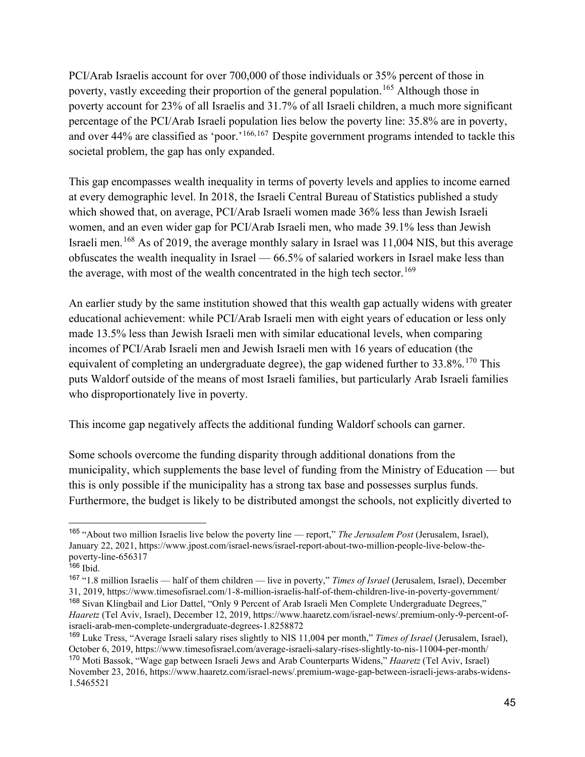PCI/Arab Israelis account for over 700,000 of those individuals or 35% percent of those in poverty, vastly exceeding their proportion of the general population.<sup>[165](#page-47-0)</sup> Although those in poverty account for 23% of all Israelis and 31.7% of all Israeli children, a much more significant percentage of the PCI/Arab Israeli population lies below the poverty line: 35.8% are in poverty, and over 44% are classified as 'poor.'<sup>[166](#page-47-1),[167](#page-47-2)</sup> Despite government programs intended to tackle this societal problem, the gap has only expanded.

This gap encompasses wealth inequality in terms of poverty levels and applies to income earned at every demographic level. In 2018, the Israeli Central Bureau of Statistics published a study which showed that, on average, PCI/Arab Israeli women made 36% less than Jewish Israeli women, and an even wider gap for PCI/Arab Israeli men, who made 39.1% less than Jewish Israeli men.<sup>[168](#page-47-3)</sup> As of 2019, the average monthly salary in Israel was 11,004 NIS, but this average obfuscates the wealth inequality in Israel — 66.5% of salaried workers in Israel make less than the average, with most of the wealth concentrated in the high tech sector.<sup>[169](#page-47-4)</sup>

An earlier study by the same institution showed that this wealth gap actually widens with greater educational achievement: while PCI/Arab Israeli men with eight years of education or less only made 13.5% less than Jewish Israeli men with similar educational levels, when comparing incomes of PCI/Arab Israeli men and Jewish Israeli men with 16 years of education (the equivalent of completing an undergraduate degree), the gap widened further to  $33.8\%$ .<sup>[170](#page-47-5)</sup> This puts Waldorf outside of the means of most Israeli families, but particularly Arab Israeli families who disproportionately live in poverty.

This income gap negatively affects the additional funding Waldorf schools can garner.

Some schools overcome the funding disparity through additional donations from the municipality, which supplements the base level of funding from the Ministry of Education — but this is only possible if the municipality has a strong tax base and possesses surplus funds. Furthermore, the budget is likely to be distributed amongst the schools, not explicitly diverted to

<span id="page-47-0"></span><sup>165</sup> "About two million Israelis live below the poverty line — report," *The Jerusalem Post* (Jerusalem, Israel), January 22, 2021, https://www.jpost.com/israel-news/israel-report-about-two-million-people-live-below-thepoverty-line-656317

<span id="page-47-1"></span> $166$  Ibid.

<span id="page-47-3"></span><span id="page-47-2"></span><sup>167</sup> "1.8 million Israelis — half of them children — live in poverty," *Times of Israel* (Jerusalem, Israel), December 31, 2019, https://www.timesofisrael.com/1-8-million-israelis-half-of-them-children-live-in-poverty-government/ <sup>168</sup> Sivan Klingbail and Lior Dattel, "Only 9 Percent of Arab Israeli Men Complete Undergraduate Degrees," *Haaretz* (Tel Aviv, Israel), December 12, 2019, https://www.haaretz.com/israel-news/.premium-only-9-percent-ofisraeli-arab-men-complete-undergraduate-degrees-1.8258872

<span id="page-47-4"></span><sup>169</sup> Luke Tress, "Average Israeli salary rises slightly to NIS 11,004 per month," *Times of Israel* (Jerusalem, Israel), October 6, 2019, https://www.timesofisrael.com/average-israeli-salary-rises-slightly-to-nis-11004-per-month/

<span id="page-47-5"></span><sup>170</sup> Moti Bassok, "Wage gap between Israeli Jews and Arab Counterparts Widens," *Haaretz* (Tel Aviv, Israel) November 23, 2016, https://www.haaretz.com/israel-news/.premium-wage-gap-between-israeli-jews-arabs-widens-1.5465521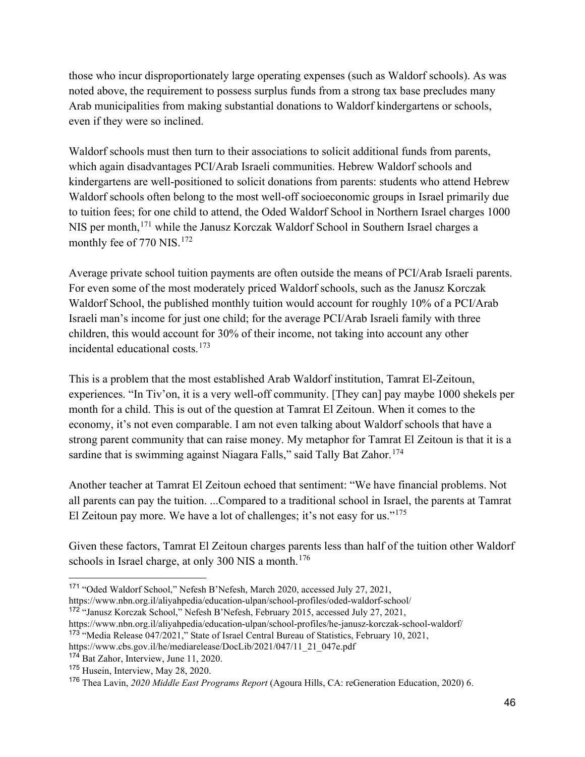those who incur disproportionately large operating expenses (such as Waldorf schools). As was noted above, the requirement to possess surplus funds from a strong tax base precludes many Arab municipalities from making substantial donations to Waldorf kindergartens or schools, even if they were so inclined.

Waldorf schools must then turn to their associations to solicit additional funds from parents, which again disadvantages PCI/Arab Israeli communities. Hebrew Waldorf schools and kindergartens are well-positioned to solicit donations from parents: students who attend Hebrew Waldorf schools often belong to the most well-off socioeconomic groups in Israel primarily due to tuition fees; for one child to attend, the Oded Waldorf School in Northern Israel charges 1000 NIS per month,<sup>[171](#page-48-0)</sup> while the Janusz Korczak Waldorf School in Southern Israel charges a monthly fee of 770 NIS.<sup>[172](#page-48-1)</sup>

Average private school tuition payments are often outside the means of PCI/Arab Israeli parents. For even some of the most moderately priced Waldorf schools, such as the Janusz Korczak Waldorf School, the published monthly tuition would account for roughly 10% of a PCI/Arab Israeli man's income for just one child; for the average PCI/Arab Israeli family with three children, this would account for 30% of their income, not taking into account any other incidental educational costs.[173](#page-48-2)

This is a problem that the most established Arab Waldorf institution, Tamrat El-Zeitoun, experiences. "In Tiv'on, it is a very well-off community. [They can] pay maybe 1000 shekels per month for a child. This is out of the question at Tamrat El Zeitoun. When it comes to the economy, it's not even comparable. I am not even talking about Waldorf schools that have a strong parent community that can raise money. My metaphor for Tamrat El Zeitoun is that it is a sardine that is swimming against Niagara Falls," said Tally Bat Zahor.<sup>[174](#page-48-3)</sup>

Another teacher at Tamrat El Zeitoun echoed that sentiment: "We have financial problems. Not all parents can pay the tuition. ...Compared to a traditional school in Israel, the parents at Tamrat El Zeitoun pay more. We have a lot of challenges; it's not easy for us."<sup>[175](#page-48-4)</sup>

Given these factors, Tamrat El Zeitoun charges parents less than half of the tuition other Waldorf schools in Israel charge, at only 300 NIS a month.<sup>[176](#page-48-5)</sup>

<span id="page-48-0"></span><sup>171</sup> "Oded Waldorf School," Nefesh B'Nefesh, March 2020, accessed July 27, 2021,

https://www.nbn.org.il/aliyahpedia/education-ulpan/school-profiles/oded-waldorf-school/

<span id="page-48-1"></span><sup>172</sup> "Janusz Korczak School," Nefesh B'Nefesh, February 2015, accessed July 27, 2021,

https://www.nbn.org.il/aliyahpedia/education-ulpan/school-profiles/he-janusz-korczak-school-waldorf/

<span id="page-48-2"></span><sup>173</sup> "Media Release 047/2021," State of Israel Central Bureau of Statistics, February 10, 2021,

https://www.cbs.gov.il/he/mediarelease/DocLib/2021/047/11\_21\_047e.pdf

<span id="page-48-3"></span><sup>174</sup> Bat Zahor, Interview, June 11, 2020.

<span id="page-48-4"></span><sup>175</sup> Husein, Interview, May 28, 2020.

<span id="page-48-5"></span><sup>176</sup> Thea Lavin, *2020 Middle East Programs Report* (Agoura Hills, CA: reGeneration Education, 2020) 6.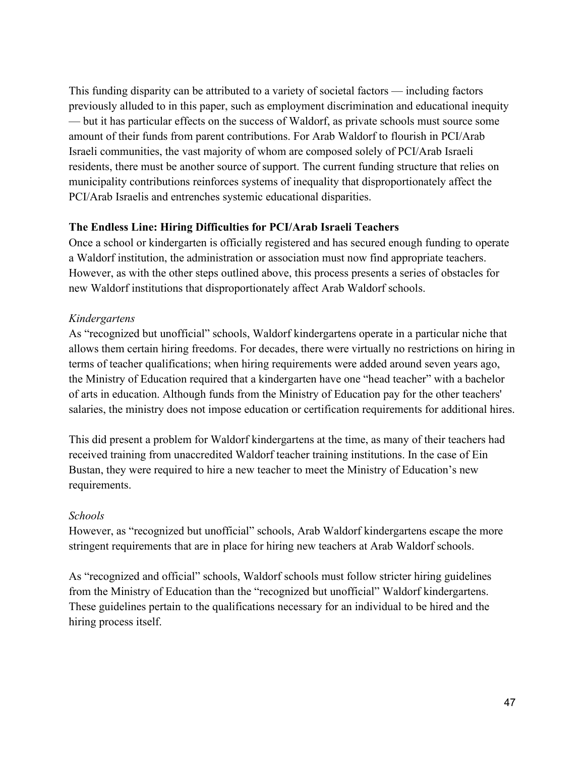This funding disparity can be attributed to a variety of societal factors — including factors previously alluded to in this paper, such as employment discrimination and educational inequity — but it has particular effects on the success of Waldorf, as private schools must source some amount of their funds from parent contributions. For Arab Waldorf to flourish in PCI/Arab Israeli communities, the vast majority of whom are composed solely of PCI/Arab Israeli residents, there must be another source of support. The current funding structure that relies on municipality contributions reinforces systems of inequality that disproportionately affect the PCI/Arab Israelis and entrenches systemic educational disparities.

#### **The Endless Line: Hiring Difficulties for PCI/Arab Israeli Teachers**

Once a school or kindergarten is officially registered and has secured enough funding to operate a Waldorf institution, the administration or association must now find appropriate teachers. However, as with the other steps outlined above, this process presents a series of obstacles for new Waldorf institutions that disproportionately affect Arab Waldorf schools.

#### *Kindergartens*

As "recognized but unofficial" schools, Waldorf kindergartens operate in a particular niche that allows them certain hiring freedoms. For decades, there were virtually no restrictions on hiring in terms of teacher qualifications; when hiring requirements were added around seven years ago, the Ministry of Education required that a kindergarten have one "head teacher" with a bachelor of arts in education. Although funds from the Ministry of Education pay for the other teachers' salaries, the ministry does not impose education or certification requirements for additional hires.

This did present a problem for Waldorf kindergartens at the time, as many of their teachers had received training from unaccredited Waldorf teacher training institutions. In the case of Ein Bustan, they were required to hire a new teacher to meet the Ministry of Education's new requirements.

#### *Schools*

However, as "recognized but unofficial" schools, Arab Waldorf kindergartens escape the more stringent requirements that are in place for hiring new teachers at Arab Waldorf schools.

As "recognized and official" schools, Waldorf schools must follow stricter hiring guidelines from the Ministry of Education than the "recognized but unofficial" Waldorf kindergartens. These guidelines pertain to the qualifications necessary for an individual to be hired and the hiring process itself.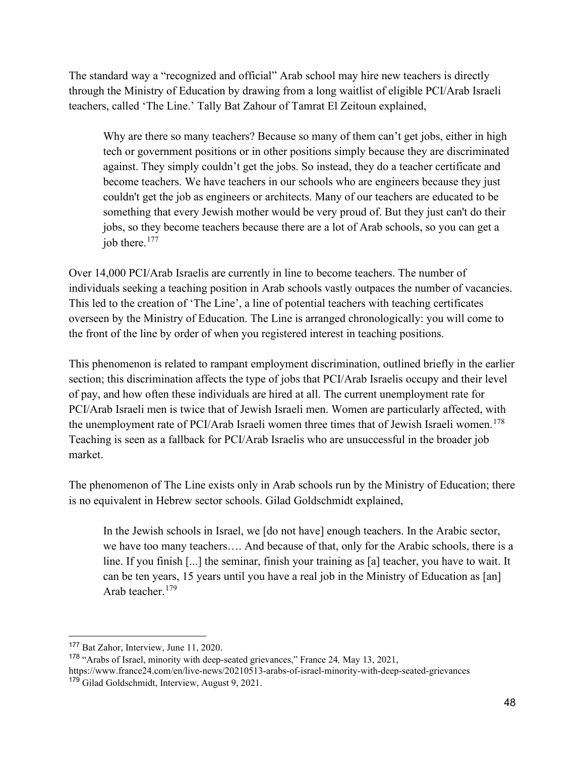The standard way a "recognized and official" Arab school may hire new teachers is directly through the Ministry of Education by drawing from a long waitlist of eligible PCI/Arab Israeli teachers, called 'The Line.' Tally Bat Zahour of Tamrat El Zeitoun explained,

Why are there so many teachers? Because so many of them can't get jobs, either in high tech or government positions or in other positions simply because they are discriminated against. They simply couldn't get the jobs. So instead, they do a teacher certificate and become teachers. We have teachers in our schools who are engineers because they just couldn't get the job as engineers or architects. Many of our teachers are educated to be something that every Jewish mother would be very proud of. But they just can't do their jobs, so they become teachers because there are a lot of Arab schools, so you can get a job there.<sup>[177](#page-50-0)</sup>

Over 14,000 PCI/Arab Israelis are currently in line to become teachers. The number of individuals seeking a teaching position in Arab schools vastly outpaces the number of vacancies. This led to the creation of 'The Line', a line of potential teachers with teaching certificates overseen by the Ministry of Education. The Line is arranged chronologically: you will come to the front of the line by order of when you registered interest in teaching positions.

This phenomenon is related to rampant employment discrimination, outlined briefly in the earlier section; this discrimination affects the type of jobs that PCI/Arab Israelis occupy and their level of pay, and how often these individuals are hired at all. The current unemployment rate for PCI/Arab Israeli men is twice that of Jewish Israeli men. Women are particularly affected, with the unemployment rate of PCI/Arab Israeli women three times that of Jewish Israeli women.<sup>[178](#page-50-1)</sup> Teaching is seen as a fallback for PCI/Arab Israelis who are unsuccessful in the broader job market.

The phenomenon of The Line exists only in Arab schools run by the Ministry of Education; there is no equivalent in Hebrew sector schools. Gilad Goldschmidt explained,

In the Jewish schools in Israel, we [do not have] enough teachers. In the Arabic sector, we have too many teachers…. And because of that, only for the Arabic schools, there is a line. If you finish [...] the seminar, finish your training as [a] teacher, you have to wait. It can be ten years, 15 years until you have a real job in the Ministry of Education as [an] Arab teacher.[179](#page-50-2)

<span id="page-50-0"></span><sup>177</sup> Bat Zahor, Interview, June 11, 2020.

<span id="page-50-2"></span><span id="page-50-1"></span><sup>178</sup> "Arabs of Israel, minority with deep-seated grievances," France 24*,* May 13, 2021, https://www.france24.com/en/live-news/20210513-arabs-of-israel-minority-with-deep-seated-grievances <sup>179</sup> Gilad Goldschmidt, Interview, August 9, 2021.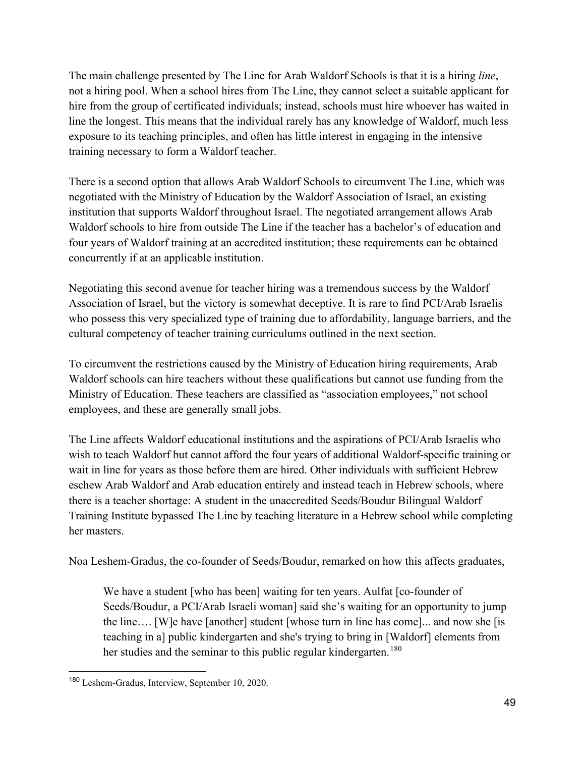The main challenge presented by The Line for Arab Waldorf Schools is that it is a hiring *line*, not a hiring pool. When a school hires from The Line, they cannot select a suitable applicant for hire from the group of certificated individuals; instead, schools must hire whoever has waited in line the longest. This means that the individual rarely has any knowledge of Waldorf, much less exposure to its teaching principles, and often has little interest in engaging in the intensive training necessary to form a Waldorf teacher.

There is a second option that allows Arab Waldorf Schools to circumvent The Line, which was negotiated with the Ministry of Education by the Waldorf Association of Israel, an existing institution that supports Waldorf throughout Israel. The negotiated arrangement allows Arab Waldorf schools to hire from outside The Line if the teacher has a bachelor's of education and four years of Waldorf training at an accredited institution; these requirements can be obtained concurrently if at an applicable institution.

Negotiating this second avenue for teacher hiring was a tremendous success by the Waldorf Association of Israel, but the victory is somewhat deceptive. It is rare to find PCI/Arab Israelis who possess this very specialized type of training due to affordability, language barriers, and the cultural competency of teacher training curriculums outlined in the next section.

To circumvent the restrictions caused by the Ministry of Education hiring requirements, Arab Waldorf schools can hire teachers without these qualifications but cannot use funding from the Ministry of Education. These teachers are classified as "association employees," not school employees, and these are generally small jobs.

The Line affects Waldorf educational institutions and the aspirations of PCI/Arab Israelis who wish to teach Waldorf but cannot afford the four years of additional Waldorf-specific training or wait in line for years as those before them are hired. Other individuals with sufficient Hebrew eschew Arab Waldorf and Arab education entirely and instead teach in Hebrew schools, where there is a teacher shortage: A student in the unaccredited Seeds/Boudur Bilingual Waldorf Training Institute bypassed The Line by teaching literature in a Hebrew school while completing her masters.

Noa Leshem-Gradus, the co-founder of Seeds/Boudur, remarked on how this affects graduates,

We have a student [who has been] waiting for ten years. Aulfat [co-founder of Seeds/Boudur, a PCI/Arab Israeli woman] said she's waiting for an opportunity to jump the line…. [W]e have [another] student [whose turn in line has come]... and now she [is teaching in a] public kindergarten and she's trying to bring in [Waldorf] elements from her studies and the seminar to this public regular kindergarten.<sup>[180](#page-51-0)</sup>

<span id="page-51-0"></span><sup>180</sup> Leshem-Gradus, Interview, September 10, 2020.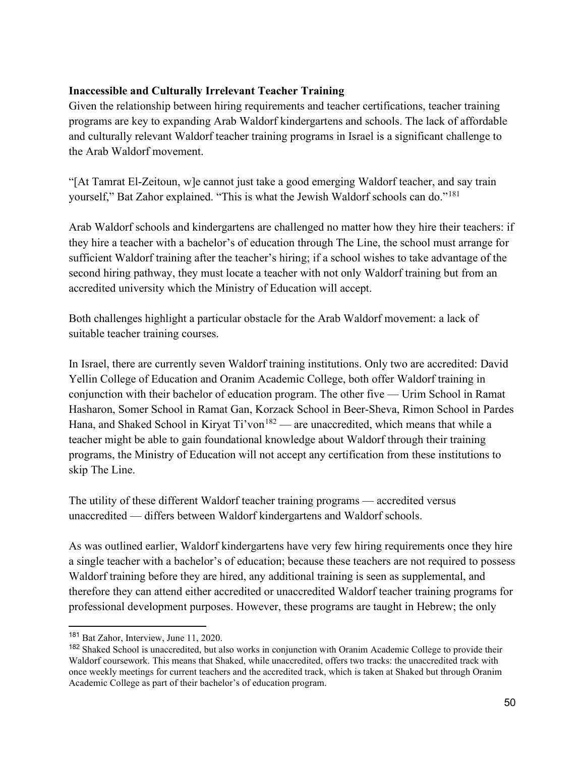#### **Inaccessible and Culturally Irrelevant Teacher Training**

Given the relationship between hiring requirements and teacher certifications, teacher training programs are key to expanding Arab Waldorf kindergartens and schools. The lack of affordable and culturally relevant Waldorf teacher training programs in Israel is a significant challenge to the Arab Waldorf movement.

"[At Tamrat El-Zeitoun, w]e cannot just take a good emerging Waldorf teacher, and say train yourself," Bat Zahor explained. "This is what the Jewish Waldorf schools can do."<sup>181</sup>

Arab Waldorf schools and kindergartens are challenged no matter how they hire their teachers: if they hire a teacher with a bachelor's of education through The Line, the school must arrange for sufficient Waldorf training after the teacher's hiring; if a school wishes to take advantage of the second hiring pathway, they must locate a teacher with not only Waldorf training but from an accredited university which the Ministry of Education will accept.

Both challenges highlight a particular obstacle for the Arab Waldorf movement: a lack of suitable teacher training courses.

In Israel, there are currently seven Waldorf training institutions. Only two are accredited: David Yellin College of Education and Oranim Academic College, both offer Waldorf training in conjunction with their bachelor of education program. The other five — Urim School in Ramat Hasharon, Somer School in Ramat Gan, Korzack School in Beer-Sheva, Rimon School in Pardes Hana, and Shaked School in Kiryat  $Ti'von^{182}$  — are unaccredited, which means that while a teacher might be able to gain foundational knowledge about Waldorf through their training programs, the Ministry of Education will not accept any certification from these institutions to skip The Line.

The utility of these different Waldorf teacher training programs — accredited versus unaccredited — differs between Waldorf kindergartens and Waldorf schools.

As was outlined earlier, Waldorf kindergartens have very few hiring requirements once they hire a single teacher with a bachelor's of education; because these teachers are not required to possess Waldorf training before they are hired, any additional training is seen as supplemental, and therefore they can attend either accredited or unaccredited Waldorf teacher training programs for professional development purposes. However, these programs are taught in Hebrew; the only

<span id="page-52-0"></span><sup>181</sup> Bat Zahor, Interview, June 11, 2020.

<span id="page-52-1"></span><sup>&</sup>lt;sup>182</sup> Shaked School is unaccredited, but also works in conjunction with Oranim Academic College to provide their Waldorf coursework. This means that Shaked, while unaccredited, offers two tracks: the unaccredited track with once weekly meetings for current teachers and the accredited track, which is taken at Shaked but through Oranim Academic College as part of their bachelor's of education program.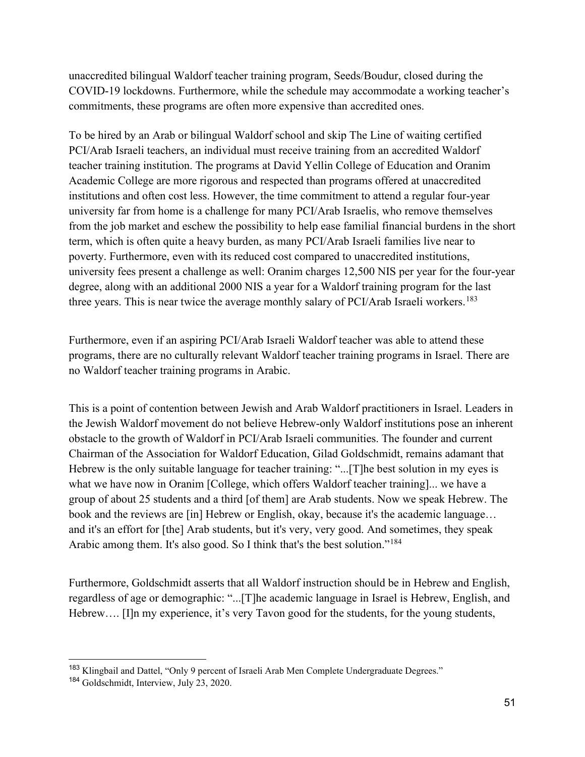unaccredited bilingual Waldorf teacher training program, Seeds/Boudur, closed during the COVID-19 lockdowns. Furthermore, while the schedule may accommodate a working teacher's commitments, these programs are often more expensive than accredited ones.

To be hired by an Arab or bilingual Waldorf school and skip The Line of waiting certified PCI/Arab Israeli teachers, an individual must receive training from an accredited Waldorf teacher training institution. The programs at David Yellin College of Education and Oranim Academic College are more rigorous and respected than programs offered at unaccredited institutions and often cost less. However, the time commitment to attend a regular four-year university far from home is a challenge for many PCI/Arab Israelis, who remove themselves from the job market and eschew the possibility to help ease familial financial burdens in the short term, which is often quite a heavy burden, as many PCI/Arab Israeli families live near to poverty. Furthermore, even with its reduced cost compared to unaccredited institutions, university fees present a challenge as well: Oranim charges 12,500 NIS per year for the four-year degree, along with an additional 2000 NIS a year for a Waldorf training program for the last three years. This is near twice the average monthly salary of PCI/Arab Israeli workers.<sup>[183](#page-53-0)</sup>

Furthermore, even if an aspiring PCI/Arab Israeli Waldorf teacher was able to attend these programs, there are no culturally relevant Waldorf teacher training programs in Israel. There are no Waldorf teacher training programs in Arabic.

This is a point of contention between Jewish and Arab Waldorf practitioners in Israel. Leaders in the Jewish Waldorf movement do not believe Hebrew-only Waldorf institutions pose an inherent obstacle to the growth of Waldorf in PCI/Arab Israeli communities. The founder and current Chairman of the Association for Waldorf Education, Gilad Goldschmidt, remains adamant that Hebrew is the only suitable language for teacher training: "...[T]he best solution in my eyes is what we have now in Oranim [College, which offers Waldorf teacher training]... we have a group of about 25 students and a third [of them] are Arab students. Now we speak Hebrew. The book and the reviews are [in] Hebrew or English, okay, because it's the academic language… and it's an effort for [the] Arab students, but it's very, very good. And sometimes, they speak Arabic among them. It's also good. So I think that's the best solution."<sup>184</sup>

Furthermore, Goldschmidt asserts that all Waldorf instruction should be in Hebrew and English, regardless of age or demographic: "...[T]he academic language in Israel is Hebrew, English, and Hebrew.... [I]n my experience, it's very Tavon good for the students, for the young students,

<span id="page-53-0"></span><sup>&</sup>lt;sup>183</sup> Klingbail and Dattel, "Only 9 percent of Israeli Arab Men Complete Undergraduate Degrees."

<span id="page-53-1"></span><sup>&</sup>lt;sup>184</sup> Goldschmidt, Interview, July 23, 2020.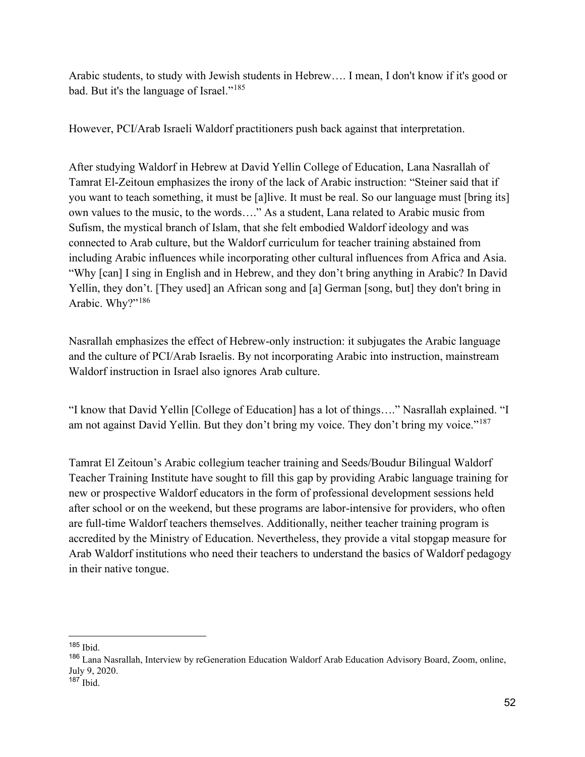Arabic students, to study with Jewish students in Hebrew…. I mean, I don't know if it's good or bad. But it's the language of Israel."[185](#page-54-0)

However, PCI/Arab Israeli Waldorf practitioners push back against that interpretation.

After studying Waldorf in Hebrew at David Yellin College of Education, Lana Nasrallah of Tamrat El-Zeitoun emphasizes the irony of the lack of Arabic instruction: "Steiner said that if you want to teach something, it must be [a]live. It must be real. So our language must [bring its] own values to the music, to the words…." As a student, Lana related to Arabic music from Sufism, the mystical branch of Islam, that she felt embodied Waldorf ideology and was connected to Arab culture, but the Waldorf curriculum for teacher training abstained from including Arabic influences while incorporating other cultural influences from Africa and Asia. "Why [can] I sing in English and in Hebrew, and they don't bring anything in Arabic? In David Yellin, they don't. [They used] an African song and [a] German [song, but] they don't bring in Arabic. Why?"<sup>[186](#page-54-1)</sup>

Nasrallah emphasizes the effect of Hebrew-only instruction: it subjugates the Arabic language and the culture of PCI/Arab Israelis. By not incorporating Arabic into instruction, mainstream Waldorf instruction in Israel also ignores Arab culture.

"I know that David Yellin [College of Education] has a lot of things…." Nasrallah explained. "I am not against David Yellin. But they don't bring my voice. They don't bring my voice."<sup>[187](#page-54-2)</sup>

Tamrat El Zeitoun's Arabic collegium teacher training and Seeds/Boudur Bilingual Waldorf Teacher Training Institute have sought to fill this gap by providing Arabic language training for new or prospective Waldorf educators in the form of professional development sessions held after school or on the weekend, but these programs are labor-intensive for providers, who often are full-time Waldorf teachers themselves. Additionally, neither teacher training program is accredited by the Ministry of Education. Nevertheless, they provide a vital stopgap measure for Arab Waldorf institutions who need their teachers to understand the basics of Waldorf pedagogy in their native tongue.

<span id="page-54-0"></span> $185$  Ibid.

<span id="page-54-1"></span><sup>186</sup> Lana Nasrallah, Interview by reGeneration Education Waldorf Arab Education Advisory Board, Zoom, online, July 9, 2020.

<span id="page-54-2"></span> $187$  Ibid.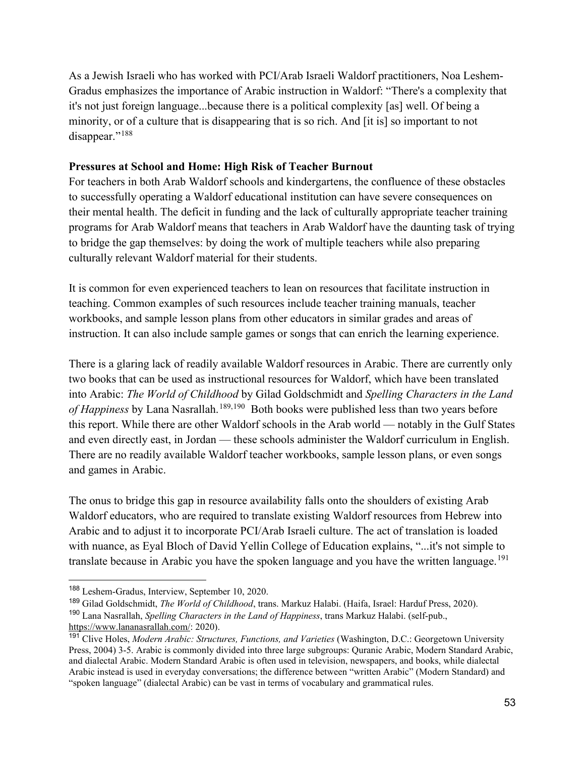As a Jewish Israeli who has worked with PCI/Arab Israeli Waldorf practitioners, Noa Leshem-Gradus emphasizes the importance of Arabic instruction in Waldorf: "There's a complexity that it's not just foreign language...because there is a political complexity [as] well. Of being a minority, or of a culture that is disappearing that is so rich. And [it is] so important to not disappear."<sup>[188](#page-55-0)</sup>

#### **Pressures at School and Home: High Risk of Teacher Burnout**

For teachers in both Arab Waldorf schools and kindergartens, the confluence of these obstacles to successfully operating a Waldorf educational institution can have severe consequences on their mental health. The deficit in funding and the lack of culturally appropriate teacher training programs for Arab Waldorf means that teachers in Arab Waldorf have the daunting task of trying to bridge the gap themselves: by doing the work of multiple teachers while also preparing culturally relevant Waldorf material for their students.

It is common for even experienced teachers to lean on resources that facilitate instruction in teaching. Common examples of such resources include teacher training manuals, teacher workbooks, and sample lesson plans from other educators in similar grades and areas of instruction. It can also include sample games or songs that can enrich the learning experience.

There is a glaring lack of readily available Waldorf resources in Arabic. There are currently only two books that can be used as instructional resources for Waldorf, which have been translated into Arabic: *The World of Childhood* by Gilad Goldschmidt and *Spelling Characters in the Land of Happiness* by Lana Nasrallah.<sup>[189,](#page-55-1)190</sup> Both books were published less than two years before this report. While there are other Waldorf schools in the Arab world — notably in the Gulf States and even directly east, in Jordan — these schools administer the Waldorf curriculum in English. There are no readily available Waldorf teacher workbooks, sample lesson plans, or even songs and games in Arabic.

The onus to bridge this gap in resource availability falls onto the shoulders of existing Arab Waldorf educators, who are required to translate existing Waldorf resources from Hebrew into Arabic and to adjust it to incorporate PCI/Arab Israeli culture. The act of translation is loaded with nuance, as Eyal Bloch of David Yellin College of Education explains, "...it's not simple to translate because in Arabic you have the spoken language and you have the written language.<sup>[191](#page-55-3)</sup>

<span id="page-55-0"></span><sup>188</sup> Leshem-Gradus, Interview, September 10, 2020.

<span id="page-55-1"></span><sup>189</sup> Gilad Goldschmidt, *The World of Childhood*, trans. Markuz Halabi. (Haifa, Israel: Harduf Press, 2020).

<span id="page-55-2"></span><sup>190</sup> Lana Nasrallah, *Spelling Characters in the Land of Happiness*, trans Markuz Halabi. (self-pub., [https://www.lananasrallah.com/:](https://www.lananasrallah.com/) 2020).

<span id="page-55-3"></span><sup>191</sup> Clive Holes, *Modern Arabic: Structures, Functions, and Varieties* (Washington, D.C.: Georgetown University Press, 2004) 3-5. Arabic is commonly divided into three large subgroups: Quranic Arabic, Modern Standard Arabic, and dialectal Arabic. Modern Standard Arabic is often used in television, newspapers, and books, while dialectal Arabic instead is used in everyday conversations; the difference between "written Arabic" (Modern Standard) and "spoken language" (dialectal Arabic) can be vast in terms of vocabulary and grammatical rules.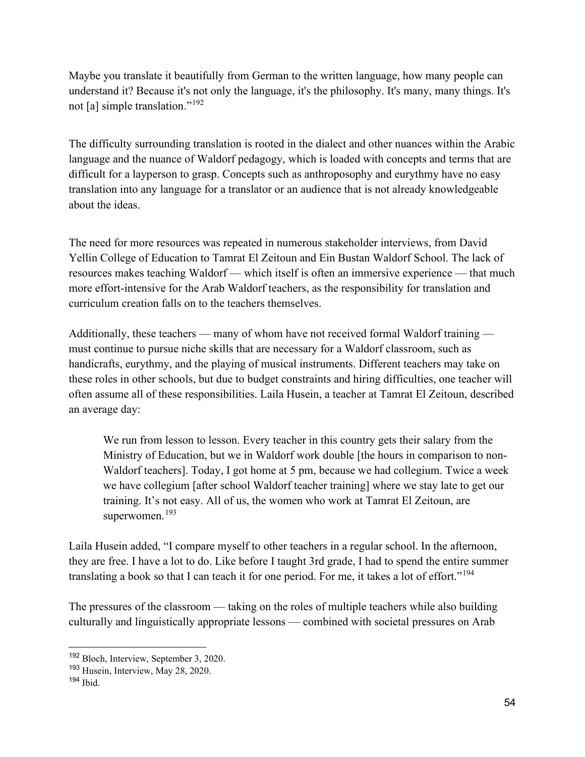Maybe you translate it beautifully from German to the written language, how many people can understand it? Because it's not only the language, it's the philosophy. It's many, many things. It's not [a] simple translation."[192](#page-56-0)

The difficulty surrounding translation is rooted in the dialect and other nuances within the Arabic language and the nuance of Waldorf pedagogy, which is loaded with concepts and terms that are difficult for a layperson to grasp. Concepts such as anthroposophy and eurythmy have no easy translation into any language for a translator or an audience that is not already knowledgeable about the ideas.

The need for more resources was repeated in numerous stakeholder interviews, from David Yellin College of Education to Tamrat El Zeitoun and Ein Bustan Waldorf School. The lack of resources makes teaching Waldorf — which itself is often an immersive experience — that much more effort-intensive for the Arab Waldorf teachers, as the responsibility for translation and curriculum creation falls on to the teachers themselves.

Additionally, these teachers — many of whom have not received formal Waldorf training must continue to pursue niche skills that are necessary for a Waldorf classroom, such as handicrafts, eurythmy, and the playing of musical instruments. Different teachers may take on these roles in other schools, but due to budget constraints and hiring difficulties, one teacher will often assume all of these responsibilities. Laila Husein, a teacher at Tamrat El Zeitoun, described an average day:

We run from lesson to lesson. Every teacher in this country gets their salary from the Ministry of Education, but we in Waldorf work double [the hours in comparison to non-Waldorf teachers]. Today, I got home at 5 pm, because we had collegium. Twice a week we have collegium [after school Waldorf teacher training] where we stay late to get our training. It's not easy. All of us, the women who work at Tamrat El Zeitoun, are superwomen.<sup>[193](#page-56-1)</sup>

Laila Husein added, "I compare myself to other teachers in a regular school. In the afternoon, they are free. I have a lot to do. Like before I taught 3rd grade, I had to spend the entire summer translating a book so that I can teach it for one period. For me, it takes a lot of effort."<sup>[194](#page-56-2)</sup>

The pressures of the classroom — taking on the roles of multiple teachers while also building culturally and linguistically appropriate lessons — combined with societal pressures on Arab

<span id="page-56-0"></span><sup>192</sup> Bloch, Interview, September 3, 2020.

<span id="page-56-1"></span><sup>193</sup> Husein, Interview, May 28, 2020.

<span id="page-56-2"></span> $194$  Ibid.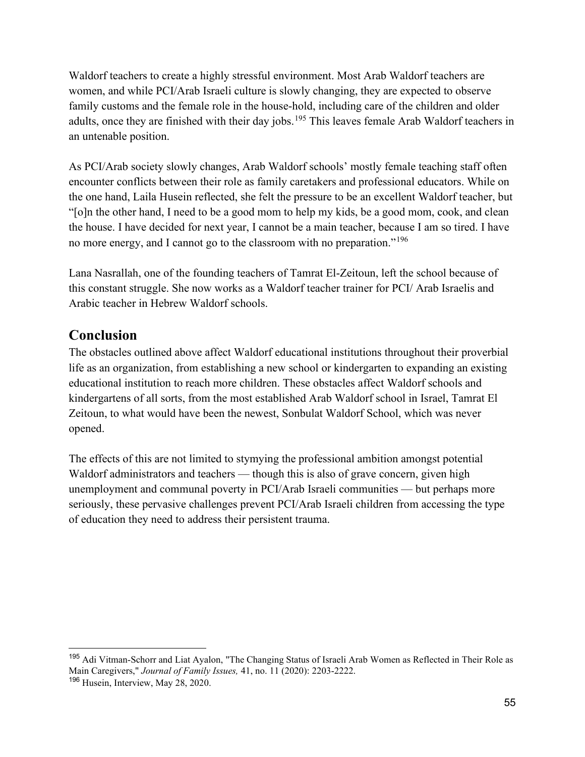Waldorf teachers to create a highly stressful environment. Most Arab Waldorf teachers are women, and while PCI/Arab Israeli culture is slowly changing, they are expected to observe family customs and the female role in the house-hold, including care of the children and older adults, once they are finished with their day jobs.<sup>[195](#page-57-0)</sup> This leaves female Arab Waldorf teachers in an untenable position.

As PCI/Arab society slowly changes, Arab Waldorf schools' mostly female teaching staff often encounter conflicts between their role as family caretakers and professional educators. While on the one hand, Laila Husein reflected, she felt the pressure to be an excellent Waldorf teacher, but "[o]n the other hand, I need to be a good mom to help my kids, be a good mom, cook, and clean the house. I have decided for next year, I cannot be a main teacher, because I am so tired. I have no more energy, and I cannot go to the classroom with no preparation."<sup>[196](#page-57-1)</sup>

Lana Nasrallah, one of the founding teachers of Tamrat El-Zeitoun, left the school because of this constant struggle. She now works as a Waldorf teacher trainer for PCI/ Arab Israelis and Arabic teacher in Hebrew Waldorf schools.

# **Conclusion**

The obstacles outlined above affect Waldorf educational institutions throughout their proverbial life as an organization, from establishing a new school or kindergarten to expanding an existing educational institution to reach more children. These obstacles affect Waldorf schools and kindergartens of all sorts, from the most established Arab Waldorf school in Israel, Tamrat El Zeitoun, to what would have been the newest, Sonbulat Waldorf School, which was never opened.

The effects of this are not limited to stymying the professional ambition amongst potential Waldorf administrators and teachers — though this is also of grave concern, given high unemployment and communal poverty in PCI/Arab Israeli communities — but perhaps more seriously, these pervasive challenges prevent PCI/Arab Israeli children from accessing the type of education they need to address their persistent trauma.

<span id="page-57-0"></span><sup>&</sup>lt;sup>195</sup> Adi Vitman-Schorr and Liat Ayalon, "The Changing Status of Israeli Arab Women as Reflected in Their Role as Main Caregivers," *Journal of Family Issues,* 41, no. 11 (2020): 2203-2222.

<span id="page-57-1"></span><sup>196</sup> Husein, Interview, May 28, 2020.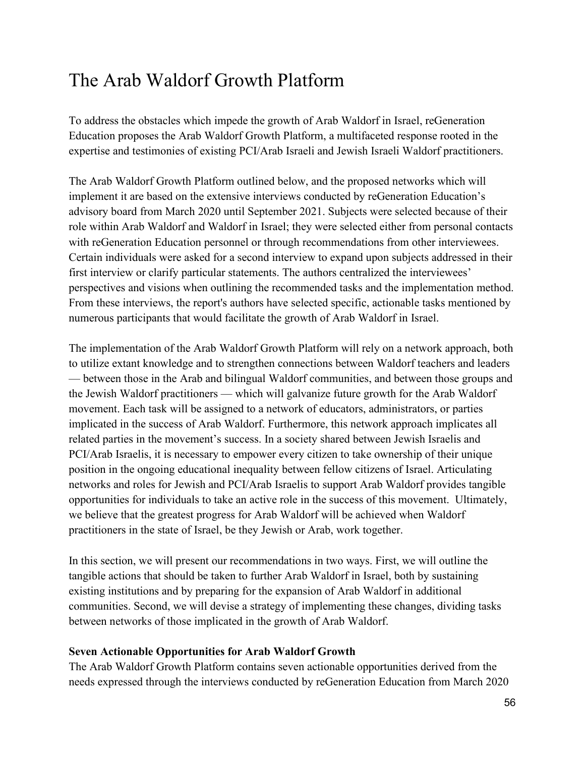# The Arab Waldorf Growth Platform

To address the obstacles which impede the growth of Arab Waldorf in Israel, reGeneration Education proposes the Arab Waldorf Growth Platform, a multifaceted response rooted in the expertise and testimonies of existing PCI/Arab Israeli and Jewish Israeli Waldorf practitioners.

The Arab Waldorf Growth Platform outlined below, and the proposed networks which will implement it are based on the extensive interviews conducted by reGeneration Education's advisory board from March 2020 until September 2021. Subjects were selected because of their role within Arab Waldorf and Waldorf in Israel; they were selected either from personal contacts with reGeneration Education personnel or through recommendations from other interviewees. Certain individuals were asked for a second interview to expand upon subjects addressed in their first interview or clarify particular statements. The authors centralized the interviewees' perspectives and visions when outlining the recommended tasks and the implementation method. From these interviews, the report's authors have selected specific, actionable tasks mentioned by numerous participants that would facilitate the growth of Arab Waldorf in Israel.

The implementation of the Arab Waldorf Growth Platform will rely on a network approach, both to utilize extant knowledge and to strengthen connections between Waldorf teachers and leaders — between those in the Arab and bilingual Waldorf communities, and between those groups and the Jewish Waldorf practitioners — which will galvanize future growth for the Arab Waldorf movement. Each task will be assigned to a network of educators, administrators, or parties implicated in the success of Arab Waldorf. Furthermore, this network approach implicates all related parties in the movement's success. In a society shared between Jewish Israelis and PCI/Arab Israelis, it is necessary to empower every citizen to take ownership of their unique position in the ongoing educational inequality between fellow citizens of Israel. Articulating networks and roles for Jewish and PCI/Arab Israelis to support Arab Waldorf provides tangible opportunities for individuals to take an active role in the success of this movement. Ultimately, we believe that the greatest progress for Arab Waldorf will be achieved when Waldorf practitioners in the state of Israel, be they Jewish or Arab, work together.

In this section, we will present our recommendations in two ways. First, we will outline the tangible actions that should be taken to further Arab Waldorf in Israel, both by sustaining existing institutions and by preparing for the expansion of Arab Waldorf in additional communities. Second, we will devise a strategy of implementing these changes, dividing tasks between networks of those implicated in the growth of Arab Waldorf.

#### **Seven Actionable Opportunities for Arab Waldorf Growth**

The Arab Waldorf Growth Platform contains seven actionable opportunities derived from the needs expressed through the interviews conducted by reGeneration Education from March 2020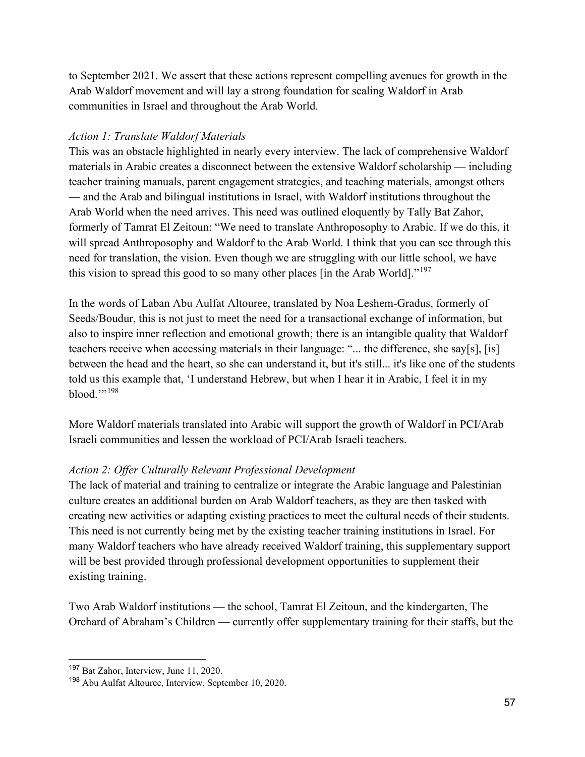to September 2021. We assert that these actions represent compelling avenues for growth in the Arab Waldorf movement and will lay a strong foundation for scaling Waldorf in Arab communities in Israel and throughout the Arab World.

#### *Action 1: Translate Waldorf Materials*

This was an obstacle highlighted in nearly every interview. The lack of comprehensive Waldorf materials in Arabic creates a disconnect between the extensive Waldorf scholarship — including teacher training manuals, parent engagement strategies, and teaching materials, amongst others — and the Arab and bilingual institutions in Israel, with Waldorf institutions throughout the Arab World when the need arrives. This need was outlined eloquently by Tally Bat Zahor, formerly of Tamrat El Zeitoun: "We need to translate Anthroposophy to Arabic. If we do this, it will spread Anthroposophy and Waldorf to the Arab World. I think that you can see through this need for translation, the vision. Even though we are struggling with our little school, we have this vision to spread this good to so many other places [in the Arab World]."<sup>[197](#page-59-0)</sup>

In the words of Laban Abu Aulfat Altouree, translated by Noa Leshem-Gradus, formerly of Seeds/Boudur, this is not just to meet the need for a transactional exchange of information, but also to inspire inner reflection and emotional growth; there is an intangible quality that Waldorf teachers receive when accessing materials in their language: "... the difference, she say[s], [is] between the head and the heart, so she can understand it, but it's still... it's like one of the students told us this example that, 'I understand Hebrew, but when I hear it in Arabic, I feel it in my blood." $198$ 

More Waldorf materials translated into Arabic will support the growth of Waldorf in PCI/Arab Israeli communities and lessen the workload of PCI/Arab Israeli teachers.

#### *Action 2: Offer Culturally Relevant Professional Development*

The lack of material and training to centralize or integrate the Arabic language and Palestinian culture creates an additional burden on Arab Waldorf teachers, as they are then tasked with creating new activities or adapting existing practices to meet the cultural needs of their students. This need is not currently being met by the existing teacher training institutions in Israel. For many Waldorf teachers who have already received Waldorf training, this supplementary support will be best provided through professional development opportunities to supplement their existing training.

Two Arab Waldorf institutions — the school, Tamrat El Zeitoun, and the kindergarten, The Orchard of Abraham's Children — currently offer supplementary training for their staffs, but the

<span id="page-59-0"></span><sup>197</sup> Bat Zahor, Interview, June 11, 2020.

<span id="page-59-1"></span><sup>198</sup> Abu Aulfat Altouree, Interview, September 10, 2020.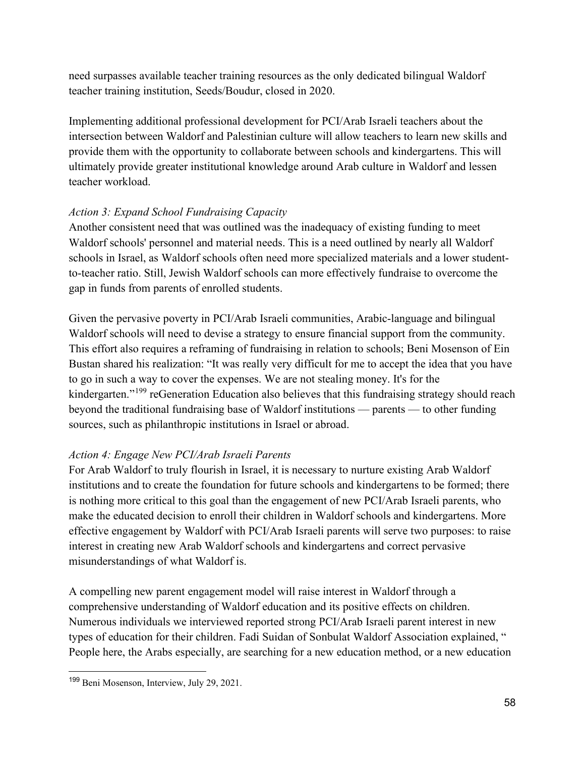need surpasses available teacher training resources as the only dedicated bilingual Waldorf teacher training institution, Seeds/Boudur, closed in 2020.

Implementing additional professional development for PCI/Arab Israeli teachers about the intersection between Waldorf and Palestinian culture will allow teachers to learn new skills and provide them with the opportunity to collaborate between schools and kindergartens. This will ultimately provide greater institutional knowledge around Arab culture in Waldorf and lessen teacher workload.

# *Action 3: Expand School Fundraising Capacity*

Another consistent need that was outlined was the inadequacy of existing funding to meet Waldorf schools' personnel and material needs. This is a need outlined by nearly all Waldorf schools in Israel, as Waldorf schools often need more specialized materials and a lower studentto-teacher ratio. Still, Jewish Waldorf schools can more effectively fundraise to overcome the gap in funds from parents of enrolled students.

Given the pervasive poverty in PCI/Arab Israeli communities, Arabic-language and bilingual Waldorf schools will need to devise a strategy to ensure financial support from the community. This effort also requires a reframing of fundraising in relation to schools; Beni Mosenson of Ein Bustan shared his realization: "It was really very difficult for me to accept the idea that you have to go in such a way to cover the expenses. We are not stealing money. It's for the kindergarten."<sup>[199](#page-60-0)</sup> reGeneration Education also believes that this fundraising strategy should reach beyond the traditional fundraising base of Waldorf institutions — parents — to other funding sources, such as philanthropic institutions in Israel or abroad.

# *Action 4: Engage New PCI/Arab Israeli Parents*

For Arab Waldorf to truly flourish in Israel, it is necessary to nurture existing Arab Waldorf institutions and to create the foundation for future schools and kindergartens to be formed; there is nothing more critical to this goal than the engagement of new PCI/Arab Israeli parents, who make the educated decision to enroll their children in Waldorf schools and kindergartens. More effective engagement by Waldorf with PCI/Arab Israeli parents will serve two purposes: to raise interest in creating new Arab Waldorf schools and kindergartens and correct pervasive misunderstandings of what Waldorf is.

A compelling new parent engagement model will raise interest in Waldorf through a comprehensive understanding of Waldorf education and its positive effects on children. Numerous individuals we interviewed reported strong PCI/Arab Israeli parent interest in new types of education for their children. Fadi Suidan of Sonbulat Waldorf Association explained, " People here, the Arabs especially, are searching for a new education method, or a new education

<span id="page-60-0"></span><sup>199</sup> Beni Mosenson, Interview, July 29, 2021.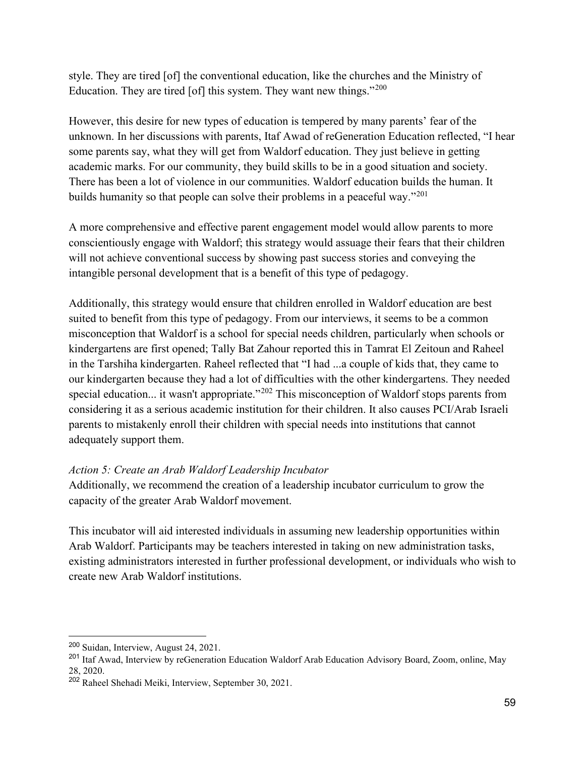style. They are tired [of] the conventional education, like the churches and the Ministry of Education. They are tired [of] this system. They want new things."<sup>[200](#page-61-0)</sup>

However, this desire for new types of education is tempered by many parents' fear of the unknown. In her discussions with parents, Itaf Awad of reGeneration Education reflected, "I hear some parents say, what they will get from Waldorf education. They just believe in getting academic marks. For our community, they build skills to be in a good situation and society. There has been a lot of violence in our communities. Waldorf education builds the human. It builds humanity so that people can solve their problems in a peaceful way."<sup>[201](#page-61-1)</sup>

A more comprehensive and effective parent engagement model would allow parents to more conscientiously engage with Waldorf; this strategy would assuage their fears that their children will not achieve conventional success by showing past success stories and conveying the intangible personal development that is a benefit of this type of pedagogy.

Additionally, this strategy would ensure that children enrolled in Waldorf education are best suited to benefit from this type of pedagogy. From our interviews, it seems to be a common misconception that Waldorf is a school for special needs children, particularly when schools or kindergartens are first opened; Tally Bat Zahour reported this in Tamrat El Zeitoun and Raheel in the Tarshiha kindergarten. Raheel reflected that "I had ...a couple of kids that, they came to our kindergarten because they had a lot of difficulties with the other kindergartens. They needed special education... it wasn't appropriate."<sup>202</sup> This misconception of Waldorf stops parents from considering it as a serious academic institution for their children. It also causes PCI/Arab Israeli parents to mistakenly enroll their children with special needs into institutions that cannot adequately support them.

#### *Action 5: Create an Arab Waldorf Leadership Incubator*

Additionally, we recommend the creation of a leadership incubator curriculum to grow the capacity of the greater Arab Waldorf movement.

This incubator will aid interested individuals in assuming new leadership opportunities within Arab Waldorf. Participants may be teachers interested in taking on new administration tasks, existing administrators interested in further professional development, or individuals who wish to create new Arab Waldorf institutions.

<span id="page-61-0"></span><sup>200</sup> Suidan, Interview, August 24, 2021.

<span id="page-61-1"></span><sup>201</sup> Itaf Awad, Interview by reGeneration Education Waldorf Arab Education Advisory Board, Zoom, online, May 28, 2020.

<span id="page-61-2"></span><sup>202</sup> Raheel Shehadi Meiki, Interview, September 30, 2021.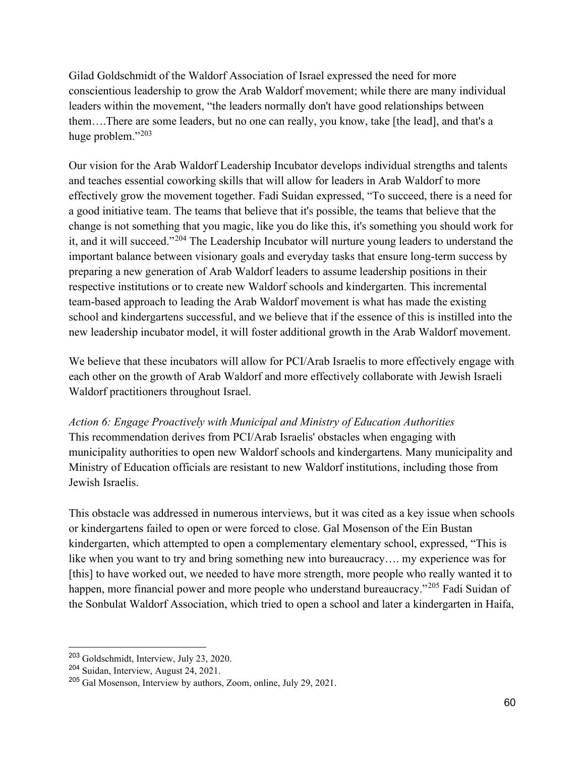Gilad Goldschmidt of the Waldorf Association of Israel expressed the need for more conscientious leadership to grow the Arab Waldorf movement; while there are many individual leaders within the movement, "the leaders normally don't have good relationships between them….There are some leaders, but no one can really, you know, take [the lead], and that's a huge problem."<sup>[203](#page-62-0)</sup>

Our vision for the Arab Waldorf Leadership Incubator develops individual strengths and talents and teaches essential coworking skills that will allow for leaders in Arab Waldorf to more effectively grow the movement together. Fadi Suidan expressed, "To succeed, there is a need for a good initiative team. The teams that believe that it's possible, the teams that believe that the change is not something that you magic, like you do like this, it's something you should work for it, and it will succeed."[204](#page-62-1) The Leadership Incubator will nurture young leaders to understand the important balance between visionary goals and everyday tasks that ensure long-term success by preparing a new generation of Arab Waldorf leaders to assume leadership positions in their respective institutions or to create new Waldorf schools and kindergarten. This incremental team-based approach to leading the Arab Waldorf movement is what has made the existing school and kindergartens successful, and we believe that if the essence of this is instilled into the new leadership incubator model, it will foster additional growth in the Arab Waldorf movement.

We believe that these incubators will allow for PCI/Arab Israelis to more effectively engage with each other on the growth of Arab Waldorf and more effectively collaborate with Jewish Israeli Waldorf practitioners throughout Israel.

*Action 6: Engage Proactively with Municipal and Ministry of Education Authorities* This recommendation derives from PCI/Arab Israelis' obstacles when engaging with municipality authorities to open new Waldorf schools and kindergartens. Many municipality and Ministry of Education officials are resistant to new Waldorf institutions, including those from Jewish Israelis.

This obstacle was addressed in numerous interviews, but it was cited as a key issue when schools or kindergartens failed to open or were forced to close. Gal Mosenson of the Ein Bustan kindergarten, which attempted to open a complementary elementary school, expressed, "This is like when you want to try and bring something new into bureaucracy…. my experience was for [this] to have worked out, we needed to have more strength, more people who really wanted it to happen, more financial power and more people who understand bureaucracy."<sup>[205](#page-62-2)</sup> Fadi Suidan of the Sonbulat Waldorf Association, which tried to open a school and later a kindergarten in Haifa,

<span id="page-62-0"></span><sup>203</sup> Goldschmidt, Interview, July 23, 2020.

<span id="page-62-1"></span><sup>204</sup> Suidan, Interview, August 24, 2021.

<span id="page-62-2"></span><sup>205</sup> Gal Mosenson, Interview by authors, Zoom, online, July 29, 2021.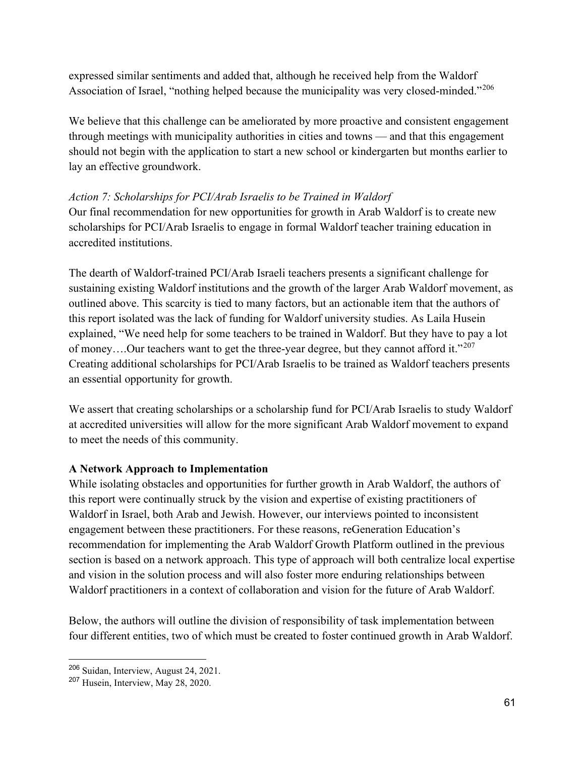expressed similar sentiments and added that, although he received help from the Waldorf Association of Israel, "nothing helped because the municipality was very closed-minded."[206](#page-63-0)

We believe that this challenge can be ameliorated by more proactive and consistent engagement through meetings with municipality authorities in cities and towns — and that this engagement should not begin with the application to start a new school or kindergarten but months earlier to lay an effective groundwork.

#### *Action 7: Scholarships for PCI/Arab Israelis to be Trained in Waldorf*

Our final recommendation for new opportunities for growth in Arab Waldorf is to create new scholarships for PCI/Arab Israelis to engage in formal Waldorf teacher training education in accredited institutions.

The dearth of Waldorf-trained PCI/Arab Israeli teachers presents a significant challenge for sustaining existing Waldorf institutions and the growth of the larger Arab Waldorf movement, as outlined above. This scarcity is tied to many factors, but an actionable item that the authors of this report isolated was the lack of funding for Waldorf university studies. As Laila Husein explained, "We need help for some teachers to be trained in Waldorf. But they have to pay a lot of money....Our teachers want to get the three-year degree, but they cannot afford it."<sup>[207](#page-63-1)</sup> Creating additional scholarships for PCI/Arab Israelis to be trained as Waldorf teachers presents an essential opportunity for growth.

We assert that creating scholarships or a scholarship fund for PCI/Arab Israelis to study Waldorf at accredited universities will allow for the more significant Arab Waldorf movement to expand to meet the needs of this community.

#### **A Network Approach to Implementation**

While isolating obstacles and opportunities for further growth in Arab Waldorf, the authors of this report were continually struck by the vision and expertise of existing practitioners of Waldorf in Israel, both Arab and Jewish. However, our interviews pointed to inconsistent engagement between these practitioners. For these reasons, reGeneration Education's recommendation for implementing the Arab Waldorf Growth Platform outlined in the previous section is based on a network approach. This type of approach will both centralize local expertise and vision in the solution process and will also foster more enduring relationships between Waldorf practitioners in a context of collaboration and vision for the future of Arab Waldorf.

Below, the authors will outline the division of responsibility of task implementation between four different entities, two of which must be created to foster continued growth in Arab Waldorf.

<span id="page-63-0"></span><sup>206</sup> Suidan, Interview, August 24, 2021.

<span id="page-63-1"></span><sup>207</sup> Husein, Interview, May 28, 2020.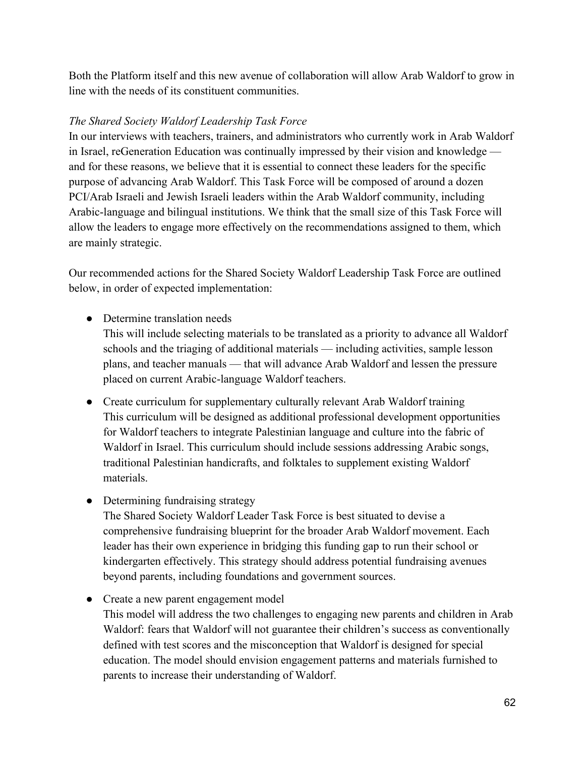Both the Platform itself and this new avenue of collaboration will allow Arab Waldorf to grow in line with the needs of its constituent communities.

## *The Shared Society Waldorf Leadership Task Force*

In our interviews with teachers, trainers, and administrators who currently work in Arab Waldorf in Israel, reGeneration Education was continually impressed by their vision and knowledge and for these reasons, we believe that it is essential to connect these leaders for the specific purpose of advancing Arab Waldorf. This Task Force will be composed of around a dozen PCI/Arab Israeli and Jewish Israeli leaders within the Arab Waldorf community, including Arabic-language and bilingual institutions. We think that the small size of this Task Force will allow the leaders to engage more effectively on the recommendations assigned to them, which are mainly strategic.

Our recommended actions for the Shared Society Waldorf Leadership Task Force are outlined below, in order of expected implementation:

● Determine translation needs

This will include selecting materials to be translated as a priority to advance all Waldorf schools and the triaging of additional materials — including activities, sample lesson plans, and teacher manuals — that will advance Arab Waldorf and lessen the pressure placed on current Arabic-language Waldorf teachers.

- Create curriculum for supplementary culturally relevant Arab Waldorf training This curriculum will be designed as additional professional development opportunities for Waldorf teachers to integrate Palestinian language and culture into the fabric of Waldorf in Israel. This curriculum should include sessions addressing Arabic songs, traditional Palestinian handicrafts, and folktales to supplement existing Waldorf materials.
- Determining fundraising strategy

The Shared Society Waldorf Leader Task Force is best situated to devise a comprehensive fundraising blueprint for the broader Arab Waldorf movement. Each leader has their own experience in bridging this funding gap to run their school or kindergarten effectively. This strategy should address potential fundraising avenues beyond parents, including foundations and government sources.

● Create a new parent engagement model

This model will address the two challenges to engaging new parents and children in Arab Waldorf: fears that Waldorf will not guarantee their children's success as conventionally defined with test scores and the misconception that Waldorf is designed for special education. The model should envision engagement patterns and materials furnished to parents to increase their understanding of Waldorf.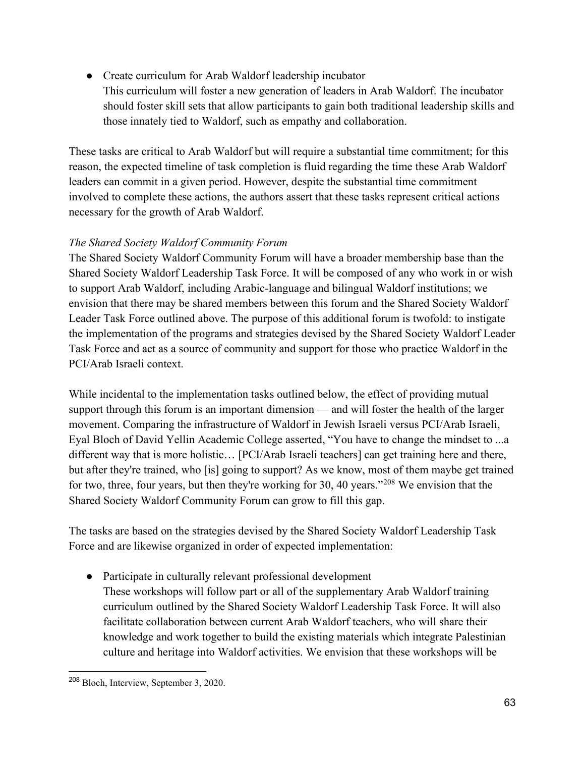- Create curriculum for Arab Waldorf leadership incubator
	- This curriculum will foster a new generation of leaders in Arab Waldorf. The incubator should foster skill sets that allow participants to gain both traditional leadership skills and those innately tied to Waldorf, such as empathy and collaboration.

These tasks are critical to Arab Waldorf but will require a substantial time commitment; for this reason, the expected timeline of task completion is fluid regarding the time these Arab Waldorf leaders can commit in a given period. However, despite the substantial time commitment involved to complete these actions, the authors assert that these tasks represent critical actions necessary for the growth of Arab Waldorf.

### *The Shared Society Waldorf Community Forum*

The Shared Society Waldorf Community Forum will have a broader membership base than the Shared Society Waldorf Leadership Task Force. It will be composed of any who work in or wish to support Arab Waldorf, including Arabic-language and bilingual Waldorf institutions; we envision that there may be shared members between this forum and the Shared Society Waldorf Leader Task Force outlined above. The purpose of this additional forum is twofold: to instigate the implementation of the programs and strategies devised by the Shared Society Waldorf Leader Task Force and act as a source of community and support for those who practice Waldorf in the PCI/Arab Israeli context.

While incidental to the implementation tasks outlined below, the effect of providing mutual support through this forum is an important dimension — and will foster the health of the larger movement. Comparing the infrastructure of Waldorf in Jewish Israeli versus PCI/Arab Israeli, Eyal Bloch of David Yellin Academic College asserted, "You have to change the mindset to ...a different way that is more holistic… [PCI/Arab Israeli teachers] can get training here and there, but after they're trained, who [is] going to support? As we know, most of them maybe get trained for two, three, four years, but then they're working for 30, 40 years."[208](#page-65-0) We envision that the Shared Society Waldorf Community Forum can grow to fill this gap.

The tasks are based on the strategies devised by the Shared Society Waldorf Leadership Task Force and are likewise organized in order of expected implementation:

- Participate in culturally relevant professional development
	- These workshops will follow part or all of the supplementary Arab Waldorf training curriculum outlined by the Shared Society Waldorf Leadership Task Force. It will also facilitate collaboration between current Arab Waldorf teachers, who will share their knowledge and work together to build the existing materials which integrate Palestinian culture and heritage into Waldorf activities. We envision that these workshops will be

<span id="page-65-0"></span><sup>208</sup> Bloch, Interview, September 3, 2020.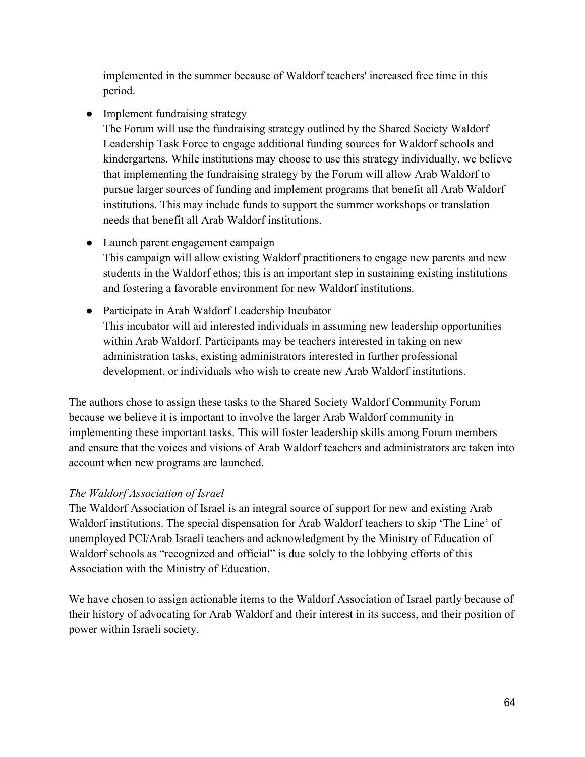implemented in the summer because of Waldorf teachers' increased free time in this period.

• Implement fundraising strategy

The Forum will use the fundraising strategy outlined by the Shared Society Waldorf Leadership Task Force to engage additional funding sources for Waldorf schools and kindergartens. While institutions may choose to use this strategy individually, we believe that implementing the fundraising strategy by the Forum will allow Arab Waldorf to pursue larger sources of funding and implement programs that benefit all Arab Waldorf institutions. This may include funds to support the summer workshops or translation needs that benefit all Arab Waldorf institutions.

• Launch parent engagement campaign

This campaign will allow existing Waldorf practitioners to engage new parents and new students in the Waldorf ethos; this is an important step in sustaining existing institutions and fostering a favorable environment for new Waldorf institutions.

● Participate in Arab Waldorf Leadership Incubator This incubator will aid interested individuals in assuming new leadership opportunities within Arab Waldorf. Participants may be teachers interested in taking on new administration tasks, existing administrators interested in further professional development, or individuals who wish to create new Arab Waldorf institutions.

The authors chose to assign these tasks to the Shared Society Waldorf Community Forum because we believe it is important to involve the larger Arab Waldorf community in implementing these important tasks. This will foster leadership skills among Forum members and ensure that the voices and visions of Arab Waldorf teachers and administrators are taken into account when new programs are launched.

# *The Waldorf Association of Israel*

The Waldorf Association of Israel is an integral source of support for new and existing Arab Waldorf institutions. The special dispensation for Arab Waldorf teachers to skip 'The Line' of unemployed PCI/Arab Israeli teachers and acknowledgment by the Ministry of Education of Waldorf schools as "recognized and official" is due solely to the lobbying efforts of this Association with the Ministry of Education.

We have chosen to assign actionable items to the Waldorf Association of Israel partly because of their history of advocating for Arab Waldorf and their interest in its success, and their position of power within Israeli society.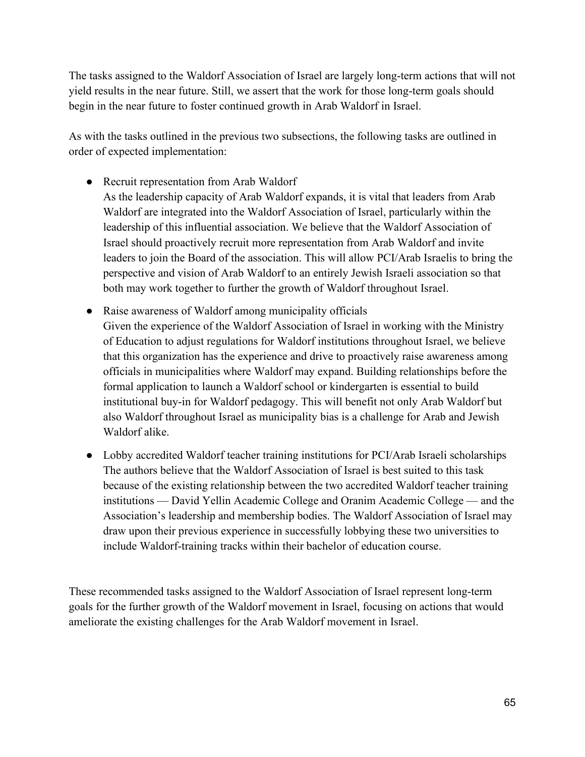The tasks assigned to the Waldorf Association of Israel are largely long-term actions that will not yield results in the near future. Still, we assert that the work for those long-term goals should begin in the near future to foster continued growth in Arab Waldorf in Israel.

As with the tasks outlined in the previous two subsections, the following tasks are outlined in order of expected implementation:

• Recruit representation from Arab Waldorf

As the leadership capacity of Arab Waldorf expands, it is vital that leaders from Arab Waldorf are integrated into the Waldorf Association of Israel, particularly within the leadership of this influential association. We believe that the Waldorf Association of Israel should proactively recruit more representation from Arab Waldorf and invite leaders to join the Board of the association. This will allow PCI/Arab Israelis to bring the perspective and vision of Arab Waldorf to an entirely Jewish Israeli association so that both may work together to further the growth of Waldorf throughout Israel.

- Raise awareness of Waldorf among municipality officials Given the experience of the Waldorf Association of Israel in working with the Ministry of Education to adjust regulations for Waldorf institutions throughout Israel, we believe that this organization has the experience and drive to proactively raise awareness among officials in municipalities where Waldorf may expand. Building relationships before the formal application to launch a Waldorf school or kindergarten is essential to build institutional buy-in for Waldorf pedagogy. This will benefit not only Arab Waldorf but also Waldorf throughout Israel as municipality bias is a challenge for Arab and Jewish Waldorf alike.
- Lobby accredited Waldorf teacher training institutions for PCI/Arab Israeli scholarships The authors believe that the Waldorf Association of Israel is best suited to this task because of the existing relationship between the two accredited Waldorf teacher training institutions — David Yellin Academic College and Oranim Academic College — and the Association's leadership and membership bodies. The Waldorf Association of Israel may draw upon their previous experience in successfully lobbying these two universities to include Waldorf-training tracks within their bachelor of education course.

These recommended tasks assigned to the Waldorf Association of Israel represent long-term goals for the further growth of the Waldorf movement in Israel, focusing on actions that would ameliorate the existing challenges for the Arab Waldorf movement in Israel.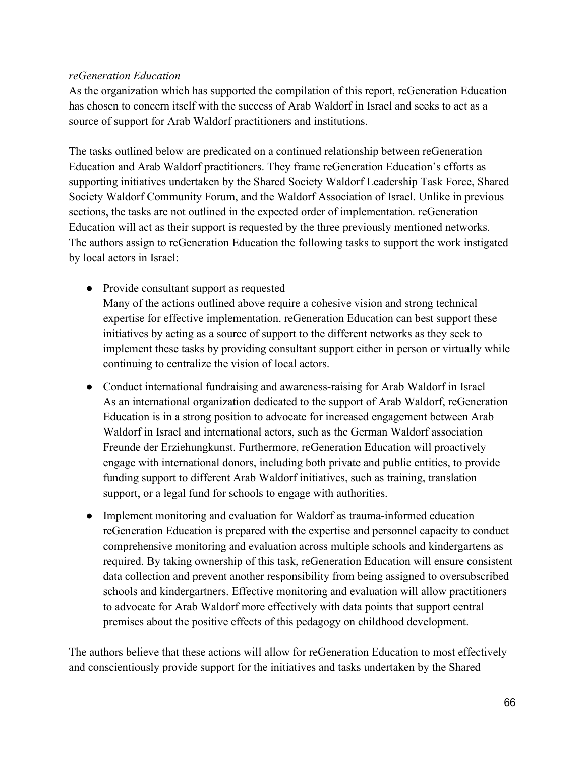#### *reGeneration Education*

As the organization which has supported the compilation of this report, reGeneration Education has chosen to concern itself with the success of Arab Waldorf in Israel and seeks to act as a source of support for Arab Waldorf practitioners and institutions.

The tasks outlined below are predicated on a continued relationship between reGeneration Education and Arab Waldorf practitioners. They frame reGeneration Education's efforts as supporting initiatives undertaken by the Shared Society Waldorf Leadership Task Force, Shared Society Waldorf Community Forum, and the Waldorf Association of Israel. Unlike in previous sections, the tasks are not outlined in the expected order of implementation. reGeneration Education will act as their support is requested by the three previously mentioned networks. The authors assign to reGeneration Education the following tasks to support the work instigated by local actors in Israel:

- Provide consultant support as requested
	- Many of the actions outlined above require a cohesive vision and strong technical expertise for effective implementation. reGeneration Education can best support these initiatives by acting as a source of support to the different networks as they seek to implement these tasks by providing consultant support either in person or virtually while continuing to centralize the vision of local actors.
- Conduct international fundraising and awareness-raising for Arab Waldorf in Israel As an international organization dedicated to the support of Arab Waldorf, reGeneration Education is in a strong position to advocate for increased engagement between Arab Waldorf in Israel and international actors, such as the German Waldorf association Freunde der Erziehungkunst. Furthermore, reGeneration Education will proactively engage with international donors, including both private and public entities, to provide funding support to different Arab Waldorf initiatives, such as training, translation support, or a legal fund for schools to engage with authorities.
- Implement monitoring and evaluation for Waldorf as trauma-informed education reGeneration Education is prepared with the expertise and personnel capacity to conduct comprehensive monitoring and evaluation across multiple schools and kindergartens as required. By taking ownership of this task, reGeneration Education will ensure consistent data collection and prevent another responsibility from being assigned to oversubscribed schools and kindergartners. Effective monitoring and evaluation will allow practitioners to advocate for Arab Waldorf more effectively with data points that support central premises about the positive effects of this pedagogy on childhood development.

The authors believe that these actions will allow for reGeneration Education to most effectively and conscientiously provide support for the initiatives and tasks undertaken by the Shared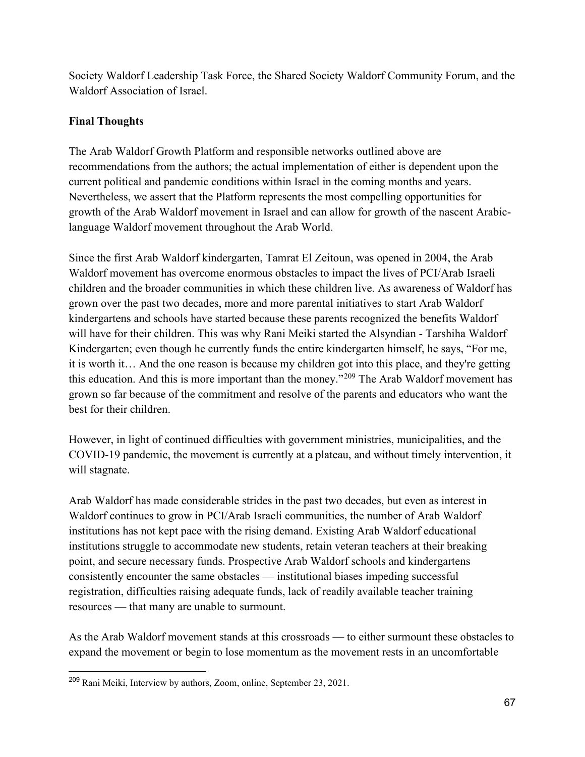Society Waldorf Leadership Task Force, the Shared Society Waldorf Community Forum, and the Waldorf Association of Israel.

### **Final Thoughts**

The Arab Waldorf Growth Platform and responsible networks outlined above are recommendations from the authors; the actual implementation of either is dependent upon the current political and pandemic conditions within Israel in the coming months and years. Nevertheless, we assert that the Platform represents the most compelling opportunities for growth of the Arab Waldorf movement in Israel and can allow for growth of the nascent Arabiclanguage Waldorf movement throughout the Arab World.

Since the first Arab Waldorf kindergarten, Tamrat El Zeitoun, was opened in 2004, the Arab Waldorf movement has overcome enormous obstacles to impact the lives of PCI/Arab Israeli children and the broader communities in which these children live. As awareness of Waldorf has grown over the past two decades, more and more parental initiatives to start Arab Waldorf kindergartens and schools have started because these parents recognized the benefits Waldorf will have for their children. This was why Rani Meiki started the Alsyndian - Tarshiha Waldorf Kindergarten; even though he currently funds the entire kindergarten himself, he says, "For me, it is worth it… And the one reason is because my children got into this place, and they're getting this education. And this is more important than the money."[209](#page-69-0) The Arab Waldorf movement has grown so far because of the commitment and resolve of the parents and educators who want the best for their children.

However, in light of continued difficulties with government ministries, municipalities, and the COVID-19 pandemic, the movement is currently at a plateau, and without timely intervention, it will stagnate.

Arab Waldorf has made considerable strides in the past two decades, but even as interest in Waldorf continues to grow in PCI/Arab Israeli communities, the number of Arab Waldorf institutions has not kept pace with the rising demand. Existing Arab Waldorf educational institutions struggle to accommodate new students, retain veteran teachers at their breaking point, and secure necessary funds. Prospective Arab Waldorf schools and kindergartens consistently encounter the same obstacles — institutional biases impeding successful registration, difficulties raising adequate funds, lack of readily available teacher training resources — that many are unable to surmount.

As the Arab Waldorf movement stands at this crossroads — to either surmount these obstacles to expand the movement or begin to lose momentum as the movement rests in an uncomfortable

<span id="page-69-0"></span><sup>209</sup> Rani Meiki, Interview by authors, Zoom, online, September 23, 2021.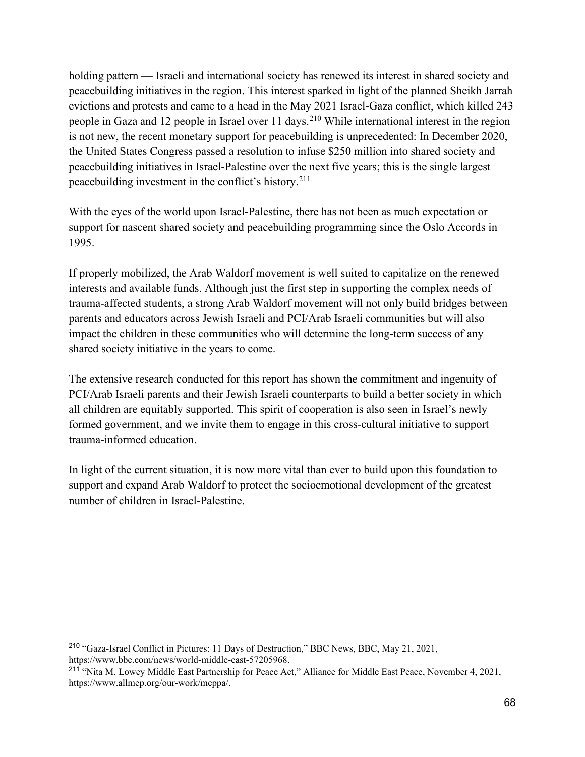holding pattern — Israeli and international society has renewed its interest in shared society and peacebuilding initiatives in the region. This interest sparked in light of the planned Sheikh Jarrah evictions and protests and came to a head in the May 2021 Israel-Gaza conflict, which killed 243 people in Gaza and 12 people in Israel over 11 days.<sup>[210](#page-70-0)</sup> While international interest in the region is not new, the recent monetary support for peacebuilding is unprecedented: In December 2020, the United States Congress passed a resolution to infuse \$250 million into shared society and peacebuilding initiatives in Israel-Palestine over the next five years; this is the single largest peacebuilding investment in the conflict's history.[211](#page-70-1)

With the eyes of the world upon Israel-Palestine, there has not been as much expectation or support for nascent shared society and peacebuilding programming since the Oslo Accords in 1995.

If properly mobilized, the Arab Waldorf movement is well suited to capitalize on the renewed interests and available funds. Although just the first step in supporting the complex needs of trauma-affected students, a strong Arab Waldorf movement will not only build bridges between parents and educators across Jewish Israeli and PCI/Arab Israeli communities but will also impact the children in these communities who will determine the long-term success of any shared society initiative in the years to come.

The extensive research conducted for this report has shown the commitment and ingenuity of PCI/Arab Israeli parents and their Jewish Israeli counterparts to build a better society in which all children are equitably supported. This spirit of cooperation is also seen in Israel's newly formed government, and we invite them to engage in this cross-cultural initiative to support trauma-informed education.

In light of the current situation, it is now more vital than ever to build upon this foundation to support and expand Arab Waldorf to protect the socioemotional development of the greatest number of children in Israel-Palestine.

<span id="page-70-0"></span><sup>210</sup> "Gaza-Israel Conflict in Pictures: 11 Days of Destruction," BBC News, BBC, May 21, 2021, https://www.bbc.com/news/world-middle-east-57205968.

<span id="page-70-1"></span><sup>&</sup>lt;sup>211</sup> "Nita M. Lowey Middle East Partnership for Peace Act," Alliance for Middle East Peace, November 4, 2021, https://www.allmep.org/our-work/meppa/.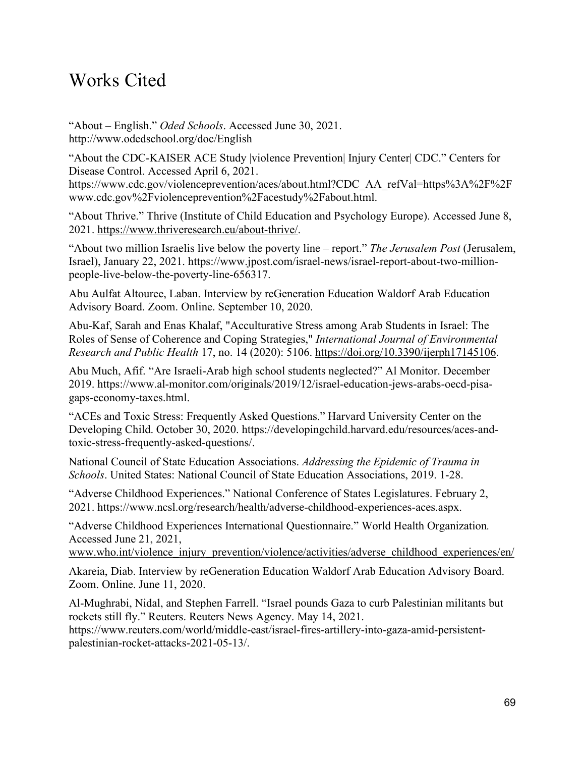# Works Cited

"About – English." *Oded Schools*. Accessed June 30, 2021. http://www.odedschool.org/doc/English

"About the CDC-KAISER ACE Study |violence Prevention| Injury Center| CDC." Centers for Disease Control. Accessed April 6, 2021. https://www.cdc.gov/violenceprevention/aces/about.html?CDC\_AA\_refVal=https%3A%2F%2F www.cdc.gov%2Fviolenceprevention%2Facestudy%2Fabout.html.

"About Thrive." Thrive (Institute of Child Education and Psychology Europe). Accessed June 8, 2021. [https://www.thriveresearch.eu/about-thrive/.](https://www.thriveresearch.eu/about-thrive/)

"About two million Israelis live below the poverty line – report." *The Jerusalem Post* (Jerusalem, Israel), January 22, 2021. https://www.jpost.com/israel-news/israel-report-about-two-millionpeople-live-below-the-poverty-line-656317.

Abu Aulfat Altouree, Laban. Interview by reGeneration Education Waldorf Arab Education Advisory Board. Zoom. Online. September 10, 2020.

Abu-Kaf, Sarah and Enas Khalaf, "Acculturative Stress among Arab Students in Israel: The Roles of Sense of Coherence and Coping Strategies," *International Journal of Environmental Research and Public Health* 17, no. 14 (2020): 5106. [https://doi.org/10.3390/ijerph17145106.](https://doi.org/10.3390/ijerph17145106)

Abu Much, Afif. "Are Israeli-Arab high school students neglected?" Al Monitor. December 2019. https://www.al-monitor.com/originals/2019/12/israel-education-jews-arabs-oecd-pisagaps-economy-taxes.html.

"ACEs and Toxic Stress: Frequently Asked Questions." Harvard University Center on the Developing Child. October 30, 2020. https://developingchild.harvard.edu/resources/aces-andtoxic-stress-frequently-asked-questions/.

National Council of State Education Associations. *Addressing the Epidemic of Trauma in Schools*. United States: National Council of State Education Associations, 2019. 1-28.

"Adverse Childhood Experiences." National Conference of States Legislatures. February 2, 2021. https://www.ncsl.org/research/health/adverse-childhood-experiences-aces.aspx.

"Adverse Childhood Experiences International Questionnaire." World Health Organization*.*  Accessed June 21, 2021,

[www.who.int/violence\\_injury\\_prevention/violence/activities/adverse\\_childhood\\_experiences/en/](http://www.who.int/violence_injury_prevention/violence/activities/adverse_childhood_experiences/en/)

Akareia, Diab. Interview by reGeneration Education Waldorf Arab Education Advisory Board. Zoom. Online. June 11, 2020.

Al-Mughrabi, Nidal, and Stephen Farrell. "Israel pounds Gaza to curb Palestinian militants but rockets still fly." Reuters. Reuters News Agency. May 14, 2021.

https://www.reuters.com/world/middle-east/israel-fires-artillery-into-gaza-amid-persistentpalestinian-rocket-attacks-2021-05-13/.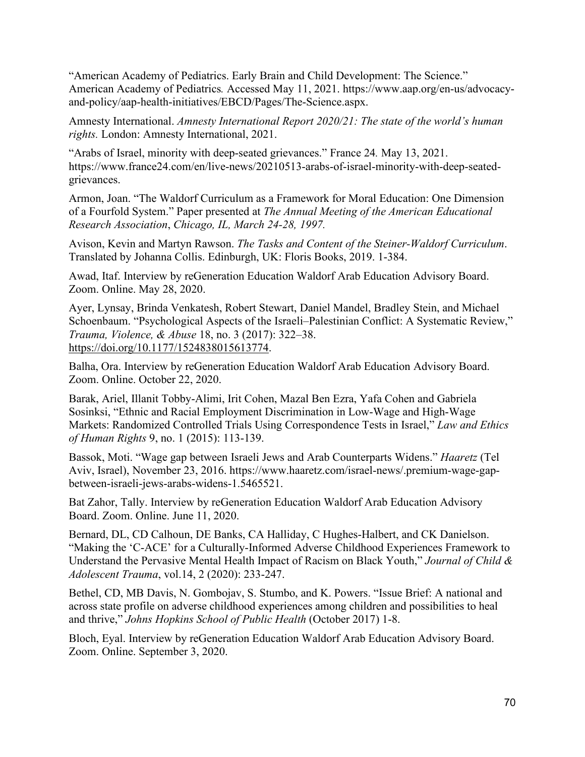"American Academy of Pediatrics. Early Brain and Child Development: The Science." American Academy of Pediatrics*.* Accessed May 11, 2021. https://www.aap.org/en-us/advocacyand-policy/aap-health-initiatives/EBCD/Pages/The-Science.aspx.

Amnesty International. *Amnesty International Report 2020/21: The state of the world's human rights.* London: Amnesty International, 2021.

"Arabs of Israel, minority with deep-seated grievances." France 24*.* May 13, 2021. https://www.france24.com/en/live-news/20210513-arabs-of-israel-minority-with-deep-seatedgrievances.

Armon, Joan. "The Waldorf Curriculum as a Framework for Moral Education: One Dimension of a Fourfold System." Paper presented at *The Annual Meeting of the American Educational Research Association*, *Chicago, IL, March 24-28, 1997.*

Avison, Kevin and Martyn Rawson. *The Tasks and Content of the Steiner-Waldorf Curriculum*. Translated by Johanna Collis. Edinburgh, UK: Floris Books, 2019. 1-384.

Awad, Itaf. Interview by reGeneration Education Waldorf Arab Education Advisory Board. Zoom. Online. May 28, 2020.

Ayer, Lynsay, Brinda Venkatesh, Robert Stewart, Daniel Mandel, Bradley Stein, and Michael Schoenbaum. "Psychological Aspects of the Israeli–Palestinian Conflict: A Systematic Review," *Trauma, Violence, & Abuse* 18, no. 3 (2017): 322–38. [https://doi.org/10.1177/1524838015613774.](https://doi.org/10.1177/1524838015613774)

Balha, Ora. Interview by reGeneration Education Waldorf Arab Education Advisory Board. Zoom. Online. October 22, 2020.

Barak, Ariel, Illanit Tobby-Alimi, Irit Cohen, Mazal Ben Ezra, Yafa Cohen and Gabriela Sosinksi, "Ethnic and Racial Employment Discrimination in Low-Wage and High-Wage Markets: Randomized Controlled Trials Using Correspondence Tests in Israel," *Law and Ethics of Human Rights* 9, no. 1 (2015): 113-139.

Bassok, Moti. "Wage gap between Israeli Jews and Arab Counterparts Widens." *Haaretz* (Tel Aviv, Israel), November 23, 2016. https://www.haaretz.com/israel-news/.premium-wage-gapbetween-israeli-jews-arabs-widens-1.5465521.

Bat Zahor, Tally. Interview by reGeneration Education Waldorf Arab Education Advisory Board. Zoom. Online. June 11, 2020.

Bernard, DL, CD Calhoun, DE Banks, CA Halliday, C Hughes-Halbert, and CK Danielson. "Making the 'C-ACE' for a Culturally-Informed Adverse Childhood Experiences Framework to Understand the Pervasive Mental Health Impact of Racism on Black Youth," *Journal of Child & Adolescent Trauma*, vol.14, 2 (2020): 233-247.

Bethel, CD, MB Davis, N. Gombojav, S. Stumbo, and K. Powers. "Issue Brief: A national and across state profile on adverse childhood experiences among children and possibilities to heal and thrive," *Johns Hopkins School of Public Health* (October 2017) 1-8.

Bloch, Eyal. Interview by reGeneration Education Waldorf Arab Education Advisory Board. Zoom. Online. September 3, 2020.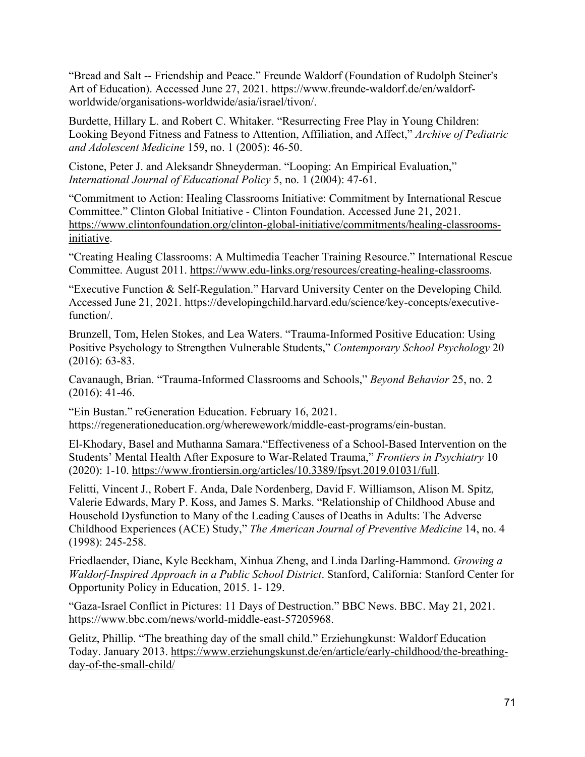"Bread and Salt -- Friendship and Peace." Freunde Waldorf (Foundation of Rudolph Steiner's Art of Education). Accessed June 27, 2021. https://www.freunde-waldorf.de/en/waldorfworldwide/organisations-worldwide/asia/israel/tivon/.

Burdette, Hillary L. and Robert C. Whitaker. "Resurrecting Free Play in Young Children: Looking Beyond Fitness and Fatness to Attention, Affiliation, and Affect," *Archive of Pediatric and Adolescent Medicine* 159, no. 1 (2005): 46-50.

Cistone, Peter J. and Aleksandr Shneyderman. "Looping: An Empirical Evaluation," *International Journal of Educational Policy* 5, no. 1 (2004): 47-61.

"Commitment to Action: Healing Classrooms Initiative: Commitment by International Rescue Committee." Clinton Global Initiative - Clinton Foundation. Accessed June 21, 2021. [https://www.clintonfoundation.org/clinton-global-initiative/commitments/healing-classrooms](https://www.clintonfoundation.org/clinton-global-initiative/commitments/healing-classrooms-initiative)[initiative.](https://www.clintonfoundation.org/clinton-global-initiative/commitments/healing-classrooms-initiative)

"Creating Healing Classrooms: A Multimedia Teacher Training Resource." International Rescue Committee. August 2011. [https://www.edu-links.org/resources/creating-healing-classrooms.](https://www.edu-links.org/resources/creating-healing-classrooms)

"Executive Function & Self-Regulation." Harvard University Center on the Developing Child*.*  Accessed June 21, 2021. https://developingchild.harvard.edu/science/key-concepts/executivefunction/.

Brunzell, Tom, Helen Stokes, and Lea Waters. "Trauma-Informed Positive Education: Using Positive Psychology to Strengthen Vulnerable Students," *Contemporary School Psychology* 20 (2016): 63-83.

Cavanaugh, Brian. "Trauma-Informed Classrooms and Schools," *Beyond Behavior* 25, no. 2 (2016): 41-46.

"Ein Bustan." reGeneration Education. February 16, 2021. https://regenerationeducation.org/wherewework/middle-east-programs/ein-bustan.

El-Khodary, Basel and Muthanna Samara."Effectiveness of a School-Based Intervention on the Students' Mental Health After Exposure to War-Related Trauma," *Frontiers in Psychiatry* 10 (2020): 1-10. [https://www.frontiersin.org/articles/10.3389/fpsyt.2019.01031/full.](https://www.frontiersin.org/articles/10.3389/fpsyt.2019.01031/full)

Felitti, Vincent J., Robert F. Anda, Dale Nordenberg, David F. Williamson, Alison M. Spitz, Valerie Edwards, Mary P. Koss, and James S. Marks. "Relationship of Childhood Abuse and Household Dysfunction to Many of the Leading Causes of Deaths in Adults: The Adverse Childhood Experiences (ACE) Study," *The American Journal of Preventive Medicine* 14, no. 4 (1998): 245-258.

Friedlaender, Diane, Kyle Beckham, Xinhua Zheng, and Linda Darling-Hammond. *Growing a Waldorf-Inspired Approach in a Public School District*. Stanford, California: Stanford Center for Opportunity Policy in Education, 2015. 1- 129.

"Gaza-Israel Conflict in Pictures: 11 Days of Destruction." BBC News. BBC. May 21, 2021. https://www.bbc.com/news/world-middle-east-57205968.

Gelitz, Phillip. "The breathing day of the small child." Erziehungkunst: Waldorf Education Today. January 2013. [https://www.erziehungskunst.de/en/article/early-childhood/the-breathing](https://www.erziehungskunst.de/en/article/early-childhood/the-breathing-day-of-the-small-child/)[day-of-the-small-child/](https://www.erziehungskunst.de/en/article/early-childhood/the-breathing-day-of-the-small-child/)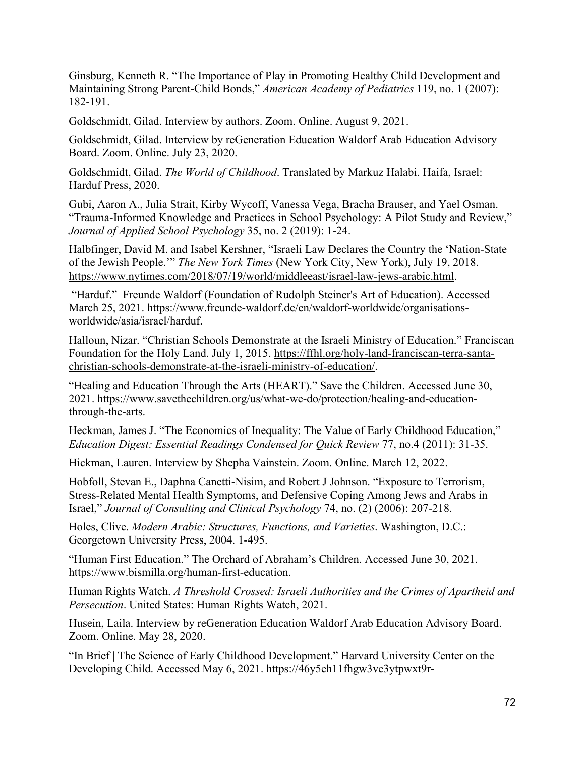Ginsburg, Kenneth R. "The Importance of Play in Promoting Healthy Child Development and Maintaining Strong Parent-Child Bonds," *American Academy of Pediatrics* 119, no. 1 (2007): 182-191.

Goldschmidt, Gilad. Interview by authors. Zoom. Online. August 9, 2021.

Goldschmidt, Gilad. Interview by reGeneration Education Waldorf Arab Education Advisory Board. Zoom. Online. July 23, 2020.

Goldschmidt, Gilad. *The World of Childhood*. Translated by Markuz Halabi. Haifa, Israel: Harduf Press, 2020.

Gubi, Aaron A., Julia Strait, Kirby Wycoff, Vanessa Vega, Bracha Brauser, and Yael Osman. "Trauma-Informed Knowledge and Practices in School Psychology: A Pilot Study and Review," *Journal of Applied School Psychology* 35, no. 2 (2019): 1-24.

Halbfinger, David M. and Isabel Kershner, "Israeli Law Declares the Country the 'Nation-State of the Jewish People.'" *The New York Times* (New York City, New York), July 19, 2018. [https://www.nytimes.com/2018/07/19/world/middleeast/israel-law-jews-arabic.html.](https://www.nytimes.com/2018/07/19/world/middleeast/israel-law-jews-arabic.html)

"Harduf." Freunde Waldorf (Foundation of Rudolph Steiner's Art of Education). Accessed March 25, 2021. https://www.freunde-waldorf.de/en/waldorf-worldwide/organisationsworldwide/asia/israel/harduf.

Halloun, Nizar. "Christian Schools Demonstrate at the Israeli Ministry of Education." Franciscan Foundation for the Holy Land. July 1, 2015. [https://ffhl.org/holy-land-franciscan-terra-santa](https://ffhl.org/holy-land-franciscan-terra-santa-christian-schools-demonstrate-at-the-israeli-ministry-of-education/)[christian-schools-demonstrate-at-the-israeli-ministry-of-education/.](https://ffhl.org/holy-land-franciscan-terra-santa-christian-schools-demonstrate-at-the-israeli-ministry-of-education/)

"Healing and Education Through the Arts (HEART)." Save the Children. Accessed June 30, 2021. [https://www.savethechildren.org/us/what-we-do/protection/healing-and-education](https://www.savethechildren.org/us/what-we-do/protection/healing-and-education-through-the-arts)[through-the-arts.](https://www.savethechildren.org/us/what-we-do/protection/healing-and-education-through-the-arts)

Heckman, James J. "The Economics of Inequality: The Value of Early Childhood Education," *Education Digest: Essential Readings Condensed for Quick Review* 77, no.4 (2011): 31-35.

Hickman, Lauren. Interview by Shepha Vainstein. Zoom. Online. March 12, 2022.

Hobfoll, Stevan E., Daphna Canetti-Nisim, and Robert J Johnson. "Exposure to Terrorism, Stress-Related Mental Health Symptoms, and Defensive Coping Among Jews and Arabs in Israel," *Journal of Consulting and Clinical Psychology* 74, no. (2) (2006): 207-218.

Holes, Clive. *Modern Arabic: Structures, Functions, and Varieties*. Washington, D.C.: Georgetown University Press, 2004. 1-495.

"Human First Education." The Orchard of Abraham's Children. Accessed June 30, 2021. https://www.bismilla.org/human-first-education.

Human Rights Watch. *A Threshold Crossed: Israeli Authorities and the Crimes of Apartheid and Persecution*. United States: Human Rights Watch, 2021.

Husein, Laila. Interview by reGeneration Education Waldorf Arab Education Advisory Board. Zoom. Online. May 28, 2020.

"In Brief | The Science of Early Childhood Development." Harvard University Center on the Developing Child. Accessed May 6, 2021. https://46y5eh11fhgw3ve3ytpwxt9r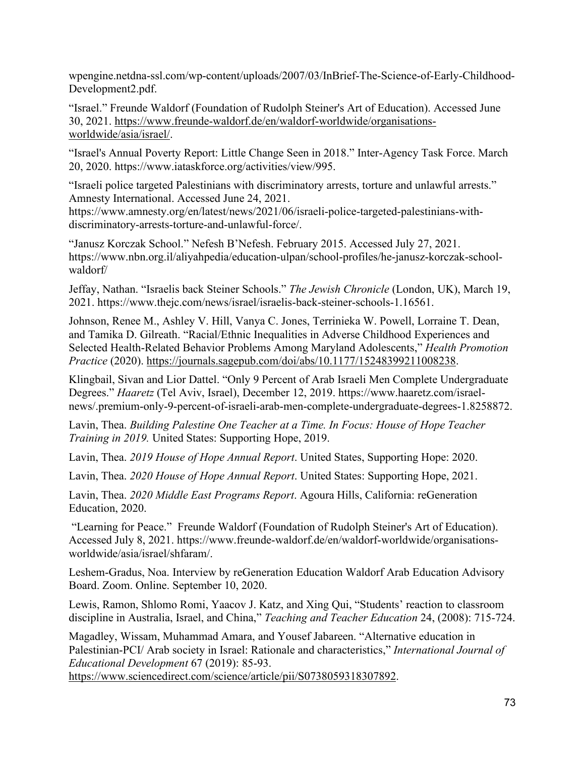wpengine.netdna-ssl.com/wp-content/uploads/2007/03/InBrief-The-Science-of-Early-Childhood-Development2.pdf.

"Israel." Freunde Waldorf (Foundation of Rudolph Steiner's Art of Education). Accessed June 30, 2021. [https://www.freunde-waldorf.de/en/waldorf-worldwide/organisations](https://www.freunde-waldorf.de/en/waldorf-worldwide/organisations-worldwide/asia/israel/)[worldwide/asia/israel/.](https://www.freunde-waldorf.de/en/waldorf-worldwide/organisations-worldwide/asia/israel/)

"Israel's Annual Poverty Report: Little Change Seen in 2018." Inter-Agency Task Force. March 20, 2020. https://www.iataskforce.org/activities/view/995.

"Israeli police targeted Palestinians with discriminatory arrests, torture and unlawful arrests." Amnesty International. Accessed June 24, 2021.

https://www.amnesty.org/en/latest/news/2021/06/israeli-police-targeted-palestinians-withdiscriminatory-arrests-torture-and-unlawful-force/.

"Janusz Korczak School." Nefesh B'Nefesh. February 2015. Accessed July 27, 2021. https://www.nbn.org.il/aliyahpedia/education-ulpan/school-profiles/he-janusz-korczak-schoolwaldorf/

Jeffay, Nathan. "Israelis back Steiner Schools." *The Jewish Chronicle* (London, UK), March 19, 2021. https://www.thejc.com/news/israel/israelis-back-steiner-schools-1.16561.

Johnson, Renee M., Ashley V. Hill, Vanya C. Jones, Terrinieka W. Powell, Lorraine T. Dean, and Tamika D. Gilreath. "Racial/Ethnic Inequalities in Adverse Childhood Experiences and Selected Health-Related Behavior Problems Among Maryland Adolescents," *Health Promotion Practice* (2020). [https://journals.sagepub.com/doi/abs/10.1177/15248399211008238.](https://journals.sagepub.com/doi/abs/10.1177/15248399211008238)

Klingbail, Sivan and Lior Dattel. "Only 9 Percent of Arab Israeli Men Complete Undergraduate Degrees." *Haaretz* (Tel Aviv, Israel), December 12, 2019. https://www.haaretz.com/israelnews/.premium-only-9-percent-of-israeli-arab-men-complete-undergraduate-degrees-1.8258872.

Lavin, Thea. *Building Palestine One Teacher at a Time. In Focus: House of Hope Teacher Training in 2019.* United States: Supporting Hope, 2019.

Lavin, Thea. *2019 House of Hope Annual Report*. United States, Supporting Hope: 2020.

Lavin, Thea. *2020 House of Hope Annual Report*. United States: Supporting Hope, 2021.

Lavin, Thea. *2020 Middle East Programs Report*. Agoura Hills, California: reGeneration Education, 2020.

"Learning for Peace." Freunde Waldorf (Foundation of Rudolph Steiner's Art of Education). Accessed July 8, 2021. https://www.freunde-waldorf.de/en/waldorf-worldwide/organisationsworldwide/asia/israel/shfaram/.

Leshem-Gradus, Noa. Interview by reGeneration Education Waldorf Arab Education Advisory Board. Zoom. Online. September 10, 2020.

Lewis, Ramon, Shlomo Romi, Yaacov J. Katz, and Xing Qui, "Students' reaction to classroom discipline in Australia, Israel, and China," *Teaching and Teacher Education* 24, (2008): 715-724.

Magadley, Wissam, Muhammad Amara, and Yousef Jabareen. "Alternative education in Palestinian-PCI/ Arab society in Israel: Rationale and characteristics," *International Journal of Educational Development* 67 (2019): 85-93.

[https://www.sciencedirect.com/science/article/pii/S0738059318307892.](https://www.sciencedirect.com/science/article/pii/S0738059318307892)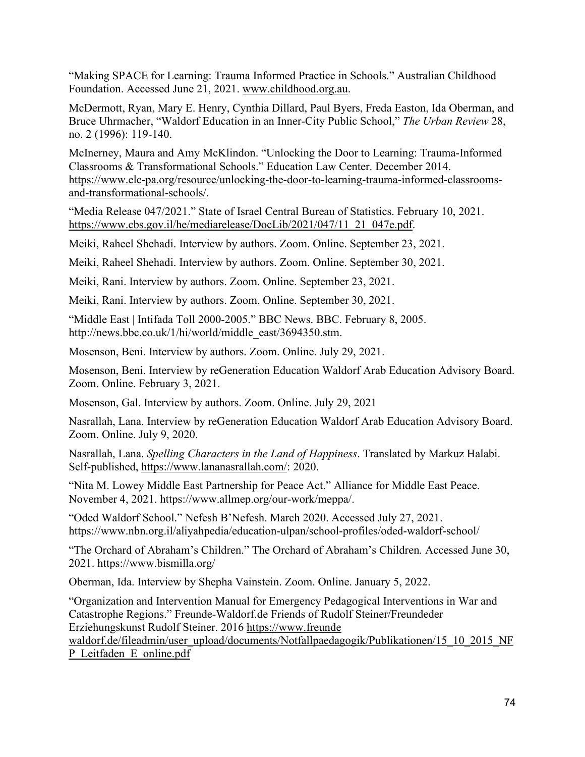"Making SPACE for Learning: Trauma Informed Practice in Schools." Australian Childhood Foundation. Accessed June 21, 2021. [www.childhood.org.au.](http://www.childhood.org.au/)

McDermott, Ryan, Mary E. Henry, Cynthia Dillard, Paul Byers, Freda Easton, Ida Oberman, and Bruce Uhrmacher, "Waldorf Education in an Inner-City Public School," *The Urban Review* 28, no. 2 (1996): 119-140.

McInerney, Maura and Amy McKlindon. "Unlocking the Door to Learning: Trauma-Informed Classrooms & Transformational Schools." Education Law Center. December 2014. [https://www.elc-pa.org/resource/unlocking-the-door-to-learning-trauma-informed-classrooms](https://www.elc-pa.org/resource/unlocking-the-door-to-learning-trauma-informed-classrooms-and-transformational-schools/)[and-transformational-schools/.](https://www.elc-pa.org/resource/unlocking-the-door-to-learning-trauma-informed-classrooms-and-transformational-schools/)

"Media Release 047/2021." State of Israel Central Bureau of Statistics. February 10, 2021. [https://www.cbs.gov.il/he/mediarelease/DocLib/2021/047/11\\_21\\_047e.pdf.](https://www.cbs.gov.il/he/mediarelease/DocLib/2021/047/11_21_047e.pdf)

Meiki, Raheel Shehadi. Interview by authors. Zoom. Online. September 23, 2021.

Meiki, Raheel Shehadi. Interview by authors. Zoom. Online. September 30, 2021.

Meiki, Rani. Interview by authors. Zoom. Online. September 23, 2021.

Meiki, Rani. Interview by authors. Zoom. Online. September 30, 2021.

"Middle East | Intifada Toll 2000-2005." BBC News. BBC. February 8, 2005. http://news.bbc.co.uk/1/hi/world/middle\_east/3694350.stm.

Mosenson, Beni. Interview by authors. Zoom. Online. July 29, 2021.

Mosenson, Beni. Interview by reGeneration Education Waldorf Arab Education Advisory Board. Zoom. Online. February 3, 2021.

Mosenson, Gal. Interview by authors. Zoom. Online. July 29, 2021

Nasrallah, Lana. Interview by reGeneration Education Waldorf Arab Education Advisory Board. Zoom. Online. July 9, 2020.

Nasrallah, Lana. *Spelling Characters in the Land of Happiness*. Translated by Markuz Halabi. Self-published, [https://www.lananasrallah.com/:](https://www.lananasrallah.com/) 2020.

"Nita M. Lowey Middle East Partnership for Peace Act." Alliance for Middle East Peace. November 4, 2021. https://www.allmep.org/our-work/meppa/.

"Oded Waldorf School." Nefesh B'Nefesh. March 2020. Accessed July 27, 2021. https://www.nbn.org.il/aliyahpedia/education-ulpan/school-profiles/oded-waldorf-school/

"The Orchard of Abraham's Children." The Orchard of Abraham's Children*.* Accessed June 30, 2021. https://www.bismilla.org/

Oberman, Ida. Interview by Shepha Vainstein. Zoom. Online. January 5, 2022.

"Organization and Intervention Manual for Emergency Pedagogical Interventions in War and Catastrophe Regions." Freunde-Waldorf.de Friends of Rudolf Steiner/Freundeder Erziehungskunst Rudolf Steiner. 2016 https://www.freunde

waldorf.de/fileadmin/user\_upload/documents/Notfallpaedagogik/Publikationen/15\_10\_2015\_NF P\_Leitfaden\_E\_online.pdf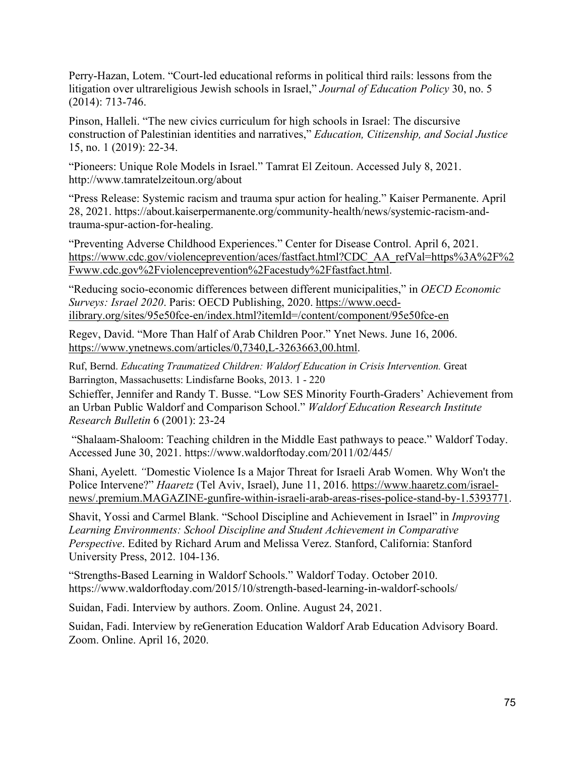Perry-Hazan, Lotem. "Court-led educational reforms in political third rails: lessons from the litigation over ultrareligious Jewish schools in Israel," *Journal of Education Policy* 30, no. 5 (2014): 713-746.

Pinson, Halleli. "The new civics curriculum for high schools in Israel: The discursive construction of Palestinian identities and narratives," *Education, Citizenship, and Social Justice* 15, no. 1 (2019): 22-34.

"Pioneers: Unique Role Models in Israel." Tamrat El Zeitoun. Accessed July 8, 2021. http://www.tamratelzeitoun.org/about

"Press Release: Systemic racism and trauma spur action for healing." Kaiser Permanente. April 28, 2021. https://about.kaiserpermanente.org/community-health/news/systemic-racism-andtrauma-spur-action-for-healing.

"Preventing Adverse Childhood Experiences." Center for Disease Control. April 6, 2021. [https://www.cdc.gov/violenceprevention/aces/fastfact.html?CDC\\_AA\\_refVal=https%3A%2F%2](https://www.cdc.gov/violenceprevention/aces/fastfact.html?CDC_AA_refVal=https%3A%2F%2Fwww.cdc.gov%2Fviolenceprevention%2Facestudy%2Ffastfact.html) [Fwww.cdc.gov%2Fviolenceprevention%2Facestudy%2Ffastfact.html.](https://www.cdc.gov/violenceprevention/aces/fastfact.html?CDC_AA_refVal=https%3A%2F%2Fwww.cdc.gov%2Fviolenceprevention%2Facestudy%2Ffastfact.html)

"Reducing socio-economic differences between different municipalities," in *OECD Economic Surveys: Israel 2020*. Paris: OECD Publishing, 2020. [https://www.oecd](https://www.oecd-ilibrary.org/sites/95e50fce-en/index.html?itemId=/content/component/95e50fce-en)[ilibrary.org/sites/95e50fce-en/index.html?itemId=/content/component/95e50fce-en](https://www.oecd-ilibrary.org/sites/95e50fce-en/index.html?itemId=/content/component/95e50fce-en)

Regev, David. "More Than Half of Arab Children Poor." Ynet News. June 16, 2006. [https://www.ynetnews.com/articles/0,7340,L-3263663,00.html.](https://www.ynetnews.com/articles/0,7340,L-3263663,00.html)

Ruf, Bernd. *Educating Traumatized Children: Waldorf Education in Crisis Intervention.* Great Barrington, Massachusetts: Lindisfarne Books, 2013. 1 - 220

Schieffer, Jennifer and Randy T. Busse. "Low SES Minority Fourth-Graders' Achievement from an Urban Public Waldorf and Comparison School." *Waldorf Education Research Institute Research Bulletin* 6 (2001): 23-24

"Shalaam-Shaloom: Teaching children in the Middle East pathways to peace." Waldorf Today. Accessed June 30, 2021. https://www.waldorftoday.com/2011/02/445/

Shani, Ayelett. *"*Domestic Violence Is a Major Threat for Israeli Arab Women. Why Won't the Police Intervene?" *Haaretz* (Tel Aviv, Israel), June 11, 2016. [https://www.haaretz.com/israel](https://www.haaretz.com/israel-news/.premium.MAGAZINE-gunfire-within-israeli-arab-areas-rises-police-stand-by-1.5393771)[news/.premium.MAGAZINE-gunfire-within-israeli-arab-areas-rises-police-stand-by-1.5393771.](https://www.haaretz.com/israel-news/.premium.MAGAZINE-gunfire-within-israeli-arab-areas-rises-police-stand-by-1.5393771)

Shavit, Yossi and Carmel Blank. "School Discipline and Achievement in Israel" in *Improving Learning Environments: School Discipline and Student Achievement in Comparative Perspective*. Edited by Richard Arum and Melissa Verez. Stanford, California: Stanford University Press, 2012. 104-136.

"Strengths-Based Learning in Waldorf Schools." Waldorf Today. October 2010. https://www.waldorftoday.com/2015/10/strength-based-learning-in-waldorf-schools/

Suidan, Fadi. Interview by authors. Zoom. Online. August 24, 2021.

Suidan, Fadi. Interview by reGeneration Education Waldorf Arab Education Advisory Board. Zoom. Online. April 16, 2020.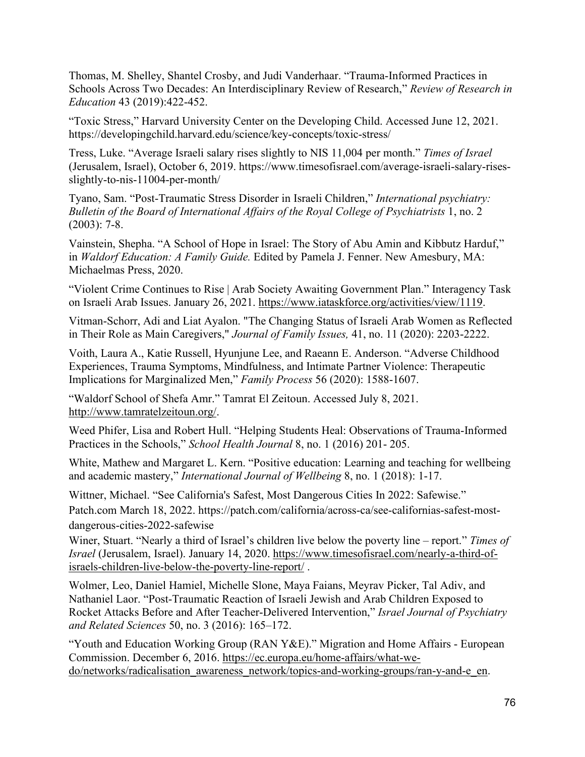Thomas, M. Shelley, Shantel Crosby, and Judi Vanderhaar. "Trauma-Informed Practices in Schools Across Two Decades: An Interdisciplinary Review of Research," *Review of Research in Education* 43 (2019):422-452.

"Toxic Stress," Harvard University Center on the Developing Child. Accessed June 12, 2021. https://developingchild.harvard.edu/science/key-concepts/toxic-stress/

Tress, Luke. "Average Israeli salary rises slightly to NIS 11,004 per month." *Times of Israel* (Jerusalem, Israel), October 6, 2019. https://www.timesofisrael.com/average-israeli-salary-risesslightly-to-nis-11004-per-month/

Tyano, Sam. "Post-Traumatic Stress Disorder in Israeli Children," *International psychiatry: Bulletin of the Board of International Affairs of the Royal College of Psychiatrists* 1, no. 2 (2003): 7-8.

Vainstein, Shepha. "A School of Hope in Israel: The Story of Abu Amin and Kibbutz Harduf," in *Waldorf Education: A Family Guide.* Edited by Pamela J. Fenner. New Amesbury, MA: Michaelmas Press, 2020.

"Violent Crime Continues to Rise | Arab Society Awaiting Government Plan." Interagency Task on Israeli Arab Issues. January 26, 2021. [https://www.iataskforce.org/activities/view/1119.](https://www.iataskforce.org/activities/view/1119)

Vitman-Schorr, Adi and Liat Ayalon. "The Changing Status of Israeli Arab Women as Reflected in Their Role as Main Caregivers," *Journal of Family Issues,* 41, no. 11 (2020): 2203-2222.

Voith, Laura A., Katie Russell, Hyunjune Lee, and Raeann E. Anderson. "Adverse Childhood Experiences, Trauma Symptoms, Mindfulness, and Intimate Partner Violence: Therapeutic Implications for Marginalized Men," *Family Process* 56 (2020): 1588-1607.

"Waldorf School of Shefa Amr." Tamrat El Zeitoun. Accessed July 8, 2021. [http://www.tamratelzeitoun.org/.](http://www.tamratelzeitoun.org/)

Weed Phifer, Lisa and Robert Hull. "Helping Students Heal: Observations of Trauma-Informed Practices in the Schools," *School Health Journal* 8, no. 1 (2016) 201- 205.

White, Mathew and Margaret L. Kern. "Positive education: Learning and teaching for wellbeing and academic mastery," *International Journal of Wellbeing* 8, no. 1 (2018): 1-17.

Wittner, Michael. "See California's Safest, Most Dangerous Cities In 2022: Safewise." Patch.com March 18, 2022. https://patch.com/california/across-ca/see-californias-safest-mostdangerous-cities-2022-safewise

Winer, Stuart. "Nearly a third of Israel's children live below the poverty line – report." *Times of Israel* (Jerusalem, Israel). January 14, 2020. [https://www.timesofisrael.com/nearly-a-third-of](https://www.timesofisrael.com/nearly-a-third-of-israels-children-live-below-the-poverty-line-report/)[israels-children-live-below-the-poverty-line-report/](https://www.timesofisrael.com/nearly-a-third-of-israels-children-live-below-the-poverty-line-report/) .

Wolmer, Leo, Daniel Hamiel, Michelle Slone, Maya Faians, Meyrav Picker, Tal Adiv, and Nathaniel Laor. "Post-Traumatic Reaction of Israeli Jewish and Arab Children Exposed to Rocket Attacks Before and After Teacher-Delivered Intervention," *Israel Journal of Psychiatry and Related Sciences* 50, no. 3 (2016): 165–172.

"Youth and Education Working Group (RAN Y&E)." Migration and Home Affairs - European Commission. December 6, 2016. [https://ec.europa.eu/home-affairs/what-we](https://ec.europa.eu/home-affairs/what-we-do/networks/radicalisation_awareness_network/topics-and-working-groups/ran-y-and-e_en)[do/networks/radicalisation\\_awareness\\_network/topics-and-working-groups/ran-y-and-e\\_en.](https://ec.europa.eu/home-affairs/what-we-do/networks/radicalisation_awareness_network/topics-and-working-groups/ran-y-and-e_en)